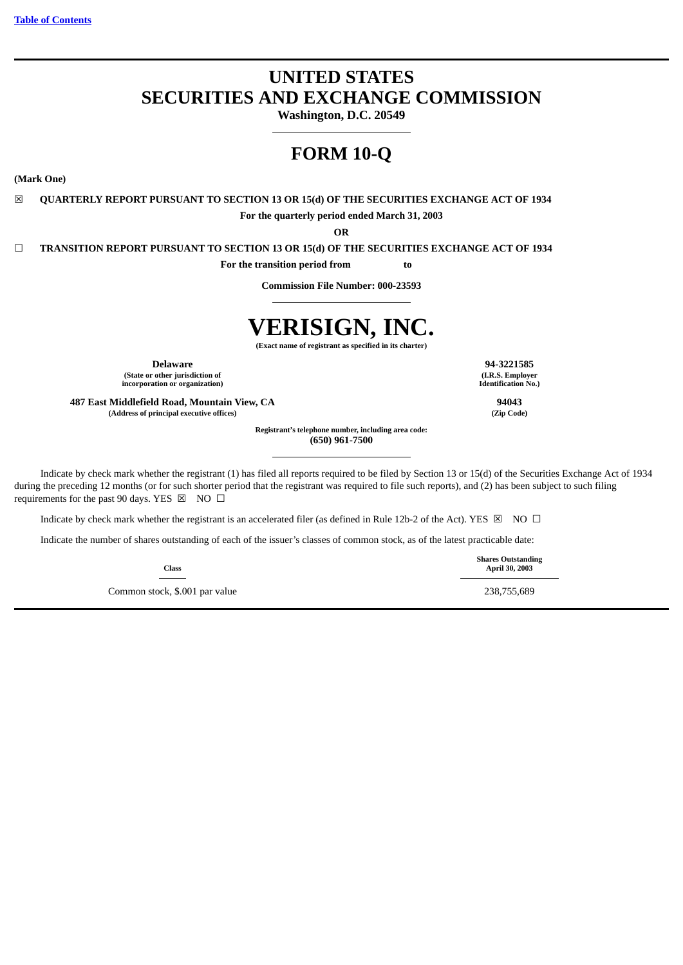## **UNITED STATES SECURITIES AND EXCHANGE COMMISSION**

**Washington, D.C. 20549**

# **FORM 10-Q**

**(Mark One)**

☒ **QUARTERLY REPORT PURSUANT TO SECTION 13 OR 15(d) OF THE SECURITIES EXCHANGE ACT OF 1934**

**For the quarterly period ended March 31, 2003**

**OR**

☐ **TRANSITION REPORT PURSUANT TO SECTION 13 OR 15(d) OF THE SECURITIES EXCHANGE ACT OF 1934**

**For the transition period from to** 

**Commission File Number: 000-23593**

# **VERISIGN, INC.**

**(Exact name of registrant as specified in its charter)**

**(State or other jurisdiction of incorporation or organization)**

**487 East Middlefield Road, Mountain View, CA 94043 (Address of principal executive offices) (Zip Code)**

> **Registrant's telephone number, including area code: (650) 961-7500**

**Delaware 94-3221585 (I.R.S. Employer Identification No.)**

**Shares Outstanding April 30, 2003**

Indicate by check mark whether the registrant (1) has filed all reports required to be filed by Section 13 or 15(d) of the Securities Exchange Act of 1934 during the preceding 12 months (or for such shorter period that the registrant was required to file such reports), and (2) has been subject to such filing requirements for the past 90 days. YES  $\boxtimes$  NO  $\Box$ 

Indicate by check mark whether the registrant is an accelerated filer (as defined in Rule 12b-2 of the Act). YES **⊠** NO □

Indicate the number of shares outstanding of each of the issuer's classes of common stock, as of the latest practicable date:

**Class**

Common stock, \$.001 par value 238,755,689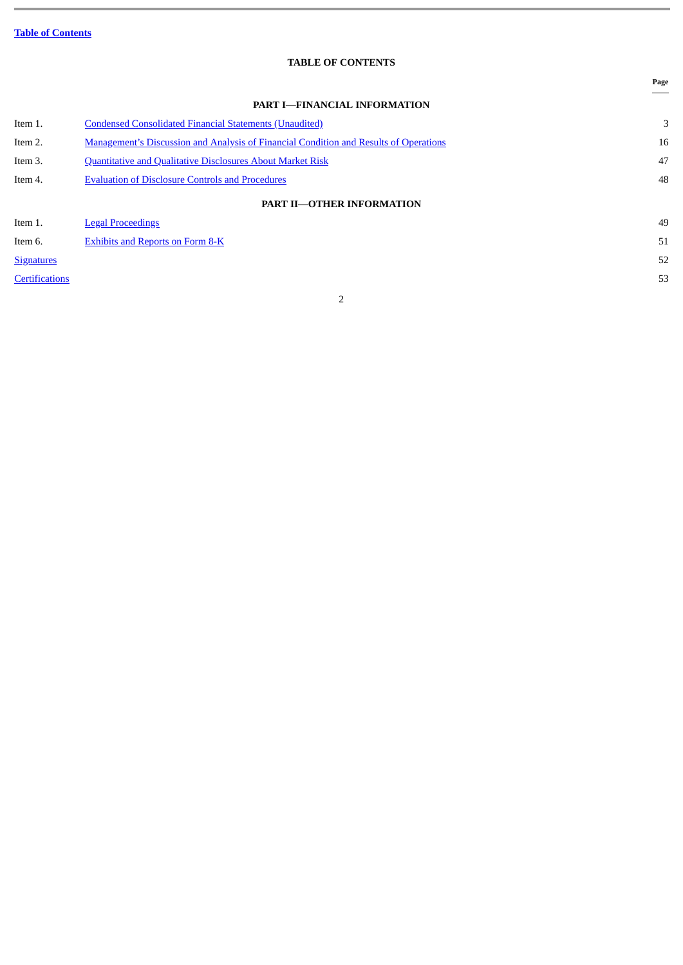### **TABLE OF CONTENTS**

<span id="page-1-0"></span>

|                       |                                                                                              | Page |
|-----------------------|----------------------------------------------------------------------------------------------|------|
|                       | <b>PART I-FINANCIAL INFORMATION</b>                                                          |      |
| Item 1.               | <b>Condensed Consolidated Financial Statements (Unaudited)</b>                               | 3    |
| Item 2.               | <b>Management's Discussion and Analysis of Financial Condition and Results of Operations</b> | 16   |
| Item 3.               | Quantitative and Qualitative Disclosures About Market Risk                                   | 47   |
| Item 4.               | <b>Evaluation of Disclosure Controls and Procedures</b>                                      | 48   |
|                       | <b>PART II-OTHER INFORMATION</b>                                                             |      |
| Item 1.               | <b>Legal Proceedings</b>                                                                     | 49   |
| Item 6.               | <b>Exhibits and Reports on Form 8-K</b>                                                      | 51   |
| <b>Signatures</b>     |                                                                                              | 52   |
| <b>Certifications</b> |                                                                                              | 53   |
|                       | 2                                                                                            |      |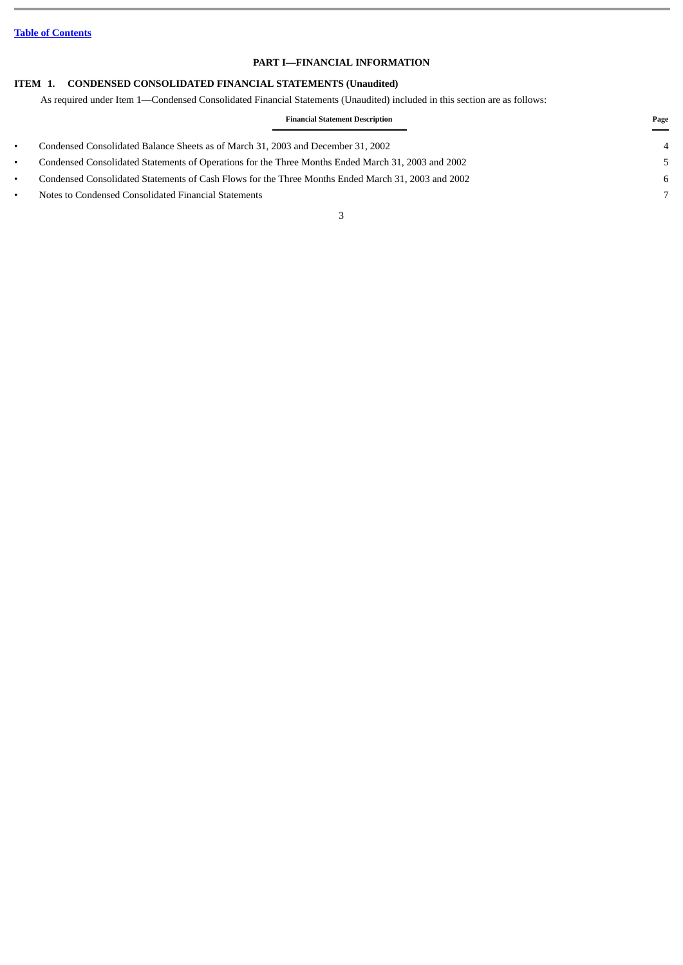### **PART I—FINANCIAL INFORMATION**

### **ITEM 1. CONDENSED CONSOLIDATED FINANCIAL STATEMENTS (Unaudited)**

<span id="page-2-0"></span>As required under Item 1—Condensed Consolidated Financial Statements (Unaudited) included in this section are as follows:

|           | <b>Financial Statement Description</b>                                                             | Page |
|-----------|----------------------------------------------------------------------------------------------------|------|
| $\bullet$ | Condensed Consolidated Balance Sheets as of March 31, 2003 and December 31, 2002                   |      |
| $\bullet$ | Condensed Consolidated Statements of Operations for the Three Months Ended March 31, 2003 and 2002 | 5.   |
| $\bullet$ | Condensed Consolidated Statements of Cash Flows for the Three Months Ended March 31, 2003 and 2002 | 6    |
| $\bullet$ | Notes to Condensed Consolidated Financial Statements                                               |      |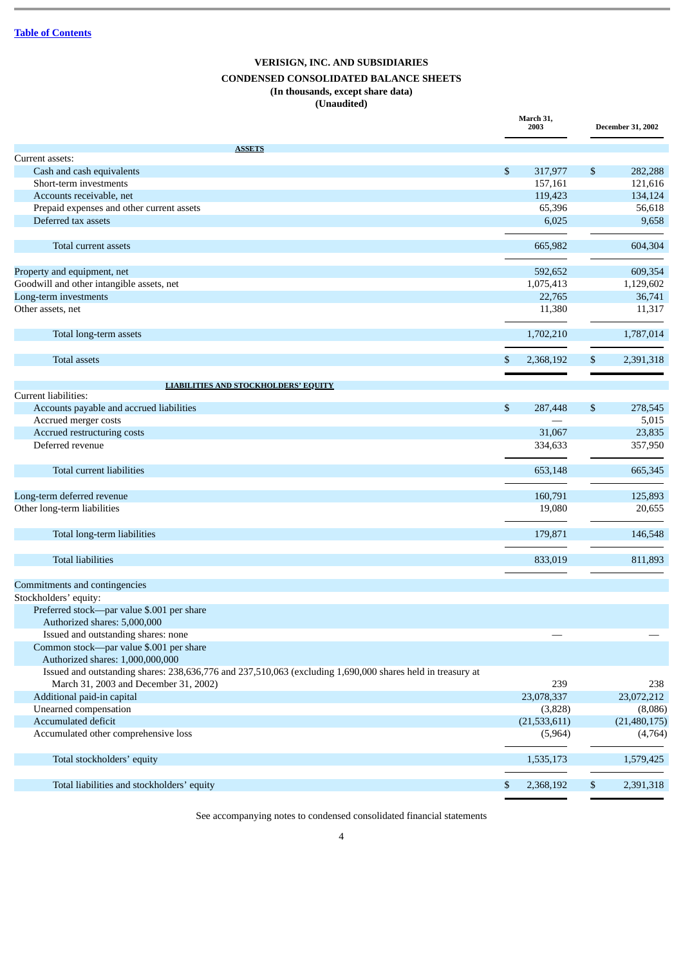### **VERISIGN, INC. AND SUBSIDIARIES CONDENSED CONSOLIDATED BALANCE SHEETS (In thousands, except share data) (Unaudited)**

|                                                                                                                                                     | March 31,<br>2003 |    | <b>December 31, 2002</b> |  |
|-----------------------------------------------------------------------------------------------------------------------------------------------------|-------------------|----|--------------------------|--|
| <b>ASSETS</b>                                                                                                                                       |                   |    |                          |  |
| Current assets:                                                                                                                                     |                   |    |                          |  |
| Cash and cash equivalents                                                                                                                           | \$<br>317,977     | \$ | 282,288                  |  |
| Short-term investments                                                                                                                              | 157,161           |    | 121,616                  |  |
| Accounts receivable, net                                                                                                                            | 119,423           |    | 134,124                  |  |
| Prepaid expenses and other current assets                                                                                                           | 65,396            |    | 56,618                   |  |
| Deferred tax assets                                                                                                                                 | 6,025             |    | 9,658                    |  |
| Total current assets                                                                                                                                | 665,982           |    | 604,304                  |  |
|                                                                                                                                                     |                   |    |                          |  |
| Property and equipment, net                                                                                                                         | 592,652           |    | 609,354                  |  |
| Goodwill and other intangible assets, net                                                                                                           | 1,075,413         |    | 1,129,602                |  |
| Long-term investments                                                                                                                               | 22,765            |    | 36,741                   |  |
| Other assets, net                                                                                                                                   | 11,380            |    | 11,317                   |  |
| Total long-term assets                                                                                                                              | 1,702,210         |    | 1,787,014                |  |
| <b>Total assets</b>                                                                                                                                 | \$<br>2,368,192   | \$ | 2,391,318                |  |
|                                                                                                                                                     |                   |    |                          |  |
| <b>LIABILITIES AND STOCKHOLDERS' EQUITY</b>                                                                                                         |                   |    |                          |  |
| Current liabilities:                                                                                                                                |                   |    |                          |  |
| Accounts payable and accrued liabilities                                                                                                            | \$<br>287,448     | \$ | 278,545                  |  |
| Accrued merger costs                                                                                                                                |                   |    | 5,015                    |  |
| Accrued restructuring costs                                                                                                                         | 31,067            |    | 23,835                   |  |
| Deferred revenue                                                                                                                                    | 334,633           |    | 357,950                  |  |
| Total current liabilities                                                                                                                           | 653,148           |    | 665,345                  |  |
|                                                                                                                                                     |                   |    |                          |  |
| Long-term deferred revenue                                                                                                                          | 160,791           |    | 125,893                  |  |
| Other long-term liabilities                                                                                                                         | 19,080            |    | 20,655                   |  |
| Total long-term liabilities                                                                                                                         | 179,871           |    | 146,548                  |  |
| <b>Total liabilities</b>                                                                                                                            | 833,019           |    | 811,893                  |  |
|                                                                                                                                                     |                   |    |                          |  |
| Commitments and contingencies                                                                                                                       |                   |    |                          |  |
| Stockholders' equity:                                                                                                                               |                   |    |                          |  |
| Preferred stock-par value \$.001 per share                                                                                                          |                   |    |                          |  |
| Authorized shares: 5,000,000                                                                                                                        |                   |    |                          |  |
| Issued and outstanding shares: none                                                                                                                 |                   |    |                          |  |
| Common stock-par value \$.001 per share<br>Authorized shares: 1,000,000,000                                                                         |                   |    |                          |  |
| Issued and outstanding shares: 238,636,776 and 237,510,063 (excluding 1,690,000 shares held in treasury at<br>March 31, 2003 and December 31, 2002) | 239               |    | 238                      |  |
| Additional paid-in capital                                                                                                                          | 23,078,337        |    | 23,072,212               |  |
| Unearned compensation                                                                                                                               | (3,828)           |    | (8,086)                  |  |
| Accumulated deficit                                                                                                                                 | (21, 533, 611)    |    | (21, 480, 175)           |  |
| Accumulated other comprehensive loss                                                                                                                |                   |    |                          |  |
|                                                                                                                                                     | (5,964)           |    | (4,764)                  |  |
| Total stockholders' equity                                                                                                                          | 1,535,173         |    | 1,579,425                |  |
| Total liabilities and stockholders' equity                                                                                                          | \$<br>2,368,192   | \$ | 2,391,318                |  |
|                                                                                                                                                     |                   |    |                          |  |

See accompanying notes to condensed consolidated financial statements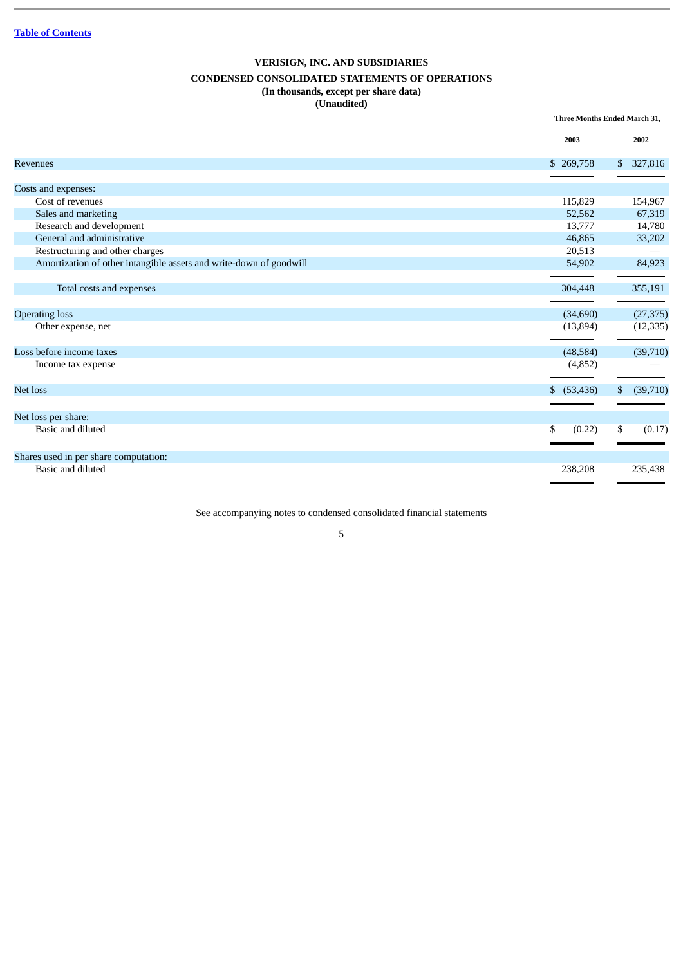### **VERISIGN, INC. AND SUBSIDIARIES CONDENSED CONSOLIDATED STATEMENTS OF OPERATIONS (In thousands, except per share data) (Unaudited)**

**Three Months Ended March 31,**

|                                                                    | 2003            | 2002                     |
|--------------------------------------------------------------------|-----------------|--------------------------|
| <b>Revenues</b>                                                    | \$269,758       | 327,816<br>$\mathbb{S}$  |
|                                                                    |                 |                          |
| Costs and expenses:                                                |                 |                          |
| Cost of revenues                                                   | 115,829         | 154,967                  |
| Sales and marketing                                                | 52,562          | 67,319                   |
| Research and development                                           | 13,777          | 14,780                   |
| General and administrative                                         | 46,865          | 33,202                   |
| Restructuring and other charges                                    | 20,513          |                          |
| Amortization of other intangible assets and write-down of goodwill | 54,902          | 84,923                   |
|                                                                    |                 |                          |
| Total costs and expenses                                           | 304,448         | 355,191                  |
|                                                                    |                 |                          |
| <b>Operating loss</b>                                              | (34,690)        | (27, 375)                |
| Other expense, net                                                 | (13,894)        | (12, 335)                |
|                                                                    |                 |                          |
| Loss before income taxes                                           | (48, 584)       | (39,710)                 |
| Income tax expense                                                 | (4,852)         |                          |
|                                                                    |                 |                          |
| <b>Net loss</b>                                                    | \$<br>(53, 436) | (39,710)<br>$\mathbb{S}$ |
|                                                                    |                 |                          |
| Net loss per share:                                                |                 |                          |
| Basic and diluted                                                  | \$<br>(0.22)    | \$<br>(0.17)             |
|                                                                    |                 |                          |
| Shares used in per share computation:                              |                 |                          |
| Basic and diluted                                                  | 238,208         | 235,438                  |
|                                                                    |                 |                          |

See accompanying notes to condensed consolidated financial statements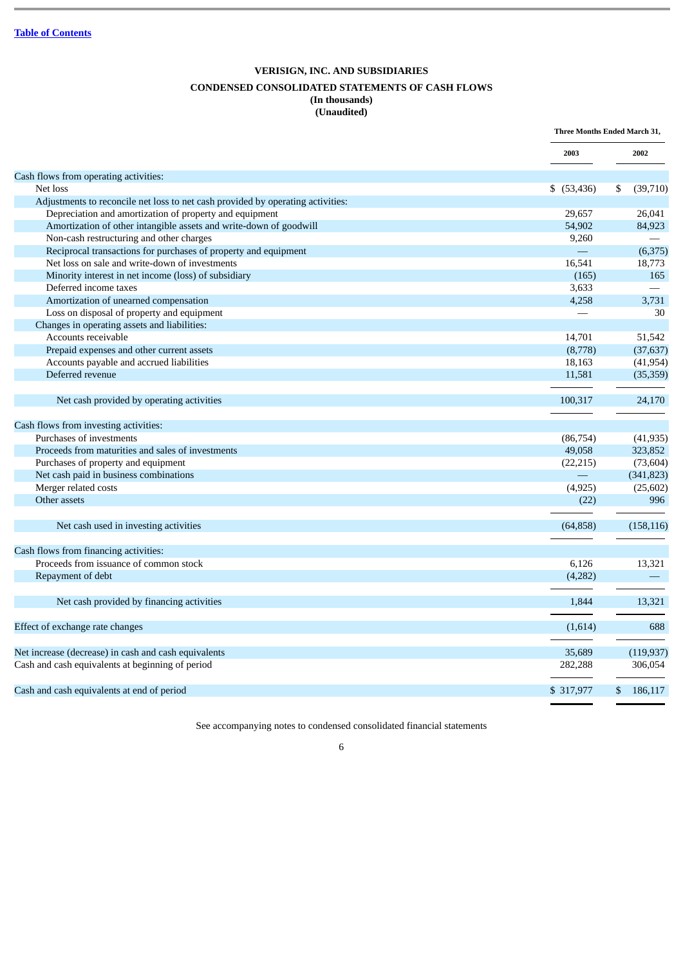### **VERISIGN, INC. AND SUBSIDIARIES CONDENSED CONSOLIDATED STATEMENTS OF CASH FLOWS (In thousands) (Unaudited)**

|                                                                                 | Three Months Ended March 31, |                |
|---------------------------------------------------------------------------------|------------------------------|----------------|
|                                                                                 | 2003                         | 2002           |
| Cash flows from operating activities:                                           |                              |                |
| Net loss                                                                        | \$ (53,436)                  | (39,710)<br>\$ |
| Adjustments to reconcile net loss to net cash provided by operating activities: |                              |                |
| Depreciation and amortization of property and equipment                         | 29,657                       | 26,041         |
| Amortization of other intangible assets and write-down of goodwill              | 54,902                       | 84,923         |
| Non-cash restructuring and other charges                                        | 9,260                        |                |
| Reciprocal transactions for purchases of property and equipment                 |                              | (6, 375)       |
| Net loss on sale and write-down of investments                                  | 16,541                       | 18,773         |
| Minority interest in net income (loss) of subsidiary                            | (165)                        | 165            |
| Deferred income taxes                                                           | 3,633                        |                |
| Amortization of unearned compensation                                           | 4,258                        | 3,731          |
| Loss on disposal of property and equipment                                      |                              | 30             |
| Changes in operating assets and liabilities:                                    |                              |                |
| Accounts receivable                                                             | 14,701                       | 51,542         |
| Prepaid expenses and other current assets                                       | (8,778)                      | (37, 637)      |
| Accounts payable and accrued liabilities                                        | 18,163                       | (41, 954)      |
| Deferred revenue                                                                | 11,581                       | (35, 359)      |
|                                                                                 |                              |                |
| Net cash provided by operating activities                                       | 100,317                      | 24,170         |
| Cash flows from investing activities:                                           |                              |                |
| Purchases of investments                                                        | (86,754)                     | (41, 935)      |
| Proceeds from maturities and sales of investments                               | 49,058                       | 323,852        |
| Purchases of property and equipment                                             | (22, 215)                    | (73, 604)      |
| Net cash paid in business combinations                                          | $\equiv$                     | (341, 823)     |
| Merger related costs                                                            | (4,925)                      | (25, 602)      |
| Other assets                                                                    | (22)                         | 996            |
| Net cash used in investing activities                                           | (64, 858)                    | (158, 116)     |
| Cash flows from financing activities:                                           |                              |                |
| Proceeds from issuance of common stock                                          | 6,126                        | 13,321         |
| Repayment of debt                                                               | (4,282)                      | $\frac{1}{2}$  |
| Net cash provided by financing activities                                       | 1.844                        | 13,321         |
|                                                                                 |                              |                |
| Effect of exchange rate changes                                                 | (1,614)                      | 688            |
| Net increase (decrease) in cash and cash equivalents                            | 35,689                       | (119, 937)     |
| Cash and cash equivalents at beginning of period                                | 282,288                      | 306,054        |

See accompanying notes to condensed consolidated financial statements

Cash and cash equivalents at end of period  $$317,977$   $$186,117$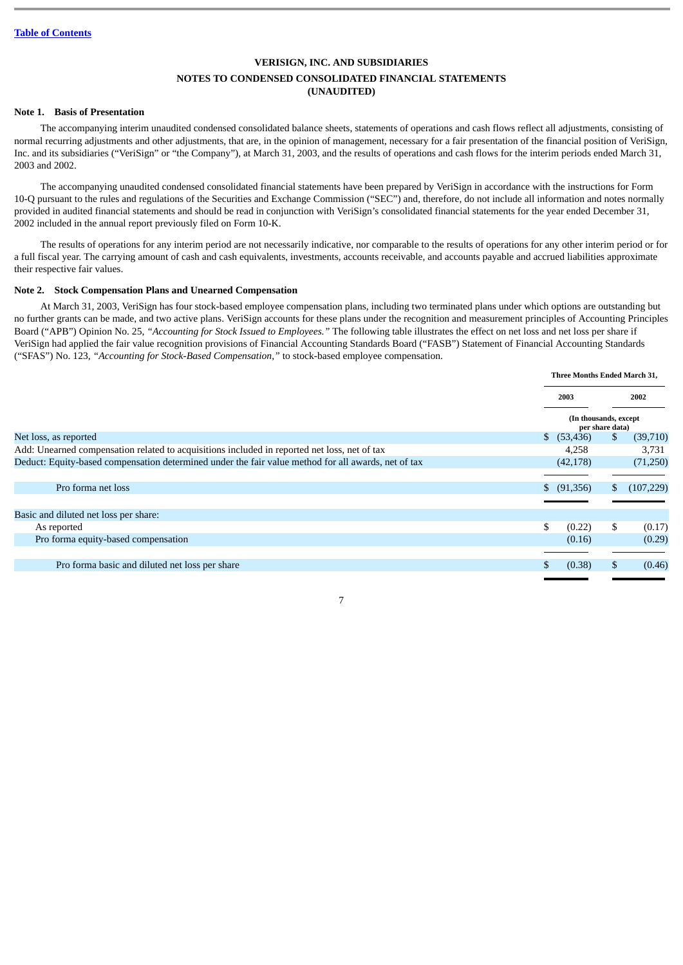### **VERISIGN, INC. AND SUBSIDIARIES NOTES TO CONDENSED CONSOLIDATED FINANCIAL STATEMENTS (UNAUDITED)**

#### **Note 1. Basis of Presentation**

The accompanying interim unaudited condensed consolidated balance sheets, statements of operations and cash flows reflect all adjustments, consisting of normal recurring adjustments and other adjustments, that are, in the opinion of management, necessary for a fair presentation of the financial position of VeriSign, Inc. and its subsidiaries ("VeriSign" or "the Company"), at March 31, 2003, and the results of operations and cash flows for the interim periods ended March 31, 2003 and 2002.

The accompanying unaudited condensed consolidated financial statements have been prepared by VeriSign in accordance with the instructions for Form 10-Q pursuant to the rules and regulations of the Securities and Exchange Commission ("SEC") and, therefore, do not include all information and notes normally provided in audited financial statements and should be read in conjunction with VeriSign's consolidated financial statements for the year ended December 31, 2002 included in the annual report previously filed on Form 10-K.

The results of operations for any interim period are not necessarily indicative, nor comparable to the results of operations for any other interim period or for a full fiscal year. The carrying amount of cash and cash equivalents, investments, accounts receivable, and accounts payable and accrued liabilities approximate their respective fair values.

#### **Note 2. Stock Compensation Plans and Unearned Compensation**

At March 31, 2003, VeriSign has four stock-based employee compensation plans, including two terminated plans under which options are outstanding but no further grants can be made, and two active plans. VeriSign accounts for these plans under the recognition and measurement principles of Accounting Principles Board ("APB") Opinion No. 25, *"Accounting for Stock Issued to Employees."* The following table illustrates the effect on net loss and net loss per share if VeriSign had applied the fair value recognition provisions of Financial Accounting Standards Board ("FASB") Statement of Financial Accounting Standards ("SFAS") No. 123, *"Accounting for Stock-Based Compensation,"* to stock-based employee compensation.

**Three Months Ended March 31,**

|                                                                                                     | 2003            | 2002                                     |
|-----------------------------------------------------------------------------------------------------|-----------------|------------------------------------------|
|                                                                                                     |                 | (In thousands, except<br>per share data) |
| Net loss, as reported                                                                               | \$ (53,436)     | \$<br>(39,710)                           |
| Add: Unearned compensation related to acquisitions included in reported net loss, net of tax        | 4,258           | 3,731                                    |
| Deduct: Equity-based compensation determined under the fair value method for all awards, net of tax | (42, 178)       | (71,250)                                 |
|                                                                                                     |                 |                                          |
| Pro forma net loss                                                                                  | $$^{(91,356)}$$ | (107, 229)<br>S.                         |
|                                                                                                     |                 |                                          |
| Basic and diluted net loss per share:                                                               |                 |                                          |
| As reported                                                                                         | \$<br>(0.22)    | \$<br>(0.17)                             |
| Pro forma equity-based compensation                                                                 | (0.16)          | (0.29)                                   |
|                                                                                                     |                 |                                          |
| Pro forma basic and diluted net loss per share                                                      | (0.38)          | \$<br>(0.46)                             |
|                                                                                                     |                 |                                          |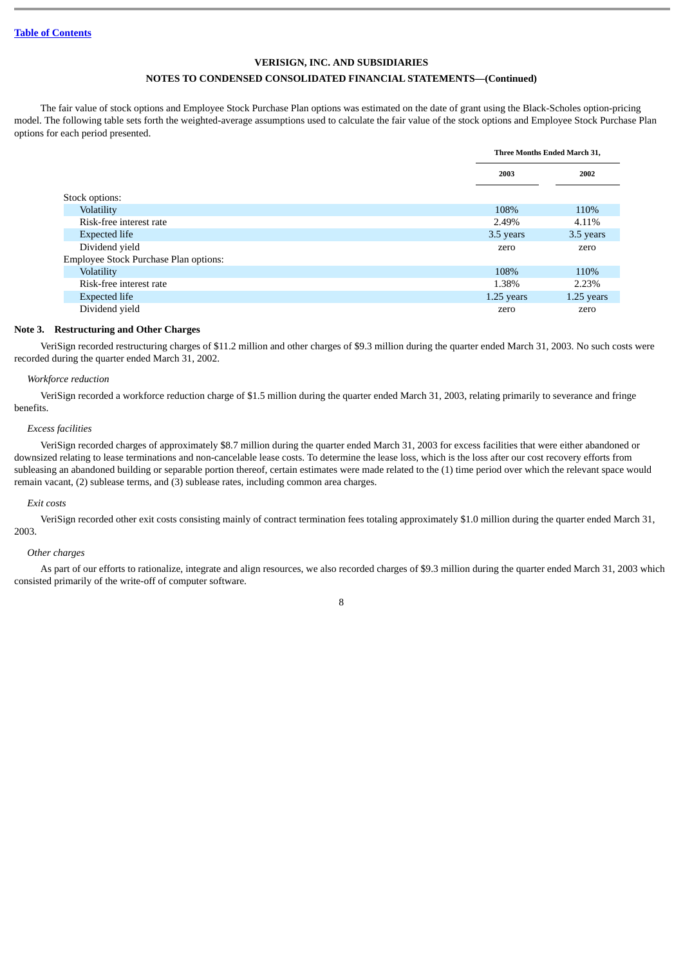### **VERISIGN, INC. AND SUBSIDIARIES NOTES TO CONDENSED CONSOLIDATED FINANCIAL STATEMENTS—(Continued)**

The fair value of stock options and Employee Stock Purchase Plan options was estimated on the date of grant using the Black-Scholes option-pricing model. The following table sets forth the weighted-average assumptions used to calculate the fair value of the stock options and Employee Stock Purchase Plan options for each period presented.

|                                       | Three Months Ended March 31, |              |
|---------------------------------------|------------------------------|--------------|
|                                       | 2003                         | 2002         |
| Stock options:                        |                              |              |
| Volatility                            | 108%                         | 110%         |
| Risk-free interest rate               | 2.49%                        | 4.11%        |
| <b>Expected life</b>                  | 3.5 years                    | 3.5 years    |
| Dividend yield                        | zero                         | zero         |
| Employee Stock Purchase Plan options: |                              |              |
| Volatility                            | 108%                         | 110%         |
| Risk-free interest rate               | 1.38%                        | 2.23%        |
| Expected life                         | 1.25 years                   | $1.25$ years |
| Dividend yield                        | zero                         | zero         |

#### **Note 3. Restructuring and Other Charges**

VeriSign recorded restructuring charges of \$11.2 million and other charges of \$9.3 million during the quarter ended March 31, 2003. No such costs were recorded during the quarter ended March 31, 2002.

#### *Workforce reduction*

VeriSign recorded a workforce reduction charge of \$1.5 million during the quarter ended March 31, 2003, relating primarily to severance and fringe benefits.

#### *Excess facilities*

VeriSign recorded charges of approximately \$8.7 million during the quarter ended March 31, 2003 for excess facilities that were either abandoned or downsized relating to lease terminations and non-cancelable lease costs. To determine the lease loss, which is the loss after our cost recovery efforts from subleasing an abandoned building or separable portion thereof, certain estimates were made related to the (1) time period over which the relevant space would remain vacant, (2) sublease terms, and (3) sublease rates, including common area charges.

#### *Exit costs*

VeriSign recorded other exit costs consisting mainly of contract termination fees totaling approximately \$1.0 million during the quarter ended March 31, 2003.

#### *Other charges*

As part of our efforts to rationalize, integrate and align resources, we also recorded charges of \$9.3 million during the quarter ended March 31, 2003 which consisted primarily of the write-off of computer software.

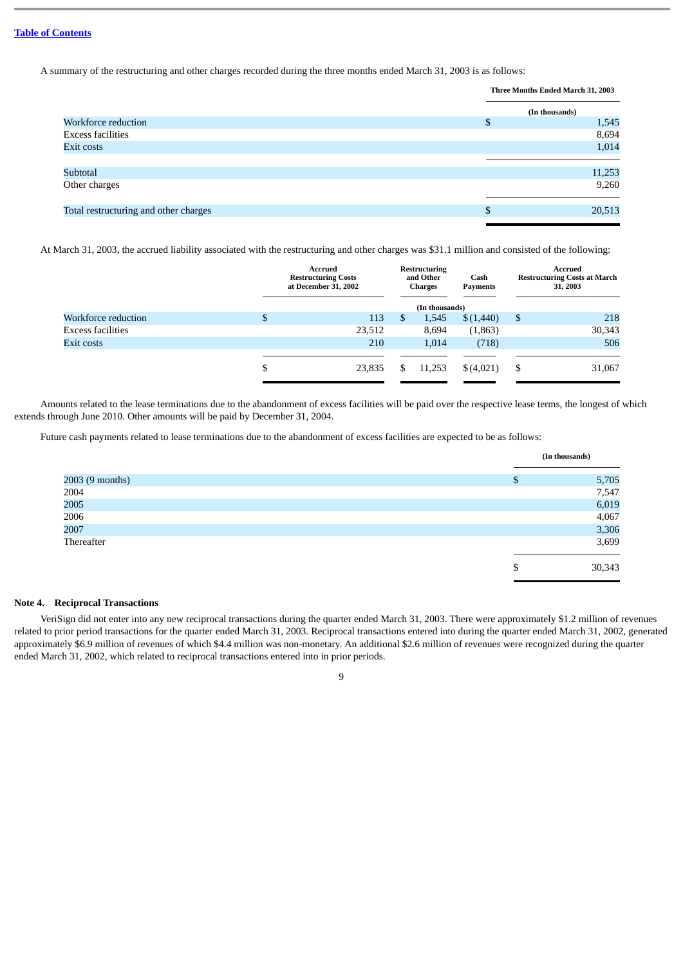A summary of the restructuring and other charges recorded during the three months ended March 31, 2003 is as follows:

 **(In thousands)** Workforce reduction **1,545 1,545 1,545 1,545** Excess facilities 8,694 Exit costs 1,014 Subtotal 11,253 Other charges 9,260 Total restructuring and other charges  $\sim$  20,513

**Three Months Ended March 31, 2003**

At March 31, 2003, the accrued liability associated with the restructuring and other charges was \$31.1 million and consisted of the following:

|                     | Accrued<br><b>Restructuring Costs</b><br>at December 31, 2002 |   | <b>Restructuring</b><br>and Other<br><b>Charges</b> | Cash<br><b>Payments</b> |    | Accrued<br><b>Restructuring Costs at March</b><br>31, 2003 |
|---------------------|---------------------------------------------------------------|---|-----------------------------------------------------|-------------------------|----|------------------------------------------------------------|
|                     |                                                               |   | (In thousands)                                      |                         |    |                                                            |
| Workforce reduction | \$<br>113                                                     | S | 1,545                                               | \$(1,440)               | \$ | 218                                                        |
| Excess facilities   | 23,512                                                        |   | 8,694                                               | (1,863)                 |    | 30,343                                                     |
| Exit costs          | 210                                                           |   | 1,014                                               | (718)                   |    | 506                                                        |
|                     | \$<br>23,835                                                  |   | 11,253                                              | \$(4,021)               | S  | 31,067                                                     |

Amounts related to the lease terminations due to the abandonment of excess facilities will be paid over the respective lease terms, the longest of which extends through June 2010. Other amounts will be paid by December 31, 2004.

Future cash payments related to lease terminations due to the abandonment of excess facilities are expected to be as follows:

|                 | (In thousands) |  |
|-----------------|----------------|--|
| 2003 (9 months) | \$<br>5,705    |  |
| 2004            | 7,547          |  |
| 2005            | 6,019          |  |
| 2006            | 4,067          |  |
| 2007            | 3,306          |  |
| Thereafter      | 3,699          |  |
|                 | \$<br>30,343   |  |

#### **Note 4. Reciprocal Transactions**

VeriSign did not enter into any new reciprocal transactions during the quarter ended March 31, 2003. There were approximately \$1.2 million of revenues related to prior period transactions for the quarter ended March 31, 2003. Reciprocal transactions entered into during the quarter ended March 31, 2002, generated approximately \$6.9 million of revenues of which \$4.4 million was non-monetary. An additional \$2.6 million of revenues were recognized during the quarter ended March 31, 2002, which related to reciprocal transactions entered into in prior periods.

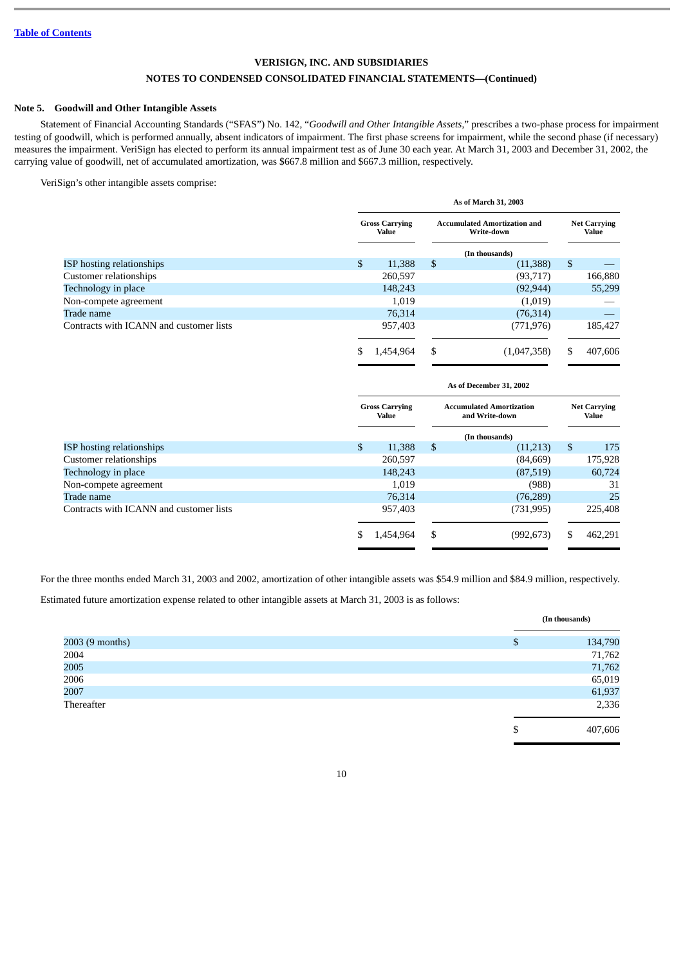#### **NOTES TO CONDENSED CONSOLIDATED FINANCIAL STATEMENTS—(Continued)**

#### **Note 5. Goodwill and Other Intangible Assets**

Statement of Financial Accounting Standards ("SFAS") No. 142, "*Goodwill and Other Intangible Assets*," prescribes a two-phase process for impairment testing of goodwill, which is performed annually, absent indicators of impairment. The first phase screens for impairment, while the second phase (if necessary) measures the impairment. VeriSign has elected to perform its annual impairment test as of June 30 each year. At March 31, 2003 and December 31, 2002, the carrying value of goodwill, net of accumulated amortization, was \$667.8 million and \$667.3 million, respectively.

VeriSign's other intangible assets comprise:

|                                         | As of March 31, 2003                  |    |                                                   |    |                                     |  |
|-----------------------------------------|---------------------------------------|----|---------------------------------------------------|----|-------------------------------------|--|
|                                         | <b>Gross Carrying</b><br><b>Value</b> |    | <b>Accumulated Amortization and</b><br>Write-down |    | <b>Net Carrying</b><br>Value        |  |
|                                         |                                       |    | (In thousands)                                    |    |                                     |  |
| <b>ISP</b> hosting relationships        | \$<br>11,388                          | \$ | (11, 388)                                         | \$ |                                     |  |
| Customer relationships                  | 260,597                               |    | (93, 717)                                         |    | 166,880                             |  |
| Technology in place                     | 148,243                               |    | (92, 944)                                         |    | 55,299                              |  |
| Non-compete agreement                   | 1,019                                 |    | (1,019)                                           |    |                                     |  |
| Trade name                              | 76,314                                |    | (76, 314)                                         |    |                                     |  |
| Contracts with ICANN and customer lists | 957,403                               |    | (771, 976)                                        |    | 185,427                             |  |
|                                         | \$<br>1,454,964                       | \$ | (1,047,358)                                       | \$ | 407,606                             |  |
|                                         |                                       |    | As of December 31, 2002                           |    |                                     |  |
|                                         | <b>Gross Carrying</b><br><b>Value</b> |    | <b>Accumulated Amortization</b><br>and Write-down |    | <b>Net Carrying</b><br><b>Value</b> |  |
|                                         |                                       |    | (In thousands)                                    |    |                                     |  |
| <b>ISP</b> hosting relationships        | \$<br>11,388                          | \$ | (11,213)                                          | \$ | 175                                 |  |
| Customer relationships                  | 260,597                               |    | (84, 669)                                         |    | 175,928                             |  |
| Technology in place                     | 148,243                               |    | (87,519)                                          |    | 60,724                              |  |
| Non-compete agreement                   | 1,019                                 |    | (988)                                             |    | 31                                  |  |
| Trade name                              | 76,314                                |    | (76, 289)                                         |    | 25                                  |  |
| Contracts with ICANN and customer lists | 957,403                               |    | (731, 995)                                        |    | 225,408                             |  |
|                                         | \$<br>1,454,964                       | \$ | (992, 673)                                        | \$ | 462,291                             |  |

For the three months ended March 31, 2003 and 2002, amortization of other intangible assets was \$54.9 million and \$84.9 million, respectively.

Estimated future amortization expense related to other intangible assets at March 31, 2003 is as follows:

|                 | (In thousands) |
|-----------------|----------------|
| 2003 (9 months) | \$<br>134,790  |
| 2004            | 71,762         |
| 2005            | 71,762         |
| 2006            | 65,019         |
| 2007            | 61,937         |
| Thereafter      | 2,336          |
|                 | \$<br>407,606  |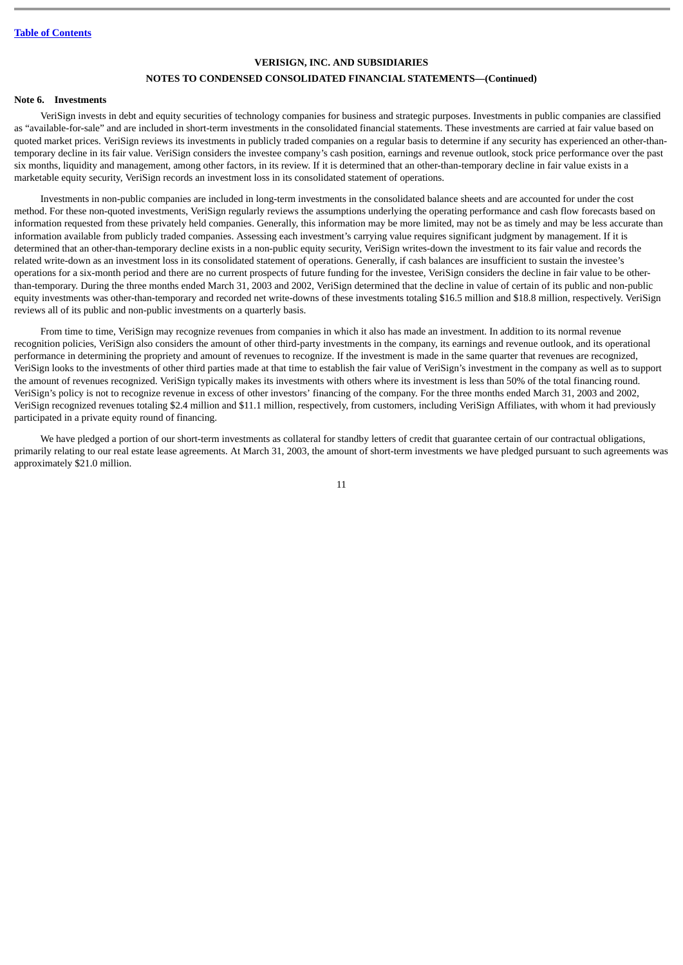#### **NOTES TO CONDENSED CONSOLIDATED FINANCIAL STATEMENTS—(Continued)**

#### **Note 6. Investments**

VeriSign invests in debt and equity securities of technology companies for business and strategic purposes. Investments in public companies are classified as "available-for-sale" and are included in short-term investments in the consolidated financial statements. These investments are carried at fair value based on quoted market prices. VeriSign reviews its investments in publicly traded companies on a regular basis to determine if any security has experienced an other-thantemporary decline in its fair value. VeriSign considers the investee company's cash position, earnings and revenue outlook, stock price performance over the past six months, liquidity and management, among other factors, in its review. If it is determined that an other-than-temporary decline in fair value exists in a marketable equity security, VeriSign records an investment loss in its consolidated statement of operations.

Investments in non-public companies are included in long-term investments in the consolidated balance sheets and are accounted for under the cost method. For these non-quoted investments, VeriSign regularly reviews the assumptions underlying the operating performance and cash flow forecasts based on information requested from these privately held companies. Generally, this information may be more limited, may not be as timely and may be less accurate than information available from publicly traded companies. Assessing each investment's carrying value requires significant judgment by management. If it is determined that an other-than-temporary decline exists in a non-public equity security, VeriSign writes-down the investment to its fair value and records the related write-down as an investment loss in its consolidated statement of operations. Generally, if cash balances are insufficient to sustain the investee's operations for a six-month period and there are no current prospects of future funding for the investee, VeriSign considers the decline in fair value to be otherthan-temporary. During the three months ended March 31, 2003 and 2002, VeriSign determined that the decline in value of certain of its public and non-public equity investments was other-than-temporary and recorded net write-downs of these investments totaling \$16.5 million and \$18.8 million, respectively. VeriSign reviews all of its public and non-public investments on a quarterly basis.

From time to time, VeriSign may recognize revenues from companies in which it also has made an investment. In addition to its normal revenue recognition policies, VeriSign also considers the amount of other third-party investments in the company, its earnings and revenue outlook, and its operational performance in determining the propriety and amount of revenues to recognize. If the investment is made in the same quarter that revenues are recognized, VeriSign looks to the investments of other third parties made at that time to establish the fair value of VeriSign's investment in the company as well as to support the amount of revenues recognized. VeriSign typically makes its investments with others where its investment is less than 50% of the total financing round. VeriSign's policy is not to recognize revenue in excess of other investors' financing of the company. For the three months ended March 31, 2003 and 2002, VeriSign recognized revenues totaling \$2.4 million and \$11.1 million, respectively, from customers, including VeriSign Affiliates, with whom it had previously participated in a private equity round of financing.

We have pledged a portion of our short-term investments as collateral for standby letters of credit that guarantee certain of our contractual obligations, primarily relating to our real estate lease agreements. At March 31, 2003, the amount of short-term investments we have pledged pursuant to such agreements was approximately \$21.0 million.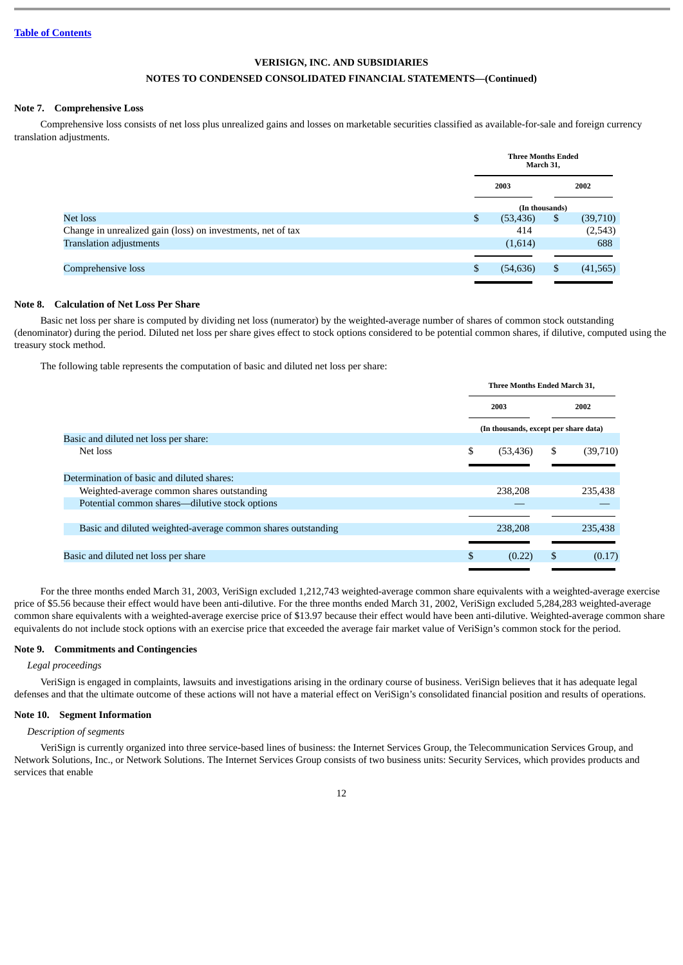#### **NOTES TO CONDENSED CONSOLIDATED FINANCIAL STATEMENTS—(Continued)**

#### **Note 7. Comprehensive Loss**

Comprehensive loss consists of net loss plus unrealized gains and losses on marketable securities classified as available-for-sale and foreign currency translation adjustments.

|                                                             | <b>Three Months Ended</b><br>March 31, |                |           |
|-------------------------------------------------------------|----------------------------------------|----------------|-----------|
|                                                             | 2003                                   |                | 2002      |
|                                                             |                                        | (In thousands) |           |
| Net loss                                                    | \$<br>(53, 436)                        | \$             | (39,710)  |
| Change in unrealized gain (loss) on investments, net of tax | 414                                    |                | (2,543)   |
| <b>Translation adjustments</b>                              | (1,614)                                |                | 688       |
|                                                             |                                        |                |           |
| Comprehensive loss                                          | \$<br>(54, 636)                        | S              | (41, 565) |
|                                                             |                                        |                |           |

#### **Note 8. Calculation of Net Loss Per Share**

Basic net loss per share is computed by dividing net loss (numerator) by the weighted-average number of shares of common stock outstanding (denominator) during the period. Diluted net loss per share gives effect to stock options considered to be potential common shares, if dilutive, computed using the treasury stock method.

The following table represents the computation of basic and diluted net loss per share:

|                                                              | Three Months Ended March 31,          |           |    |          |  |
|--------------------------------------------------------------|---------------------------------------|-----------|----|----------|--|
|                                                              | 2003                                  |           |    | 2002     |  |
|                                                              | (In thousands, except per share data) |           |    |          |  |
| Basic and diluted net loss per share:                        |                                       |           |    |          |  |
| Net loss                                                     | \$                                    | (53, 436) | \$ | (39,710) |  |
| Determination of basic and diluted shares:                   |                                       |           |    |          |  |
| Weighted-average common shares outstanding                   |                                       | 238,208   |    | 235,438  |  |
| Potential common shares—dilutive stock options               |                                       |           |    |          |  |
|                                                              |                                       |           |    |          |  |
| Basic and diluted weighted-average common shares outstanding |                                       | 238,208   |    | 235,438  |  |
|                                                              |                                       |           |    |          |  |
| Basic and diluted net loss per share                         | \$.                                   | (0.22)    | \$ | (0.17)   |  |

For the three months ended March 31, 2003, VeriSign excluded 1,212,743 weighted-average common share equivalents with a weighted-average exercise price of \$5.56 because their effect would have been anti-dilutive. For the three months ended March 31, 2002, VeriSign excluded 5,284,283 weighted-average common share equivalents with a weighted-average exercise price of \$13.97 because their effect would have been anti-dilutive. Weighted-average common share equivalents do not include stock options with an exercise price that exceeded the average fair market value of VeriSign's common stock for the period.

#### **Note 9. Commitments and Contingencies**

#### *Legal proceedings*

VeriSign is engaged in complaints, lawsuits and investigations arising in the ordinary course of business. VeriSign believes that it has adequate legal defenses and that the ultimate outcome of these actions will not have a material effect on VeriSign's consolidated financial position and results of operations.

#### **Note 10. Segment Information**

#### *Description of segments*

VeriSign is currently organized into three service-based lines of business: the Internet Services Group, the Telecommunication Services Group, and Network Solutions, Inc., or Network Solutions. The Internet Services Group consists of two business units: Security Services, which provides products and services that enable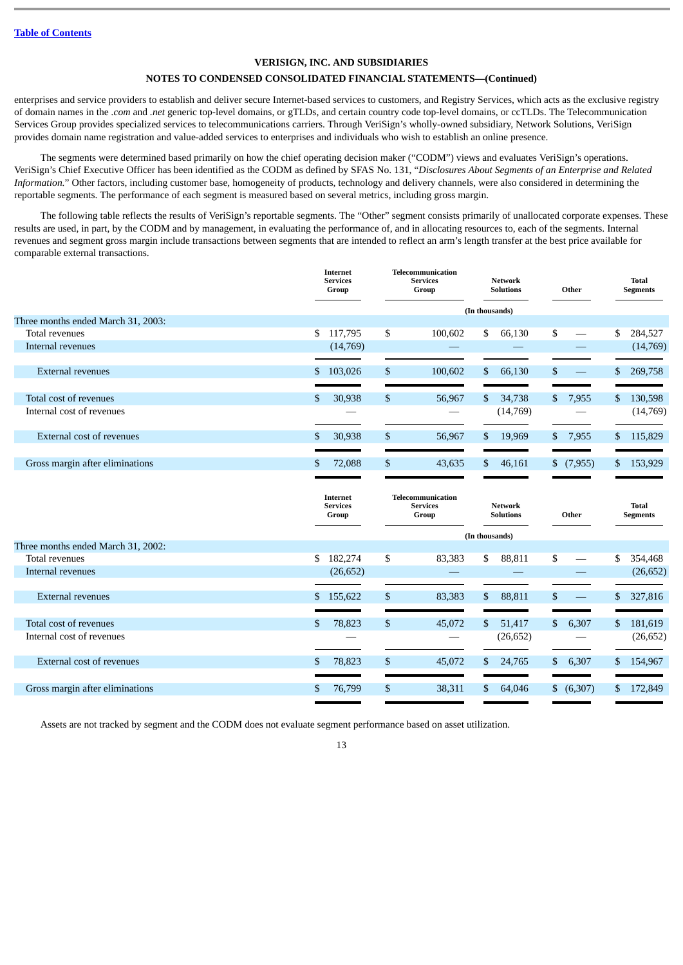#### **NOTES TO CONDENSED CONSOLIDATED FINANCIAL STATEMENTS—(Continued)**

enterprises and service providers to establish and deliver secure Internet-based services to customers, and Registry Services, which acts as the exclusive registry of domain names in the *.com* and *.net* generic top-level domains, or gTLDs, and certain country code top-level domains, or ccTLDs. The Telecommunication Services Group provides specialized services to telecommunications carriers. Through VeriSign's wholly-owned subsidiary, Network Solutions, VeriSign provides domain name registration and value-added services to enterprises and individuals who wish to establish an online presence.

The segments were determined based primarily on how the chief operating decision maker ("CODM") views and evaluates VeriSign's operations. VeriSign's Chief Executive Officer has been identified as the CODM as defined by SFAS No. 131, "*Disclosures About Segments of an Enterprise and Related Information.*" Other factors, including customer base, homogeneity of products, technology and delivery channels, were also considered in determining the reportable segments. The performance of each segment is measured based on several metrics, including gross margin.

The following table reflects the results of VeriSign's reportable segments. The "Other" segment consists primarily of unallocated corporate expenses. These results are used, in part, by the CODM and by management, in evaluating the performance of, and in allocating resources to, each of the segments. Internal revenues and segment gross margin include transactions between segments that are intended to reflect an arm's length transfer at the best price available for comparable external transactions.

|                                    | Internet<br><b>Services</b><br>Group |              | Telecommunication<br><b>Services</b><br>Group |              | <b>Network</b><br><b>Solutions</b> |    | Other     |                | <b>Total</b><br><b>Segments</b> |
|------------------------------------|--------------------------------------|--------------|-----------------------------------------------|--------------|------------------------------------|----|-----------|----------------|---------------------------------|
|                                    |                                      |              |                                               |              | (In thousands)                     |    |           |                |                                 |
| Three months ended March 31, 2003: |                                      |              |                                               |              |                                    |    |           |                |                                 |
| Total revenues                     | 117,795<br><sup>\$</sup>             | \$           | 100,602                                       | \$           | 66,130                             | \$ |           | \$             | 284,527                         |
| Internal revenues                  | (14,769)                             |              |                                               |              |                                    |    |           |                | (14,769)                        |
|                                    |                                      |              |                                               |              |                                    |    |           |                |                                 |
| External revenues                  | \$103,026                            | $\mathbb{S}$ | 100,602                                       | $\mathbb{S}$ | 66,130                             | S. |           | $\mathbb{S}^-$ | 269,758                         |
|                                    |                                      |              |                                               |              |                                    |    |           |                |                                 |
| Total cost of revenues             | 30,938<br>\$.                        | \$           | 56,967                                        | $\mathbf{s}$ | 34,738                             | \$ | 7,955     | <sup>\$</sup>  | 130,598                         |
| Internal cost of revenues          |                                      |              |                                               |              | (14,769)                           |    |           |                | (14,769)                        |
|                                    |                                      |              |                                               |              |                                    |    |           |                |                                 |
| External cost of revenues          | 30,938<br>\$.                        | \$           | 56,967                                        | $\mathbb{S}$ | 19,969                             |    | \$7,955   | $\mathbb{S}$   | 115,829                         |
|                                    |                                      |              |                                               |              |                                    |    |           |                |                                 |
| Gross margin after eliminations    | 72,088<br>\$.                        | \$           | 43,635                                        | $\mathbb{S}$ | 46,161                             |    | \$(7,955) | S.             | 153,929                         |
|                                    |                                      |              |                                               |              |                                    |    |           |                |                                 |

|                                    | Internet<br><b>Services</b><br>Group | Telecommunication<br><b>Services</b><br>Group |                | Network<br><b>Solutions</b> |              |            |                |           |  |  |  | Other |  | <b>Total</b><br><b>Segments</b> |
|------------------------------------|--------------------------------------|-----------------------------------------------|----------------|-----------------------------|--------------|------------|----------------|-----------|--|--|--|-------|--|---------------------------------|
|                                    |                                      |                                               | (In thousands) |                             |              |            |                |           |  |  |  |       |  |                                 |
| Three months ended March 31, 2002: |                                      |                                               |                |                             |              |            |                |           |  |  |  |       |  |                                 |
| Total revenues                     | \$<br>182,274                        | \$<br>83,383                                  | \$             | 88,811                      | \$           |            | \$             | 354,468   |  |  |  |       |  |                                 |
| Internal revenues                  | (26, 652)                            | —                                             |                |                             |              |            |                | (26, 652) |  |  |  |       |  |                                 |
|                                    |                                      |                                               |                |                             |              |            |                |           |  |  |  |       |  |                                 |
| External revenues                  | \$155,622                            | \$<br>83,383                                  | $\mathbb{S}$   | 88,811                      | \$           |            | \$             | 327,816   |  |  |  |       |  |                                 |
|                                    |                                      |                                               |                |                             |              |            |                |           |  |  |  |       |  |                                 |
| Total cost of revenues             | 78,823<br>\$                         | \$<br>45,072                                  | $\mathbb{S}$   | 51,417                      | $\mathbb{S}$ | 6,307      | $\mathbb{S}^-$ | 181,619   |  |  |  |       |  |                                 |
| Internal cost of revenues          |                                      |                                               |                | (26, 652)                   |              |            |                | (26, 652) |  |  |  |       |  |                                 |
|                                    |                                      |                                               |                |                             |              |            |                |           |  |  |  |       |  |                                 |
| External cost of revenues          | $\mathcal{S}$<br>78,823              | \$<br>45,072                                  | $\mathbb{S}$   | 24,765                      |              | \$6,307    | $\mathbf{s}$   | 154,967   |  |  |  |       |  |                                 |
|                                    |                                      |                                               |                |                             |              |            |                |           |  |  |  |       |  |                                 |
| Gross margin after eliminations    | 76,799<br>$\mathbb{S}$               | \$<br>38,311                                  | \$             | 64,046                      |              | \$ (6,307) | S.             | 172,849   |  |  |  |       |  |                                 |
|                                    |                                      |                                               |                |                             |              |            |                |           |  |  |  |       |  |                                 |

Assets are not tracked by segment and the CODM does not evaluate segment performance based on asset utilization.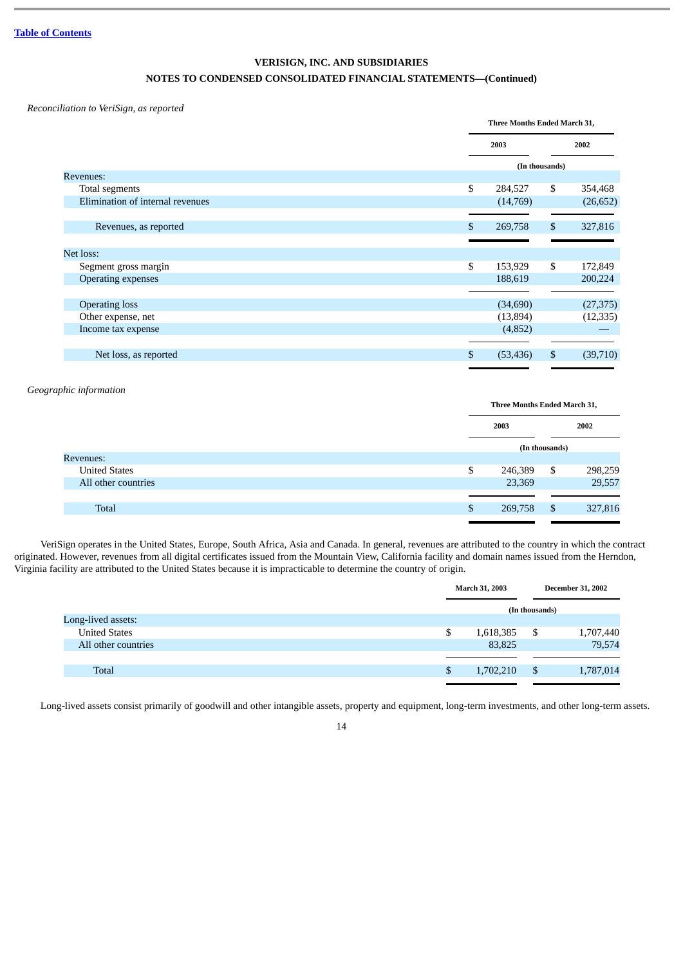### **VERISIGN, INC. AND SUBSIDIARIES NOTES TO CONDENSED CONSOLIDATED FINANCIAL STATEMENTS—(Continued)**

*Reconciliation to VeriSign, as reported*

|    | Three Months Ended March 31, |    |                |  |
|----|------------------------------|----|----------------|--|
|    | 2003                         |    | 2002           |  |
|    |                              |    |                |  |
|    |                              |    |                |  |
| \$ | 284,527                      | \$ | 354,468        |  |
|    | (14,769)                     |    | (26, 652)      |  |
|    |                              |    |                |  |
| \$ | 269,758                      | \$ | 327,816        |  |
|    |                              |    |                |  |
|    |                              |    |                |  |
| \$ | 153,929                      | \$ | 172,849        |  |
|    | 188,619                      |    | 200,224        |  |
|    |                              |    |                |  |
|    | (34,690)                     |    | (27, 375)      |  |
|    | (13,894)                     |    | (12, 335)      |  |
|    | (4,852)                      |    |                |  |
|    |                              |    |                |  |
| \$ | (53, 436)                    | \$ | (39,710)       |  |
|    |                              |    | (In thousands) |  |

*Geographic information*

|                      | Three Months Ended March 31, |         |                |         |
|----------------------|------------------------------|---------|----------------|---------|
|                      | 2003                         |         |                | 2002    |
|                      |                              |         | (In thousands) |         |
| Revenues:            |                              |         |                |         |
| <b>United States</b> | \$                           | 246,389 | \$             | 298,259 |
| All other countries  |                              | 23,369  |                | 29,557  |
|                      |                              |         |                |         |
| Total                | \$                           | 269,758 | \$             | 327,816 |
|                      |                              |         |                |         |

VeriSign operates in the United States, Europe, South Africa, Asia and Canada. In general, revenues are attributed to the country in which the contract originated. However, revenues from all digital certificates issued from the Mountain View, California facility and domain names issued from the Herndon, Virginia facility are attributed to the United States because it is impracticable to determine the country of origin.

|                      | <b>March 31, 2003</b> |           |                | <b>December 31, 2002</b> |  |
|----------------------|-----------------------|-----------|----------------|--------------------------|--|
|                      |                       |           | (In thousands) |                          |  |
| Long-lived assets:   |                       |           |                |                          |  |
| <b>United States</b> | \$                    | 1,618,385 | S              | 1,707,440                |  |
| All other countries  |                       | 83,825    |                | 79,574                   |  |
|                      |                       |           |                |                          |  |
| <b>Total</b>         | \$                    | 1,702,210 | \$             | 1,787,014                |  |
|                      |                       |           |                |                          |  |

Long-lived assets consist primarily of goodwill and other intangible assets, property and equipment, long-term investments, and other long-term assets.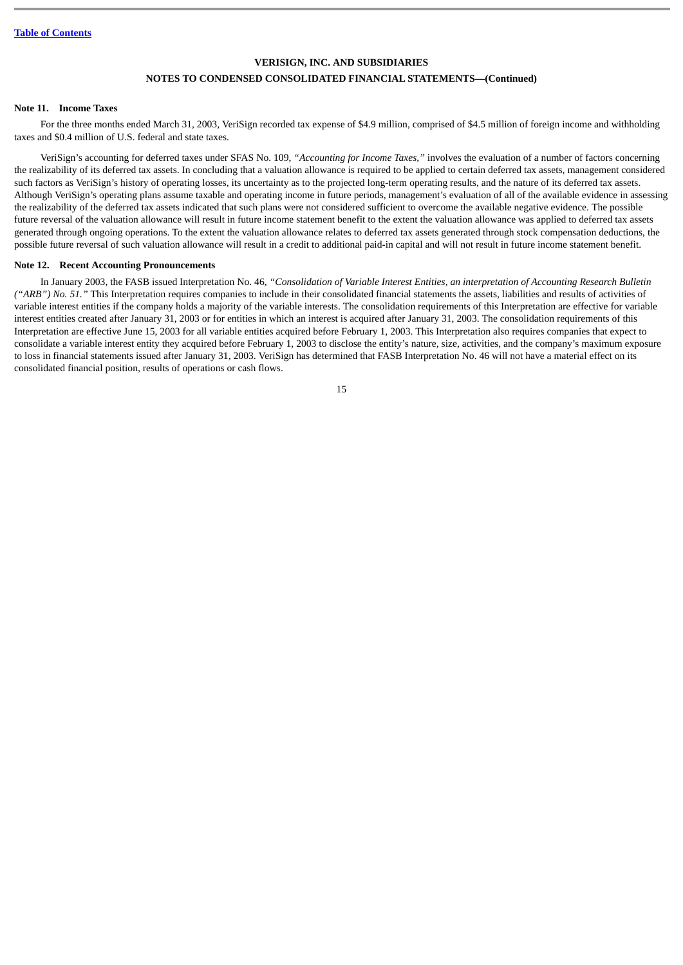### **VERISIGN, INC. AND SUBSIDIARIES NOTES TO CONDENSED CONSOLIDATED FINANCIAL STATEMENTS—(Continued)**

#### **Note 11. Income Taxes**

For the three months ended March 31, 2003, VeriSign recorded tax expense of \$4.9 million, comprised of \$4.5 million of foreign income and withholding taxes and \$0.4 million of U.S. federal and state taxes.

VeriSign's accounting for deferred taxes under SFAS No. 109, *"Accounting for Income Taxes,"* involves the evaluation of a number of factors concerning the realizability of its deferred tax assets. In concluding that a valuation allowance is required to be applied to certain deferred tax assets, management considered such factors as VeriSign's history of operating losses, its uncertainty as to the projected long-term operating results, and the nature of its deferred tax assets. Although VeriSign's operating plans assume taxable and operating income in future periods, management's evaluation of all of the available evidence in assessing the realizability of the deferred tax assets indicated that such plans were not considered sufficient to overcome the available negative evidence. The possible future reversal of the valuation allowance will result in future income statement benefit to the extent the valuation allowance was applied to deferred tax assets generated through ongoing operations. To the extent the valuation allowance relates to deferred tax assets generated through stock compensation deductions, the possible future reversal of such valuation allowance will result in a credit to additional paid-in capital and will not result in future income statement benefit.

#### **Note 12. Recent Accounting Pronouncements**

In January 2003, the FASB issued Interpretation No. 46, *"Consolidation of Variable Interest Entities, an interpretation of Accounting Research Bulletin ("ARB") No. 51."* This Interpretation requires companies to include in their consolidated financial statements the assets, liabilities and results of activities of variable interest entities if the company holds a majority of the variable interests. The consolidation requirements of this Interpretation are effective for variable interest entities created after January 31, 2003 or for entities in which an interest is acquired after January 31, 2003. The consolidation requirements of this Interpretation are effective June 15, 2003 for all variable entities acquired before February 1, 2003. This Interpretation also requires companies that expect to consolidate a variable interest entity they acquired before February 1, 2003 to disclose the entity's nature, size, activities, and the company's maximum exposure to loss in financial statements issued after January 31, 2003. VeriSign has determined that FASB Interpretation No. 46 will not have a material effect on its consolidated financial position, results of operations or cash flows.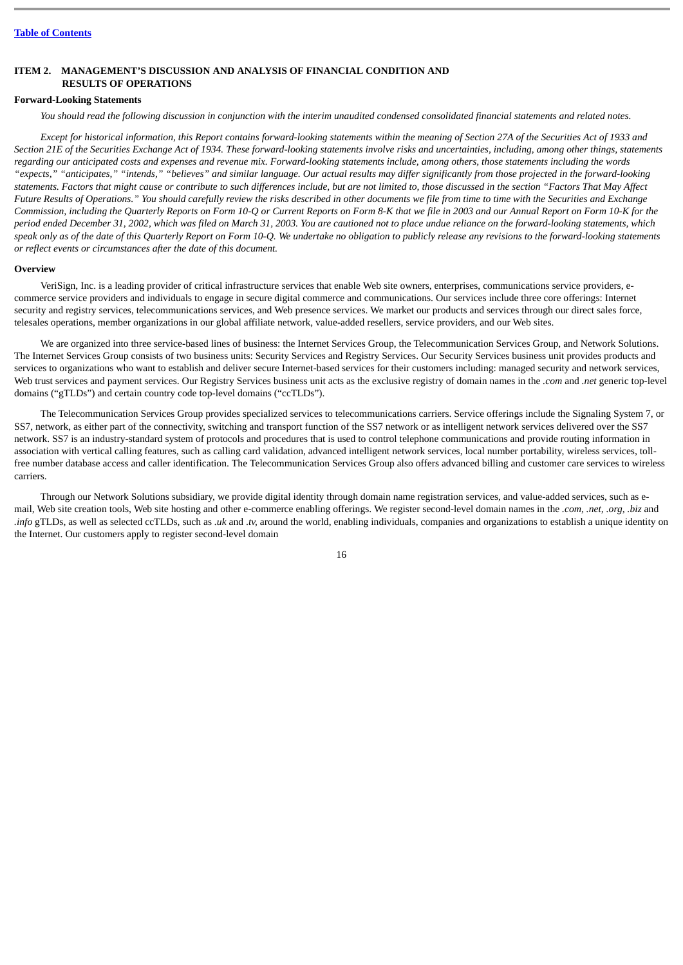#### **Table of [Contents](#page-1-0)**

#### <span id="page-15-0"></span>**ITEM 2. MANAGEMENT'S DISCUSSION AND ANALYSIS OF FINANCIAL CONDITION AND RESULTS OF OPERATIONS**

#### **Forward-Looking Statements**

#### *You should read the following discussion in conjunction with the interim unaudited condensed consolidated financial statements and related notes.*

*Except for historical information, this Report contains forward-looking statements within the meaning of Section 27A of the Securities Act of 1933 and Section 21E of the Securities Exchange Act of 1934. These forward-looking statements involve risks and uncertainties, including, among other things, statements regarding our anticipated costs and expenses and revenue mix. Forward-looking statements include, among others, those statements including the words "expects," "anticipates," "intends," "believes" and similar language. Our actual results may differ significantly from those projected in the forward-looking statements. Factors that might cause or contribute to such differences include, but are not limited to, those discussed in the section "Factors That May Affect Future Results of Operations." You should carefully review the risks described in other documents we file from time to time with the Securities and Exchange Commission, including the Quarterly Reports on Form 10-Q or Current Reports on Form 8-K that we file in 2003 and our Annual Report on Form 10-K for the period ended December 31, 2002, which was filed on March 31, 2003. You are cautioned not to place undue reliance on the forward-looking statements, which speak only as of the date of this Quarterly Report on Form 10-Q. We undertake no obligation to publicly release any revisions to the forward-looking statements or reflect events or circumstances after the date of this document.*

#### **Overview**

VeriSign, Inc. is a leading provider of critical infrastructure services that enable Web site owners, enterprises, communications service providers, ecommerce service providers and individuals to engage in secure digital commerce and communications. Our services include three core offerings: Internet security and registry services, telecommunications services, and Web presence services. We market our products and services through our direct sales force, telesales operations, member organizations in our global affiliate network, value-added resellers, service providers, and our Web sites.

We are organized into three service-based lines of business: the Internet Services Group, the Telecommunication Services Group, and Network Solutions. The Internet Services Group consists of two business units: Security Services and Registry Services. Our Security Services business unit provides products and services to organizations who want to establish and deliver secure Internet-based services for their customers including: managed security and network services, Web trust services and payment services. Our Registry Services business unit acts as the exclusive registry of domain names in the *.com* and *.net* generic top-level domains ("gTLDs") and certain country code top-level domains ("ccTLDs").

The Telecommunication Services Group provides specialized services to telecommunications carriers. Service offerings include the Signaling System 7, or SS7, network, as either part of the connectivity, switching and transport function of the SS7 network or as intelligent network services delivered over the SS7 network. SS7 is an industry-standard system of protocols and procedures that is used to control telephone communications and provide routing information in association with vertical calling features, such as calling card validation, advanced intelligent network services, local number portability, wireless services, tollfree number database access and caller identification. The Telecommunication Services Group also offers advanced billing and customer care services to wireless carriers.

Through our Network Solutions subsidiary, we provide digital identity through domain name registration services, and value-added services, such as email, Web site creation tools, Web site hosting and other e-commerce enabling offerings. We register second-level domain names in the *.com, .net, .org, .biz* and *info* gTLDs, as well as selected ccTLDs, such as *.uk* and *.tv*, around the world, enabling individuals, companies and organizations to establish a unique identity on the Internet. Our customers apply to register second-level domain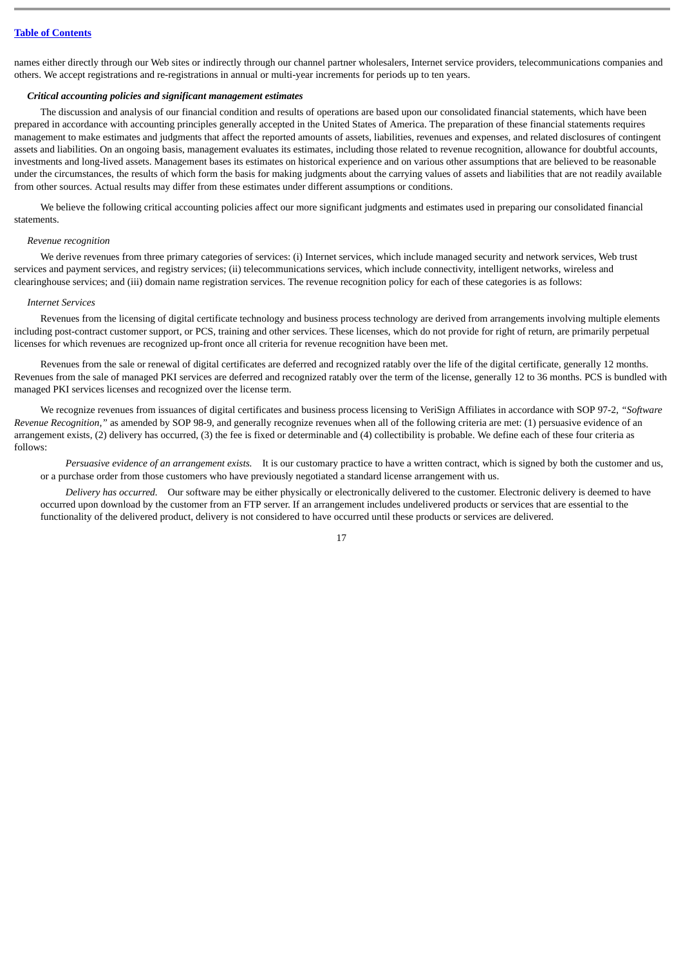names either directly through our Web sites or indirectly through our channel partner wholesalers, Internet service providers, telecommunications companies and others. We accept registrations and re-registrations in annual or multi-year increments for periods up to ten years.

#### *Critical accounting policies and significant management estimates*

The discussion and analysis of our financial condition and results of operations are based upon our consolidated financial statements, which have been prepared in accordance with accounting principles generally accepted in the United States of America. The preparation of these financial statements requires management to make estimates and judgments that affect the reported amounts of assets, liabilities, revenues and expenses, and related disclosures of contingent assets and liabilities. On an ongoing basis, management evaluates its estimates, including those related to revenue recognition, allowance for doubtful accounts, investments and long-lived assets. Management bases its estimates on historical experience and on various other assumptions that are believed to be reasonable under the circumstances, the results of which form the basis for making judgments about the carrying values of assets and liabilities that are not readily available from other sources. Actual results may differ from these estimates under different assumptions or conditions.

We believe the following critical accounting policies affect our more significant judgments and estimates used in preparing our consolidated financial statements.

#### *Revenue recognition*

We derive revenues from three primary categories of services: (i) Internet services, which include managed security and network services, Web trust services and payment services, and registry services; (ii) telecommunications services, which include connectivity, intelligent networks, wireless and clearinghouse services; and (iii) domain name registration services. The revenue recognition policy for each of these categories is as follows:

#### *Internet Services*

Revenues from the licensing of digital certificate technology and business process technology are derived from arrangements involving multiple elements including post-contract customer support, or PCS, training and other services. These licenses, which do not provide for right of return, are primarily perpetual licenses for which revenues are recognized up-front once all criteria for revenue recognition have been met.

Revenues from the sale or renewal of digital certificates are deferred and recognized ratably over the life of the digital certificate, generally 12 months. Revenues from the sale of managed PKI services are deferred and recognized ratably over the term of the license, generally 12 to 36 months. PCS is bundled with managed PKI services licenses and recognized over the license term.

We recognize revenues from issuances of digital certificates and business process licensing to VeriSign Affiliates in accordance with SOP 97-2, *"Software Revenue Recognition,"* as amended by SOP 98-9, and generally recognize revenues when all of the following criteria are met: (1) persuasive evidence of an arrangement exists, (2) delivery has occurred, (3) the fee is fixed or determinable and (4) collectibility is probable. We define each of these four criteria as follows:

*Persuasive evidence of an arrangement exists.* It is our customary practice to have a written contract, which is signed by both the customer and us, or a purchase order from those customers who have previously negotiated a standard license arrangement with us.

*Delivery has occurred.* Our software may be either physically or electronically delivered to the customer. Electronic delivery is deemed to have occurred upon download by the customer from an FTP server. If an arrangement includes undelivered products or services that are essential to the functionality of the delivered product, delivery is not considered to have occurred until these products or services are delivered.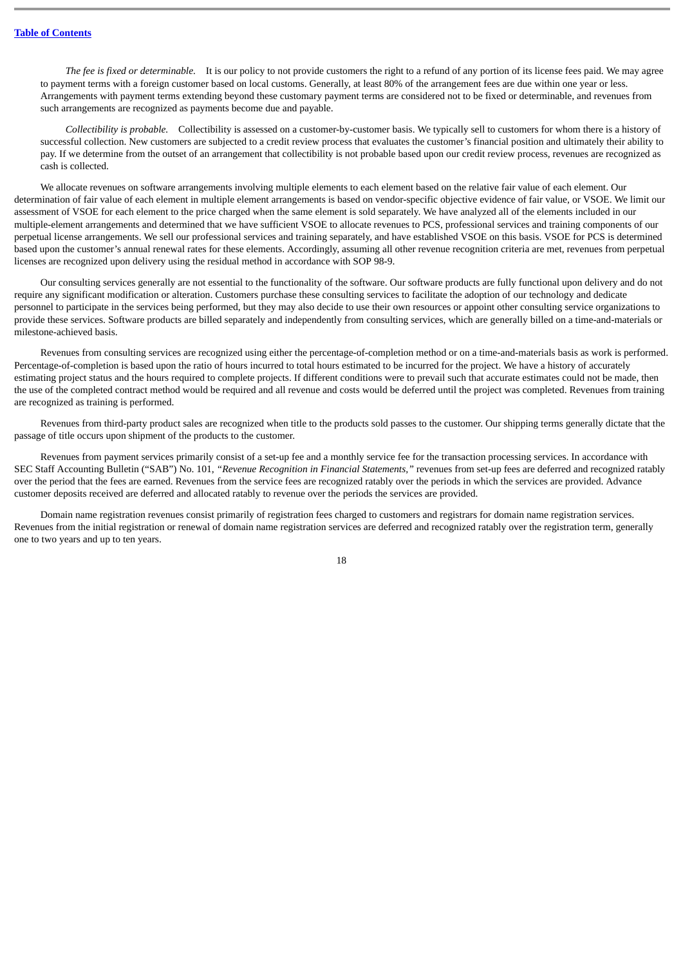*The fee is fixed or determinable.* It is our policy to not provide customers the right to a refund of any portion of its license fees paid. We may agree to payment terms with a foreign customer based on local customs. Generally, at least 80% of the arrangement fees are due within one year or less. Arrangements with payment terms extending beyond these customary payment terms are considered not to be fixed or determinable, and revenues from such arrangements are recognized as payments become due and payable.

*Collectibility is probable.* Collectibility is assessed on a customer-by-customer basis. We typically sell to customers for whom there is a history of successful collection. New customers are subjected to a credit review process that evaluates the customer's financial position and ultimately their ability to pay. If we determine from the outset of an arrangement that collectibility is not probable based upon our credit review process, revenues are recognized as cash is collected.

We allocate revenues on software arrangements involving multiple elements to each element based on the relative fair value of each element. Our determination of fair value of each element in multiple element arrangements is based on vendor-specific objective evidence of fair value, or VSOE. We limit our assessment of VSOE for each element to the price charged when the same element is sold separately. We have analyzed all of the elements included in our multiple-element arrangements and determined that we have sufficient VSOE to allocate revenues to PCS, professional services and training components of our perpetual license arrangements. We sell our professional services and training separately, and have established VSOE on this basis. VSOE for PCS is determined based upon the customer's annual renewal rates for these elements. Accordingly, assuming all other revenue recognition criteria are met, revenues from perpetual licenses are recognized upon delivery using the residual method in accordance with SOP 98-9.

Our consulting services generally are not essential to the functionality of the software. Our software products are fully functional upon delivery and do not require any significant modification or alteration. Customers purchase these consulting services to facilitate the adoption of our technology and dedicate personnel to participate in the services being performed, but they may also decide to use their own resources or appoint other consulting service organizations to provide these services. Software products are billed separately and independently from consulting services, which are generally billed on a time-and-materials or milestone-achieved basis.

Revenues from consulting services are recognized using either the percentage-of-completion method or on a time-and-materials basis as work is performed. Percentage-of-completion is based upon the ratio of hours incurred to total hours estimated to be incurred for the project. We have a history of accurately estimating project status and the hours required to complete projects. If different conditions were to prevail such that accurate estimates could not be made, then the use of the completed contract method would be required and all revenue and costs would be deferred until the project was completed. Revenues from training are recognized as training is performed.

Revenues from third-party product sales are recognized when title to the products sold passes to the customer. Our shipping terms generally dictate that the passage of title occurs upon shipment of the products to the customer.

Revenues from payment services primarily consist of a set-up fee and a monthly service fee for the transaction processing services. In accordance with SEC Staff Accounting Bulletin ("SAB") No. 101, *"Revenue Recognition in Financial Statements,"* revenues from set-up fees are deferred and recognized ratably over the period that the fees are earned. Revenues from the service fees are recognized ratably over the periods in which the services are provided. Advance customer deposits received are deferred and allocated ratably to revenue over the periods the services are provided.

Domain name registration revenues consist primarily of registration fees charged to customers and registrars for domain name registration services. Revenues from the initial registration or renewal of domain name registration services are deferred and recognized ratably over the registration term, generally one to two years and up to ten years.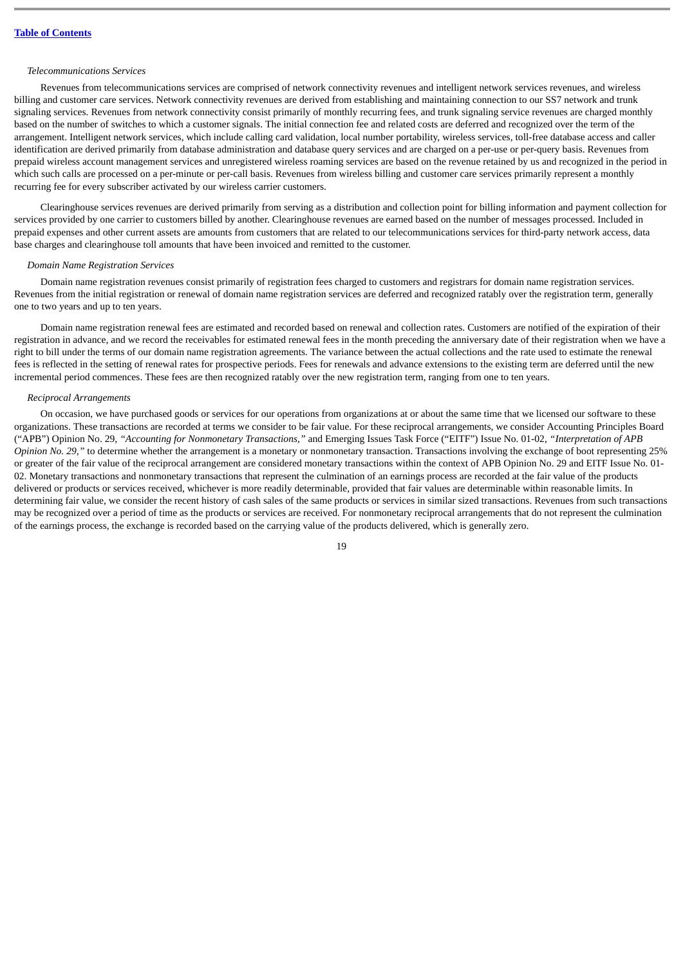#### *Telecommunications Services*

Revenues from telecommunications services are comprised of network connectivity revenues and intelligent network services revenues, and wireless billing and customer care services. Network connectivity revenues are derived from establishing and maintaining connection to our SS7 network and trunk signaling services. Revenues from network connectivity consist primarily of monthly recurring fees, and trunk signaling service revenues are charged monthly based on the number of switches to which a customer signals. The initial connection fee and related costs are deferred and recognized over the term of the arrangement. Intelligent network services, which include calling card validation, local number portability, wireless services, toll-free database access and caller identification are derived primarily from database administration and database query services and are charged on a per-use or per-query basis. Revenues from prepaid wireless account management services and unregistered wireless roaming services are based on the revenue retained by us and recognized in the period in which such calls are processed on a per-minute or per-call basis. Revenues from wireless billing and customer care services primarily represent a monthly recurring fee for every subscriber activated by our wireless carrier customers.

Clearinghouse services revenues are derived primarily from serving as a distribution and collection point for billing information and payment collection for services provided by one carrier to customers billed by another. Clearinghouse revenues are earned based on the number of messages processed. Included in prepaid expenses and other current assets are amounts from customers that are related to our telecommunications services for third-party network access, data base charges and clearinghouse toll amounts that have been invoiced and remitted to the customer.

#### *Domain Name Registration Services*

Domain name registration revenues consist primarily of registration fees charged to customers and registrars for domain name registration services. Revenues from the initial registration or renewal of domain name registration services are deferred and recognized ratably over the registration term, generally one to two years and up to ten years.

Domain name registration renewal fees are estimated and recorded based on renewal and collection rates. Customers are notified of the expiration of their registration in advance, and we record the receivables for estimated renewal fees in the month preceding the anniversary date of their registration when we have a right to bill under the terms of our domain name registration agreements. The variance between the actual collections and the rate used to estimate the renewal fees is reflected in the setting of renewal rates for prospective periods. Fees for renewals and advance extensions to the existing term are deferred until the new incremental period commences. These fees are then recognized ratably over the new registration term, ranging from one to ten years.

#### *Reciprocal Arrangements*

On occasion, we have purchased goods or services for our operations from organizations at or about the same time that we licensed our software to these organizations. These transactions are recorded at terms we consider to be fair value. For these reciprocal arrangements, we consider Accounting Principles Board ("APB") Opinion No. 29, *"Accounting for Nonmonetary Transactions,"* and Emerging Issues Task Force ("EITF") Issue No. 01-02, *"Interpretation of APB Opinion No. 29,"* to determine whether the arrangement is a monetary or nonmonetary transaction. Transactions involving the exchange of boot representing 25% or greater of the fair value of the reciprocal arrangement are considered monetary transactions within the context of APB Opinion No. 29 and EITF Issue No. 01- 02. Monetary transactions and nonmonetary transactions that represent the culmination of an earnings process are recorded at the fair value of the products delivered or products or services received, whichever is more readily determinable, provided that fair values are determinable within reasonable limits. In determining fair value, we consider the recent history of cash sales of the same products or services in similar sized transactions. Revenues from such transactions may be recognized over a period of time as the products or services are received. For nonmonetary reciprocal arrangements that do not represent the culmination of the earnings process, the exchange is recorded based on the carrying value of the products delivered, which is generally zero.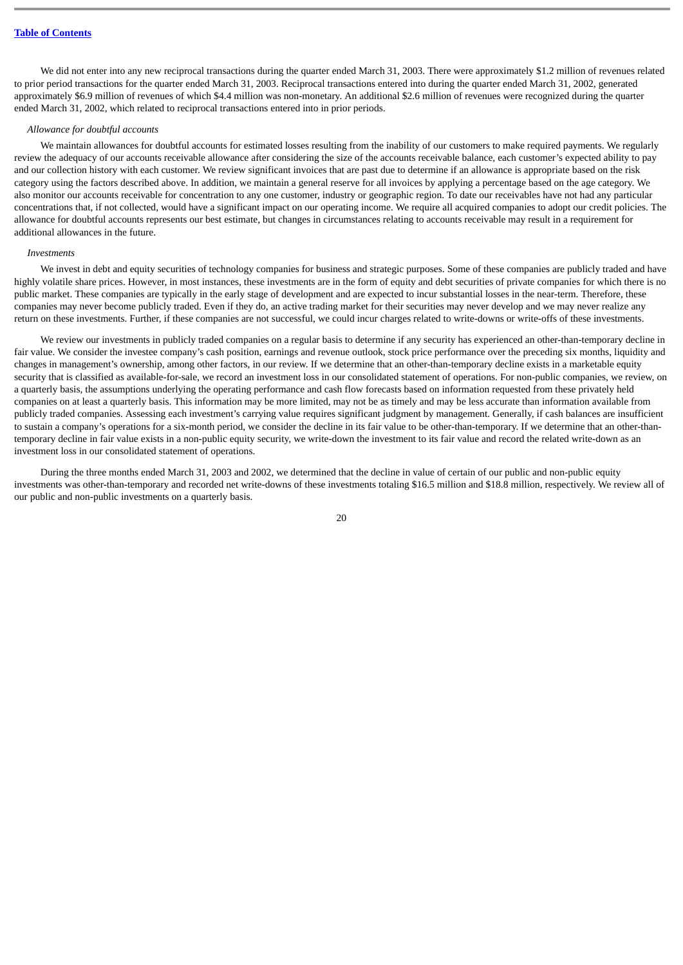#### **Table of [Contents](#page-1-0)**

We did not enter into any new reciprocal transactions during the quarter ended March 31, 2003. There were approximately \$1.2 million of revenues related to prior period transactions for the quarter ended March 31, 2003. Reciprocal transactions entered into during the quarter ended March 31, 2002, generated approximately \$6.9 million of revenues of which \$4.4 million was non-monetary. An additional \$2.6 million of revenues were recognized during the quarter ended March 31, 2002, which related to reciprocal transactions entered into in prior periods.

#### *Allowance for doubtful accounts*

We maintain allowances for doubtful accounts for estimated losses resulting from the inability of our customers to make required payments. We regularly review the adequacy of our accounts receivable allowance after considering the size of the accounts receivable balance, each customer's expected ability to pay and our collection history with each customer. We review significant invoices that are past due to determine if an allowance is appropriate based on the risk category using the factors described above. In addition, we maintain a general reserve for all invoices by applying a percentage based on the age category. We also monitor our accounts receivable for concentration to any one customer, industry or geographic region. To date our receivables have not had any particular concentrations that, if not collected, would have a significant impact on our operating income. We require all acquired companies to adopt our credit policies. The allowance for doubtful accounts represents our best estimate, but changes in circumstances relating to accounts receivable may result in a requirement for additional allowances in the future.

#### *Investments*

We invest in debt and equity securities of technology companies for business and strategic purposes. Some of these companies are publicly traded and have highly volatile share prices. However, in most instances, these investments are in the form of equity and debt securities of private companies for which there is no public market. These companies are typically in the early stage of development and are expected to incur substantial losses in the near-term. Therefore, these companies may never become publicly traded. Even if they do, an active trading market for their securities may never develop and we may never realize any return on these investments. Further, if these companies are not successful, we could incur charges related to write-downs or write-offs of these investments.

We review our investments in publicly traded companies on a regular basis to determine if any security has experienced an other-than-temporary decline in fair value. We consider the investee company's cash position, earnings and revenue outlook, stock price performance over the preceding six months, liquidity and changes in management's ownership, among other factors, in our review. If we determine that an other-than-temporary decline exists in a marketable equity security that is classified as available-for-sale, we record an investment loss in our consolidated statement of operations. For non-public companies, we review, on a quarterly basis, the assumptions underlying the operating performance and cash flow forecasts based on information requested from these privately held companies on at least a quarterly basis. This information may be more limited, may not be as timely and may be less accurate than information available from publicly traded companies. Assessing each investment's carrying value requires significant judgment by management. Generally, if cash balances are insufficient to sustain a company's operations for a six-month period, we consider the decline in its fair value to be other-than-temporary. If we determine that an other-thantemporary decline in fair value exists in a non-public equity security, we write-down the investment to its fair value and record the related write-down as an investment loss in our consolidated statement of operations.

During the three months ended March 31, 2003 and 2002, we determined that the decline in value of certain of our public and non-public equity investments was other-than-temporary and recorded net write-downs of these investments totaling \$16.5 million and \$18.8 million, respectively. We review all of our public and non-public investments on a quarterly basis.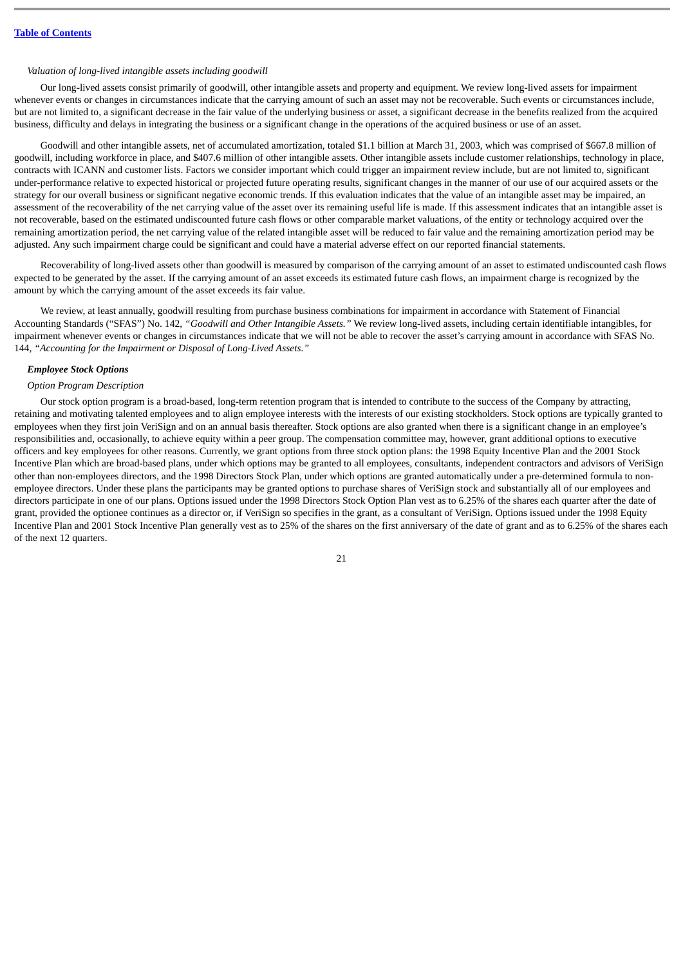#### *Valuation of long-lived intangible assets including goodwill*

Our long-lived assets consist primarily of goodwill, other intangible assets and property and equipment. We review long-lived assets for impairment whenever events or changes in circumstances indicate that the carrying amount of such an asset may not be recoverable. Such events or circumstances include, but are not limited to, a significant decrease in the fair value of the underlying business or asset, a significant decrease in the benefits realized from the acquired business, difficulty and delays in integrating the business or a significant change in the operations of the acquired business or use of an asset.

Goodwill and other intangible assets, net of accumulated amortization, totaled \$1.1 billion at March 31, 2003, which was comprised of \$667.8 million of goodwill, including workforce in place, and \$407.6 million of other intangible assets. Other intangible assets include customer relationships, technology in place, contracts with ICANN and customer lists. Factors we consider important which could trigger an impairment review include, but are not limited to, significant under-performance relative to expected historical or projected future operating results, significant changes in the manner of our use of our acquired assets or the strategy for our overall business or significant negative economic trends. If this evaluation indicates that the value of an intangible asset may be impaired, an assessment of the recoverability of the net carrying value of the asset over its remaining useful life is made. If this assessment indicates that an intangible asset is not recoverable, based on the estimated undiscounted future cash flows or other comparable market valuations, of the entity or technology acquired over the remaining amortization period, the net carrying value of the related intangible asset will be reduced to fair value and the remaining amortization period may be adjusted. Any such impairment charge could be significant and could have a material adverse effect on our reported financial statements.

Recoverability of long-lived assets other than goodwill is measured by comparison of the carrying amount of an asset to estimated undiscounted cash flows expected to be generated by the asset. If the carrying amount of an asset exceeds its estimated future cash flows, an impairment charge is recognized by the amount by which the carrying amount of the asset exceeds its fair value.

We review, at least annually, goodwill resulting from purchase business combinations for impairment in accordance with Statement of Financial Accounting Standards ("SFAS") No. 142, *"Goodwill and Other Intangible Assets."* We review long-lived assets, including certain identifiable intangibles, for impairment whenever events or changes in circumstances indicate that we will not be able to recover the asset's carrying amount in accordance with SFAS No. 144, *"Accounting for the Impairment or Disposal of Long-Lived Assets."*

#### *Employee Stock Options*

#### *Option Program Description*

Our stock option program is a broad-based, long-term retention program that is intended to contribute to the success of the Company by attracting, retaining and motivating talented employees and to align employee interests with the interests of our existing stockholders. Stock options are typically granted to employees when they first join VeriSign and on an annual basis thereafter. Stock options are also granted when there is a significant change in an employee's responsibilities and, occasionally, to achieve equity within a peer group. The compensation committee may, however, grant additional options to executive officers and key employees for other reasons. Currently, we grant options from three stock option plans: the 1998 Equity Incentive Plan and the 2001 Stock Incentive Plan which are broad-based plans, under which options may be granted to all employees, consultants, independent contractors and advisors of VeriSign other than non-employees directors, and the 1998 Directors Stock Plan, under which options are granted automatically under a pre-determined formula to nonemployee directors. Under these plans the participants may be granted options to purchase shares of VeriSign stock and substantially all of our employees and directors participate in one of our plans. Options issued under the 1998 Directors Stock Option Plan vest as to 6.25% of the shares each quarter after the date of grant, provided the optionee continues as a director or, if VeriSign so specifies in the grant, as a consultant of VeriSign. Options issued under the 1998 Equity Incentive Plan and 2001 Stock Incentive Plan generally vest as to 25% of the shares on the first anniversary of the date of grant and as to 6.25% of the shares each of the next 12 quarters.

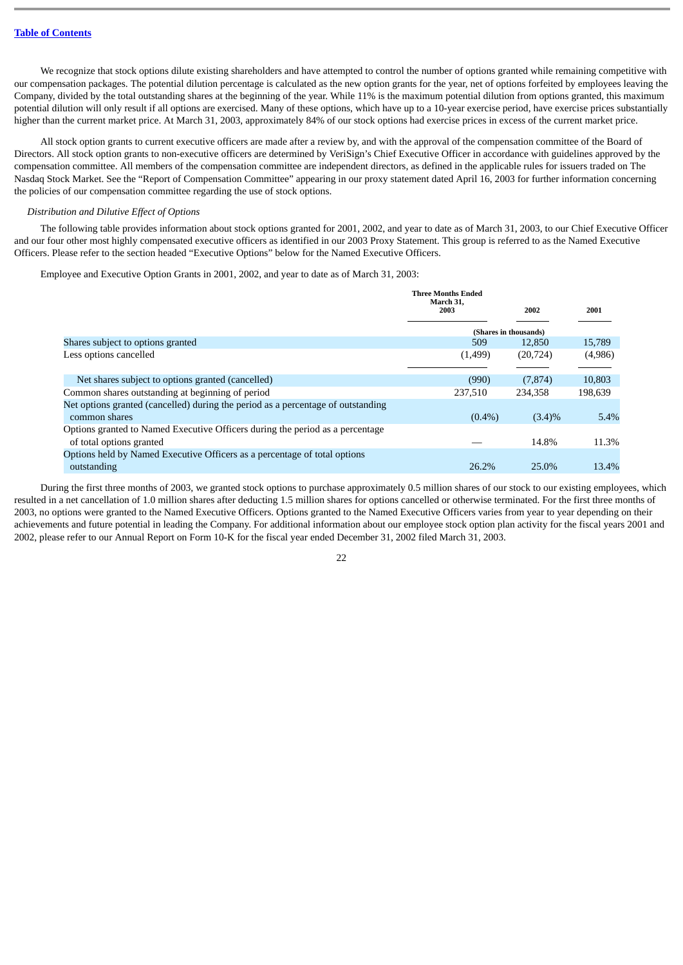We recognize that stock options dilute existing shareholders and have attempted to control the number of options granted while remaining competitive with our compensation packages. The potential dilution percentage is calculated as the new option grants for the year, net of options forfeited by employees leaving the Company, divided by the total outstanding shares at the beginning of the year. While 11% is the maximum potential dilution from options granted, this maximum potential dilution will only result if all options are exercised. Many of these options, which have up to a 10-year exercise period, have exercise prices substantially higher than the current market price. At March 31, 2003, approximately 84% of our stock options had exercise prices in excess of the current market price.

All stock option grants to current executive officers are made after a review by, and with the approval of the compensation committee of the Board of Directors. All stock option grants to non-executive officers are determined by VeriSign's Chief Executive Officer in accordance with guidelines approved by the compensation committee. All members of the compensation committee are independent directors, as defined in the applicable rules for issuers traded on The Nasdaq Stock Market. See the "Report of Compensation Committee" appearing in our proxy statement dated April 16, 2003 for further information concerning the policies of our compensation committee regarding the use of stock options.

#### *Distribution and Dilutive Effect of Options*

The following table provides information about stock options granted for 2001, 2002, and year to date as of March 31, 2003, to our Chief Executive Officer and our four other most highly compensated executive officers as identified in our 2003 Proxy Statement. This group is referred to as the Named Executive Officers. Please refer to the section headed "Executive Options" below for the Named Executive Officers.

Employee and Executive Option Grants in 2001, 2002, and year to date as of March 31, 2003:

|                                                                                  | <b>Three Months Ended</b><br>March 31,<br>2003 | 2002                  | 2001    |
|----------------------------------------------------------------------------------|------------------------------------------------|-----------------------|---------|
|                                                                                  |                                                | (Shares in thousands) |         |
| Shares subject to options granted                                                | 509                                            | 12,850                | 15,789  |
| Less options cancelled                                                           | (1,499)                                        | (20, 724)             | (4,986) |
|                                                                                  |                                                |                       |         |
| Net shares subject to options granted (cancelled)                                | (990)                                          | (7, 874)              | 10,803  |
| Common shares outstanding at beginning of period                                 | 237,510                                        | 234,358               | 198.639 |
| Net options granted (cancelled) during the period as a percentage of outstanding |                                                |                       |         |
| common shares                                                                    | $(0.4\%)$                                      | $(3.4)\%$             | 5.4%    |
| Options granted to Named Executive Officers during the period as a percentage    |                                                |                       |         |
| of total options granted                                                         |                                                | 14.8%                 | 11.3%   |
| Options held by Named Executive Officers as a percentage of total options        |                                                |                       |         |
| outstanding                                                                      | 26.2%                                          | 25.0%                 | 13.4%   |
|                                                                                  |                                                |                       |         |

During the first three months of 2003, we granted stock options to purchase approximately 0.5 million shares of our stock to our existing employees, which resulted in a net cancellation of 1.0 million shares after deducting 1.5 million shares for options cancelled or otherwise terminated. For the first three months of 2003, no options were granted to the Named Executive Officers. Options granted to the Named Executive Officers varies from year to year depending on their achievements and future potential in leading the Company. For additional information about our employee stock option plan activity for the fiscal years 2001 and 2002, please refer to our Annual Report on Form 10-K for the fiscal year ended December 31, 2002 filed March 31, 2003.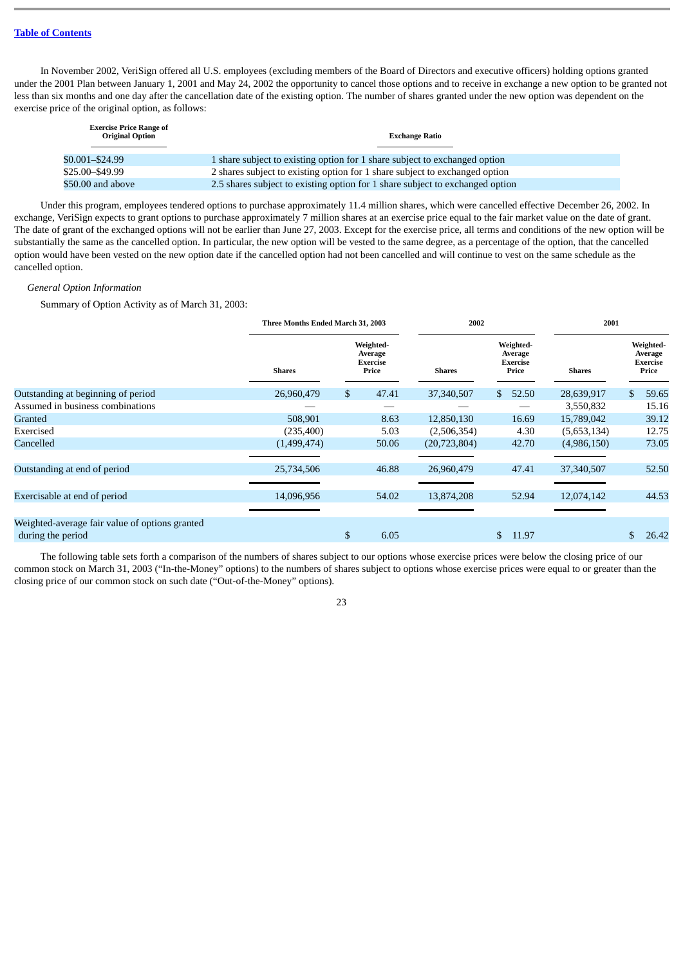In November 2002, VeriSign offered all U.S. employees (excluding members of the Board of Directors and executive officers) holding options granted under the 2001 Plan between January 1, 2001 and May 24, 2002 the opportunity to cancel those options and to receive in exchange a new option to be granted not less than six months and one day after the cancellation date of the existing option. The number of shares granted under the new option was dependent on the exercise price of the original option, as follows:

| <b>Exercise Price Range of</b><br><b>Original Option</b> | <b>Exchange Ratio</b>                                                         |  |
|----------------------------------------------------------|-------------------------------------------------------------------------------|--|
| $$0.001 - $24.99$                                        | 1 share subject to existing option for 1 share subject to exchanged option    |  |
| \$25.00 - \$49.99                                        | 2 shares subject to existing option for 1 share subject to exchanged option   |  |
| \$50.00 and above                                        | 2.5 shares subject to existing option for 1 share subject to exchanged option |  |

Under this program, employees tendered options to purchase approximately 11.4 million shares, which were cancelled effective December 26, 2002. In exchange, VeriSign expects to grant options to purchase approximately 7 million shares at an exercise price equal to the fair market value on the date of grant. The date of grant of the exchanged options will not be earlier than June 27, 2003. Except for the exercise price, all terms and conditions of the new option will be substantially the same as the cancelled option. In particular, the new option will be vested to the same degree, as a percentage of the option, that the cancelled option would have been vested on the new option date if the cancelled option had not been cancelled and will continue to vest on the same schedule as the cancelled option.

#### *General Option Information*

Summary of Option Activity as of March 31, 2003:

|                                                | Three Months Ended March 31, 2003 |    |                                                                   | 2002           |    | 2001  |             |    |       |  |                                                  |  |               |  |                                                  |
|------------------------------------------------|-----------------------------------|----|-------------------------------------------------------------------|----------------|----|-------|-------------|----|-------|--|--------------------------------------------------|--|---------------|--|--------------------------------------------------|
|                                                | <b>Shares</b>                     |    | Weighted-<br>Average<br><b>Exercise</b><br><b>Shares</b><br>Price |                |    |       |             |    |       |  | Weighted-<br>Average<br><b>Exercise</b><br>Price |  | <b>Shares</b> |  | Weighted-<br>Average<br><b>Exercise</b><br>Price |
| Outstanding at beginning of period             | 26,960,479                        | \$ | 47.41                                                             | 37,340,507     | \$ | 52.50 | 28,639,917  | \$ | 59.65 |  |                                                  |  |               |  |                                                  |
| Assumed in business combinations               |                                   |    |                                                                   |                |    |       | 3,550,832   |    | 15.16 |  |                                                  |  |               |  |                                                  |
| Granted                                        | 508,901                           |    | 8.63                                                              | 12,850,130     |    | 16.69 | 15,789,042  |    | 39.12 |  |                                                  |  |               |  |                                                  |
| Exercised                                      | (235, 400)                        |    | 5.03                                                              | (2,506,354)    |    | 4.30  | (5,653,134) |    | 12.75 |  |                                                  |  |               |  |                                                  |
| Cancelled                                      | (1,499,474)                       |    | 50.06                                                             | (20, 723, 804) |    | 42.70 | (4,986,150) |    | 73.05 |  |                                                  |  |               |  |                                                  |
|                                                |                                   |    |                                                                   |                |    |       |             |    |       |  |                                                  |  |               |  |                                                  |
| Outstanding at end of period                   | 25,734,506                        |    | 46.88                                                             | 26,960,479     |    | 47.41 | 37,340,507  |    | 52.50 |  |                                                  |  |               |  |                                                  |
|                                                |                                   |    |                                                                   |                |    |       |             |    |       |  |                                                  |  |               |  |                                                  |
| Exercisable at end of period                   | 14,096,956                        |    | 54.02                                                             | 13,874,208     |    | 52.94 | 12,074,142  |    | 44.53 |  |                                                  |  |               |  |                                                  |
|                                                |                                   |    |                                                                   |                |    |       |             |    |       |  |                                                  |  |               |  |                                                  |
| Weighted-average fair value of options granted |                                   |    |                                                                   |                |    |       |             |    |       |  |                                                  |  |               |  |                                                  |
| during the period                              |                                   | \$ | 6.05                                                              |                | \$ | 11.97 |             |    | 26.42 |  |                                                  |  |               |  |                                                  |

The following table sets forth a comparison of the numbers of shares subject to our options whose exercise prices were below the closing price of our common stock on March 31, 2003 ("In-the-Money" options) to the numbers of shares subject to options whose exercise prices were equal to or greater than the closing price of our common stock on such date ("Out-of-the-Money" options).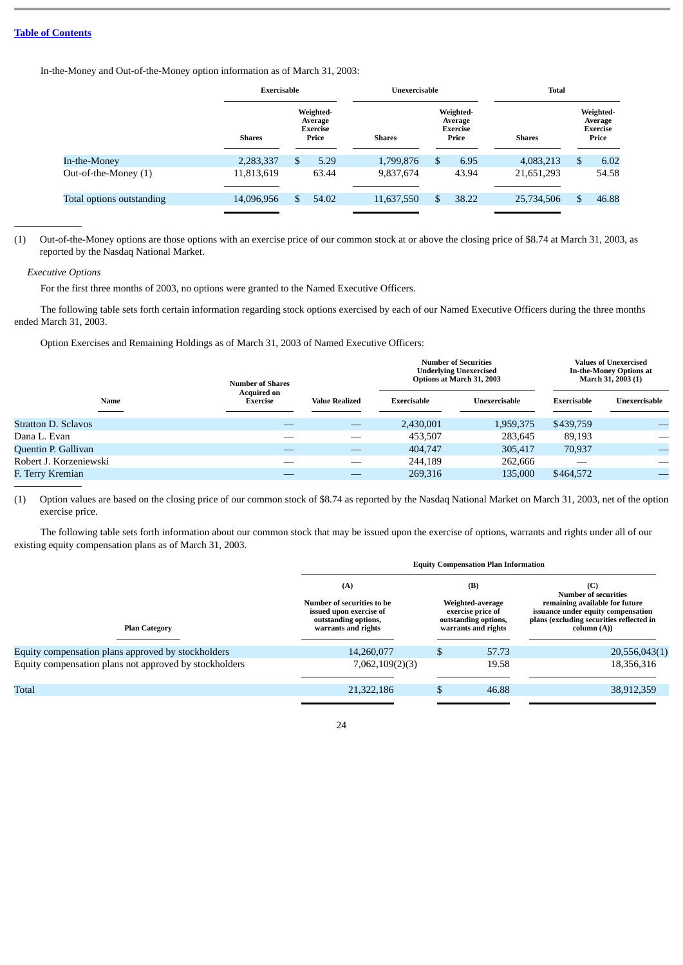### **Table of [Contents](#page-1-0)**

In-the-Money and Out-of-the-Money option information as of March 31, 2003:

|                           | <b>Exercisable</b> |                                           |       | Unexercisable |                                                  | <b>Total</b> |               |   |                                                  |
|---------------------------|--------------------|-------------------------------------------|-------|---------------|--------------------------------------------------|--------------|---------------|---|--------------------------------------------------|
|                           | <b>Shares</b>      | Weighted-<br>Average<br>Exercise<br>Price |       | <b>Shares</b> | Weighted-<br>Average<br><b>Exercise</b><br>Price |              | <b>Shares</b> |   | Weighted-<br>Average<br><b>Exercise</b><br>Price |
| In-the-Money              | 2,283,337          | S                                         | 5.29  | 1,799,876     | \$                                               | 6.95         | 4,083,213     | S | 6.02                                             |
| Out-of-the-Money (1)      | 11,813,619         |                                           | 63.44 | 9,837,674     |                                                  | 43.94        | 21,651,293    |   | 54.58                                            |
| Total options outstanding | 14,096,956         | S                                         | 54.02 | 11,637,550    | \$                                               | 38.22        | 25,734,506    | S | 46.88                                            |
|                           |                    |                                           |       |               |                                                  |              |               |   |                                                  |

(1) Out-of-the-Money options are those options with an exercise price of our common stock at or above the closing price of \$8.74 at March 31, 2003, as reported by the Nasdaq National Market.

*Executive Options*

For the first three months of 2003, no options were granted to the Named Executive Officers.

The following table sets forth certain information regarding stock options exercised by each of our Named Executive Officers during the three months ended March 31, 2003.

Option Exercises and Remaining Holdings as of March 31, 2003 of Named Executive Officers:

|                        | <b>Number of Shares</b>               |                       |             | <b>Number of Securities</b><br><b>Underlying Unexercised</b><br><b>Options at March 31, 2003</b> | <b>Values of Unexercised</b><br><b>In-the-Money Options at</b><br>March 31, 2003 (1) |               |  |
|------------------------|---------------------------------------|-----------------------|-------------|--------------------------------------------------------------------------------------------------|--------------------------------------------------------------------------------------|---------------|--|
| Name                   | <b>Acquired on</b><br><b>Exercise</b> | <b>Value Realized</b> | Exercisable | Unexercisable                                                                                    | Exercisable                                                                          | Unexercisable |  |
| Stratton D. Sclavos    |                                       |                       | 2,430,001   | 1,959,375                                                                                        | \$439,759                                                                            |               |  |
| Dana L. Evan           |                                       |                       | 453,507     | 283,645                                                                                          | 89,193                                                                               |               |  |
| Quentin P. Gallivan    |                                       |                       | 404,747     | 305,417                                                                                          | 70.937                                                                               |               |  |
| Robert J. Korzeniewski |                                       |                       | 244.189     | 262,666                                                                                          |                                                                                      |               |  |
| F. Terry Kremian       |                                       |                       | 269,316     | 135,000                                                                                          | \$464,572                                                                            |               |  |
|                        |                                       |                       |             |                                                                                                  |                                                                                      |               |  |

(1) Option values are based on the closing price of our common stock of \$8.74 as reported by the Nasdaq National Market on March 31, 2003, net of the option exercise price.

The following table sets forth information about our common stock that may be issued upon the exercise of options, warrants and rights under all of our existing equity compensation plans as of March 31, 2003.

|                                                        | <b>Equity Compensation Plan Information</b>                                                          |                                    |                                                                                                                                                                                                                         |               |  |  |  |  |  |  |
|--------------------------------------------------------|------------------------------------------------------------------------------------------------------|------------------------------------|-------------------------------------------------------------------------------------------------------------------------------------------------------------------------------------------------------------------------|---------------|--|--|--|--|--|--|
|                                                        | (A)                                                                                                  | (C)<br><b>Number of securities</b> |                                                                                                                                                                                                                         |               |  |  |  |  |  |  |
| <b>Plan Category</b>                                   | Number of securities to be<br>issued upon exercise of<br>outstanding options,<br>warrants and rights |                                    | remaining available for future<br>Weighted-average<br>issuance under equity compensation<br>exercise price of<br>plans (excluding securities reflected in<br>outstanding options,<br>warrants and rights<br>column (A)) |               |  |  |  |  |  |  |
| Equity compensation plans approved by stockholders     | 14,260,077                                                                                           | J                                  | 57.73                                                                                                                                                                                                                   | 20,556,043(1) |  |  |  |  |  |  |
| Equity compensation plans not approved by stockholders | 7,062,109(2)(3)                                                                                      |                                    | 19.58                                                                                                                                                                                                                   | 18,356,316    |  |  |  |  |  |  |
| <b>Total</b>                                           | 21,322,186                                                                                           | P                                  | 46.88                                                                                                                                                                                                                   | 38,912,359    |  |  |  |  |  |  |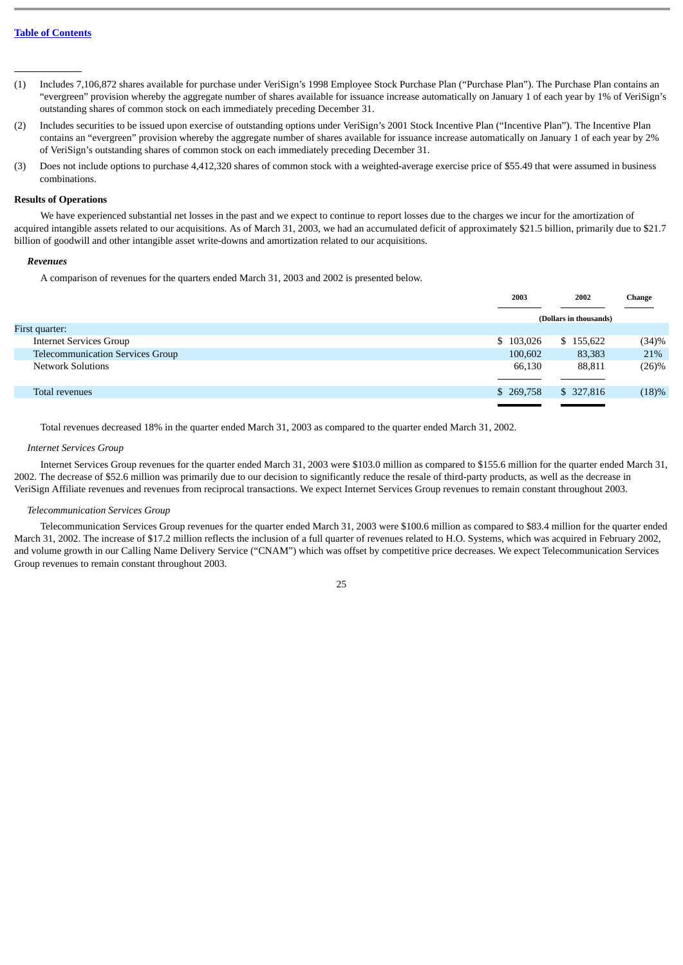- (1) Includes 7,106,872 shares available for purchase under VeriSign's 1998 Employee Stock Purchase Plan ("Purchase Plan"). The Purchase Plan contains an "evergreen" provision whereby the aggregate number of shares available for issuance increase automatically on January 1 of each year by 1% of VeriSign's outstanding shares of common stock on each immediately preceding December 31.
- (2) Includes securities to be issued upon exercise of outstanding options under VeriSign's 2001 Stock Incentive Plan ("Incentive Plan"). The Incentive Plan contains an "evergreen" provision whereby the aggregate number of shares available for issuance increase automatically on January 1 of each year by 2% of VeriSign's outstanding shares of common stock on each immediately preceding December 31.
- (3) Does not include options to purchase 4,412,320 shares of common stock with a weighted-average exercise price of \$55.49 that were assumed in business combinations.

#### **Results of Operations**

We have experienced substantial net losses in the past and we expect to continue to report losses due to the charges we incur for the amortization of acquired intangible assets related to our acquisitions. As of March 31, 2003, we had an accumulated deficit of approximately \$21.5 billion, primarily due to \$21.7 billion of goodwill and other intangible asset write-downs and amortization related to our acquisitions.

#### *Revenues*

A comparison of revenues for the quarters ended March 31, 2003 and 2002 is presented below.

|                                         | 2003      | 2002                   | Change   |
|-----------------------------------------|-----------|------------------------|----------|
|                                         |           | (Dollars in thousands) |          |
| First quarter:                          |           |                        |          |
| <b>Internet Services Group</b>          | \$103,026 | \$155,622              | (34)%    |
| <b>Telecommunication Services Group</b> | 100,602   | 83,383                 | 21%      |
| Network Solutions                       | 66,130    | 88,811                 | $(26)\%$ |
| Total revenues                          | \$269,758 | \$327,816              | (18)%    |
|                                         |           |                        |          |

Total revenues decreased 18% in the quarter ended March 31, 2003 as compared to the quarter ended March 31, 2002.

#### *Internet Services Group*

Internet Services Group revenues for the quarter ended March 31, 2003 were \$103.0 million as compared to \$155.6 million for the quarter ended March 31, 2002. The decrease of \$52.6 million was primarily due to our decision to significantly reduce the resale of third-party products, as well as the decrease in VeriSign Affiliate revenues and revenues from reciprocal transactions. We expect Internet Services Group revenues to remain constant throughout 2003.

#### *Telecommunication Services Group*

Telecommunication Services Group revenues for the quarter ended March 31, 2003 were \$100.6 million as compared to \$83.4 million for the quarter ended March 31, 2002. The increase of \$17.2 million reflects the inclusion of a full quarter of revenues related to H.O. Systems, which was acquired in February 2002, and volume growth in our Calling Name Delivery Service ("CNAM") which was offset by competitive price decreases. We expect Telecommunication Services Group revenues to remain constant throughout 2003.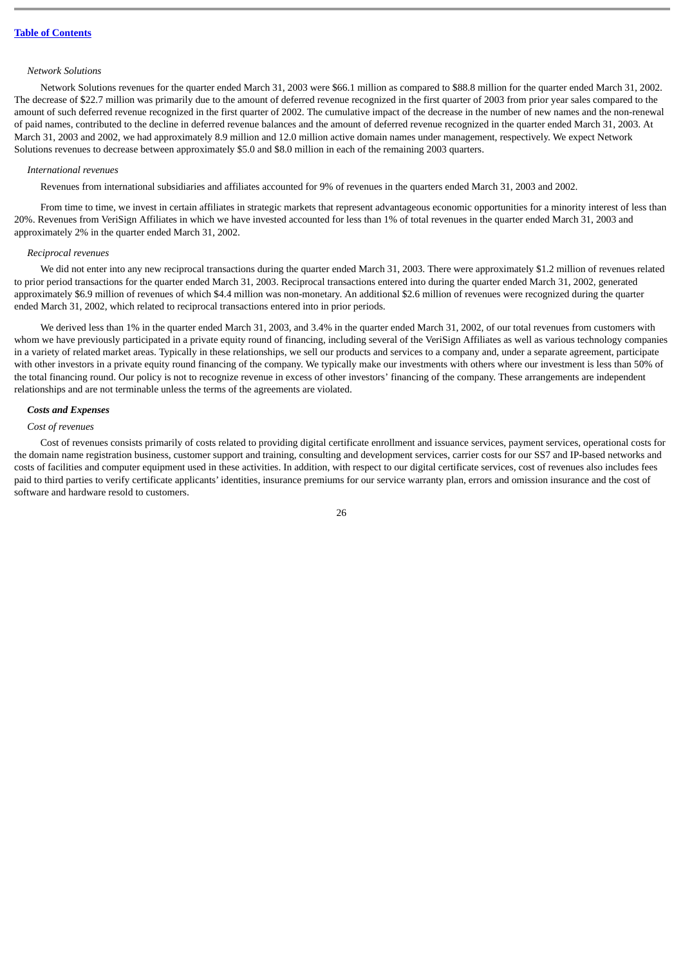#### *Network Solutions*

Network Solutions revenues for the quarter ended March 31, 2003 were \$66.1 million as compared to \$88.8 million for the quarter ended March 31, 2002. The decrease of \$22.7 million was primarily due to the amount of deferred revenue recognized in the first quarter of 2003 from prior year sales compared to the amount of such deferred revenue recognized in the first quarter of 2002. The cumulative impact of the decrease in the number of new names and the non-renewal of paid names, contributed to the decline in deferred revenue balances and the amount of deferred revenue recognized in the quarter ended March 31, 2003. At March 31, 2003 and 2002, we had approximately 8.9 million and 12.0 million active domain names under management, respectively. We expect Network Solutions revenues to decrease between approximately \$5.0 and \$8.0 million in each of the remaining 2003 quarters.

#### *International revenues*

Revenues from international subsidiaries and affiliates accounted for 9% of revenues in the quarters ended March 31, 2003 and 2002.

From time to time, we invest in certain affiliates in strategic markets that represent advantageous economic opportunities for a minority interest of less than 20%. Revenues from VeriSign Affiliates in which we have invested accounted for less than 1% of total revenues in the quarter ended March 31, 2003 and approximately 2% in the quarter ended March 31, 2002.

#### *Reciprocal revenues*

We did not enter into any new reciprocal transactions during the quarter ended March 31, 2003. There were approximately \$1.2 million of revenues related to prior period transactions for the quarter ended March 31, 2003. Reciprocal transactions entered into during the quarter ended March 31, 2002, generated approximately \$6.9 million of revenues of which \$4.4 million was non-monetary. An additional \$2.6 million of revenues were recognized during the quarter ended March 31, 2002, which related to reciprocal transactions entered into in prior periods.

We derived less than 1% in the quarter ended March 31, 2003, and 3.4% in the quarter ended March 31, 2002, of our total revenues from customers with whom we have previously participated in a private equity round of financing, including several of the VeriSign Affiliates as well as various technology companies in a variety of related market areas. Typically in these relationships, we sell our products and services to a company and, under a separate agreement, participate with other investors in a private equity round financing of the company. We typically make our investments with others where our investment is less than 50% of the total financing round. Our policy is not to recognize revenue in excess of other investors' financing of the company. These arrangements are independent relationships and are not terminable unless the terms of the agreements are violated.

#### *Costs and Expenses*

#### *Cost of revenues*

Cost of revenues consists primarily of costs related to providing digital certificate enrollment and issuance services, payment services, operational costs for the domain name registration business, customer support and training, consulting and development services, carrier costs for our SS7 and IP-based networks and costs of facilities and computer equipment used in these activities. In addition, with respect to our digital certificate services, cost of revenues also includes fees paid to third parties to verify certificate applicants' identities, insurance premiums for our service warranty plan, errors and omission insurance and the cost of software and hardware resold to customers.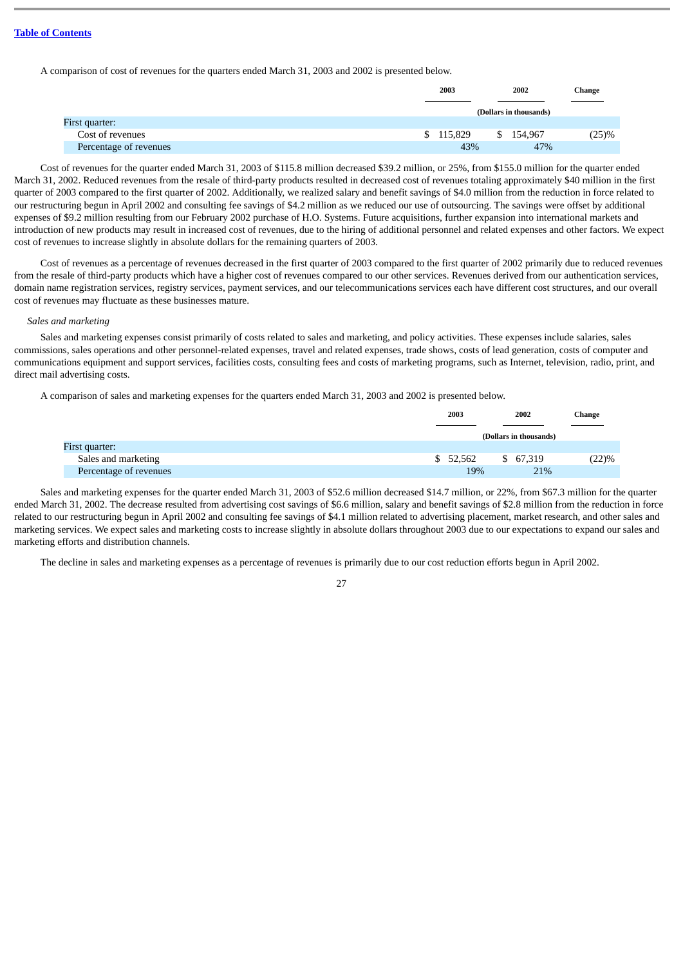A comparison of cost of revenues for the quarters ended March 31, 2003 and 2002 is presented below.

|                        | 2003       |    | 2002                   | Change   |
|------------------------|------------|----|------------------------|----------|
|                        |            |    | (Dollars in thousands) |          |
| First quarter:         |            |    |                        |          |
| Cost of revenues       | \$ 115,829 | S. | 154.967                | $(25)\%$ |
| Percentage of revenues | 43%        |    | 47%                    |          |

Cost of revenues for the quarter ended March 31, 2003 of \$115.8 million decreased \$39.2 million, or 25%, from \$155.0 million for the quarter ended March 31, 2002. Reduced revenues from the resale of third-party products resulted in decreased cost of revenues totaling approximately \$40 million in the first quarter of 2003 compared to the first quarter of 2002. Additionally, we realized salary and benefit savings of \$4.0 million from the reduction in force related to our restructuring begun in April 2002 and consulting fee savings of \$4.2 million as we reduced our use of outsourcing. The savings were offset by additional expenses of \$9.2 million resulting from our February 2002 purchase of H.O. Systems. Future acquisitions, further expansion into international markets and introduction of new products may result in increased cost of revenues, due to the hiring of additional personnel and related expenses and other factors. We expect cost of revenues to increase slightly in absolute dollars for the remaining quarters of 2003.

Cost of revenues as a percentage of revenues decreased in the first quarter of 2003 compared to the first quarter of 2002 primarily due to reduced revenues from the resale of third-party products which have a higher cost of revenues compared to our other services. Revenues derived from our authentication services, domain name registration services, registry services, payment services, and our telecommunications services each have different cost structures, and our overall cost of revenues may fluctuate as these businesses mature.

*Sales and marketing*

Sales and marketing expenses consist primarily of costs related to sales and marketing, and policy activities. These expenses include salaries, sales commissions, sales operations and other personnel-related expenses, travel and related expenses, trade shows, costs of lead generation, costs of computer and communications equipment and support services, facilities costs, consulting fees and costs of marketing programs, such as Internet, television, radio, print, and direct mail advertising costs.

A comparison of sales and marketing expenses for the quarters ended March 31, 2003 and 2002 is presented below.

|                        | 2003 |              | 2002                   | Change |
|------------------------|------|--------------|------------------------|--------|
|                        |      |              | (Dollars in thousands) |        |
| First quarter:         |      |              |                        |        |
| Sales and marketing    | S.   | 52.562<br>S. | 67.319                 | (22)%  |
| Percentage of revenues |      | 19%          | 21%                    |        |

Sales and marketing expenses for the quarter ended March 31, 2003 of \$52.6 million decreased \$14.7 million, or 22%, from \$67.3 million for the quarter ended March 31, 2002. The decrease resulted from advertising cost savings of \$6.6 million, salary and benefit savings of \$2.8 million from the reduction in force related to our restructuring begun in April 2002 and consulting fee savings of \$4.1 million related to advertising placement, market research, and other sales and marketing services. We expect sales and marketing costs to increase slightly in absolute dollars throughout 2003 due to our expectations to expand our sales and marketing efforts and distribution channels.

The decline in sales and marketing expenses as a percentage of revenues is primarily due to our cost reduction efforts begun in April 2002.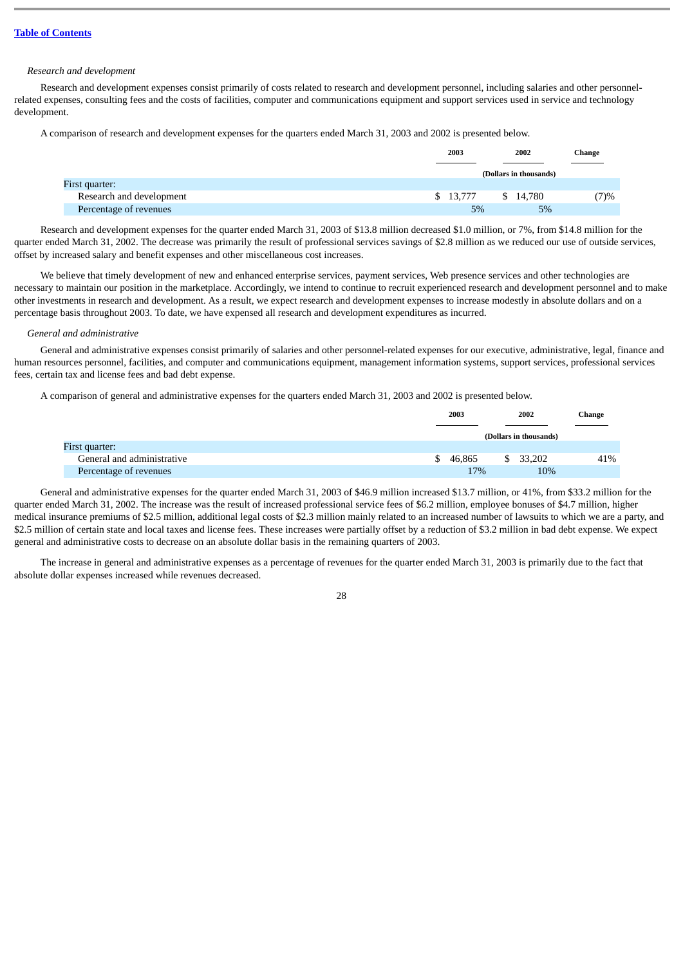#### *Research and development*

Research and development expenses consist primarily of costs related to research and development personnel, including salaries and other personnelrelated expenses, consulting fees and the costs of facilities, computer and communications equipment and support services used in service and technology development.

A comparison of research and development expenses for the quarters ended March 31, 2003 and 2002 is presented below.

|                          | 2003      | 2002                   | Change |
|--------------------------|-----------|------------------------|--------|
|                          |           | (Dollars in thousands) |        |
| First quarter:           |           |                        |        |
| Research and development | \$ 13,777 | \$14,780               | (7)%   |
| Percentage of revenues   | 5%        | 5%                     |        |

Research and development expenses for the quarter ended March 31, 2003 of \$13.8 million decreased \$1.0 million, or 7%, from \$14.8 million for the quarter ended March 31, 2002. The decrease was primarily the result of professional services savings of \$2.8 million as we reduced our use of outside services, offset by increased salary and benefit expenses and other miscellaneous cost increases.

We believe that timely development of new and enhanced enterprise services, payment services, Web presence services and other technologies are necessary to maintain our position in the marketplace. Accordingly, we intend to continue to recruit experienced research and development personnel and to make other investments in research and development. As a result, we expect research and development expenses to increase modestly in absolute dollars and on a percentage basis throughout 2003. To date, we have expensed all research and development expenditures as incurred.

#### *General and administrative*

General and administrative expenses consist primarily of salaries and other personnel-related expenses for our executive, administrative, legal, finance and human resources personnel, facilities, and computer and communications equipment, management information systems, support services, professional services fees, certain tax and license fees and bad debt expense.

A comparison of general and administrative expenses for the quarters ended March 31, 2003 and 2002 is presented below.

|                            |     | 2003   | 2002                   | Change |
|----------------------------|-----|--------|------------------------|--------|
|                            |     |        | (Dollars in thousands) |        |
| First quarter:             |     |        |                        |        |
| General and administrative | \$. | 46.865 | \$33.202               | 41%    |
| Percentage of revenues     |     | 17%    | 10%                    |        |

General and administrative expenses for the quarter ended March 31, 2003 of \$46.9 million increased \$13.7 million, or 41%, from \$33.2 million for the quarter ended March 31, 2002. The increase was the result of increased professional service fees of \$6.2 million, employee bonuses of \$4.7 million, higher medical insurance premiums of \$2.5 million, additional legal costs of \$2.3 million mainly related to an increased number of lawsuits to which we are a party, and \$2.5 million of certain state and local taxes and license fees. These increases were partially offset by a reduction of \$3.2 million in bad debt expense. We expect general and administrative costs to decrease on an absolute dollar basis in the remaining quarters of 2003.

The increase in general and administrative expenses as a percentage of revenues for the quarter ended March 31, 2003 is primarily due to the fact that absolute dollar expenses increased while revenues decreased.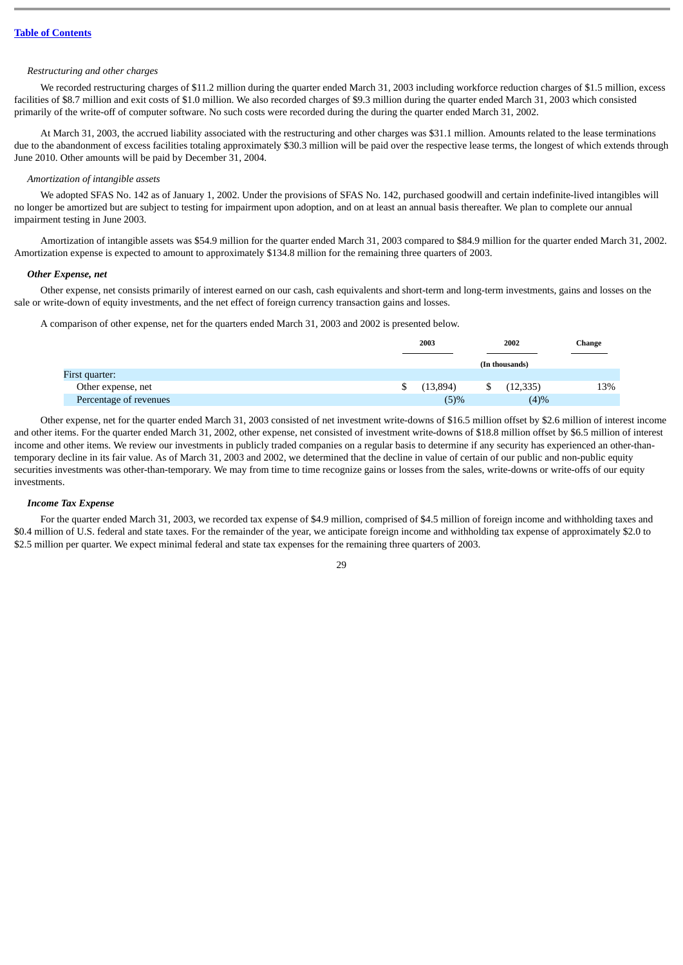#### *Restructuring and other charges*

We recorded restructuring charges of \$11.2 million during the quarter ended March 31, 2003 including workforce reduction charges of \$1.5 million, excess facilities of \$8.7 million and exit costs of \$1.0 million. We also recorded charges of \$9.3 million during the quarter ended March 31, 2003 which consisted primarily of the write-off of computer software. No such costs were recorded during the during the quarter ended March 31, 2002.

At March 31, 2003, the accrued liability associated with the restructuring and other charges was \$31.1 million. Amounts related to the lease terminations due to the abandonment of excess facilities totaling approximately \$30.3 million will be paid over the respective lease terms, the longest of which extends through June 2010. Other amounts will be paid by December 31, 2004.

#### *Amortization of intangible assets*

We adopted SFAS No. 142 as of January 1, 2002. Under the provisions of SFAS No. 142, purchased goodwill and certain indefinite-lived intangibles will no longer be amortized but are subject to testing for impairment upon adoption, and on at least an annual basis thereafter. We plan to complete our annual impairment testing in June 2003.

Amortization of intangible assets was \$54.9 million for the quarter ended March 31, 2003 compared to \$84.9 million for the quarter ended March 31, 2002. Amortization expense is expected to amount to approximately \$134.8 million for the remaining three quarters of 2003.

#### *Other Expense, net*

Other expense, net consists primarily of interest earned on our cash, cash equivalents and short-term and long-term investments, gains and losses on the sale or write-down of equity investments, and the net effect of foreign currency transaction gains and losses.

A comparison of other expense, net for the quarters ended March 31, 2003 and 2002 is presented below.

|                        | 2003      | 2002           | Change |
|------------------------|-----------|----------------|--------|
|                        |           | (In thousands) |        |
| First quarter:         |           |                |        |
| Other expense, net     | (13, 894) | (12, 335)      | 13%    |
| Percentage of revenues | (5)%      | (4)%           |        |

Other expense, net for the quarter ended March 31, 2003 consisted of net investment write-downs of \$16.5 million offset by \$2.6 million of interest income and other items. For the quarter ended March 31, 2002, other expense, net consisted of investment write-downs of \$18.8 million offset by \$6.5 million of interest income and other items. We review our investments in publicly traded companies on a regular basis to determine if any security has experienced an other-thantemporary decline in its fair value. As of March 31, 2003 and 2002, we determined that the decline in value of certain of our public and non-public equity securities investments was other-than-temporary. We may from time to time recognize gains or losses from the sales, write-downs or write-offs of our equity investments.

#### *Income Tax Expense*

For the quarter ended March 31, 2003, we recorded tax expense of \$4.9 million, comprised of \$4.5 million of foreign income and withholding taxes and \$0.4 million of U.S. federal and state taxes. For the remainder of the year, we anticipate foreign income and withholding tax expense of approximately \$2.0 to \$2.5 million per quarter. We expect minimal federal and state tax expenses for the remaining three quarters of 2003.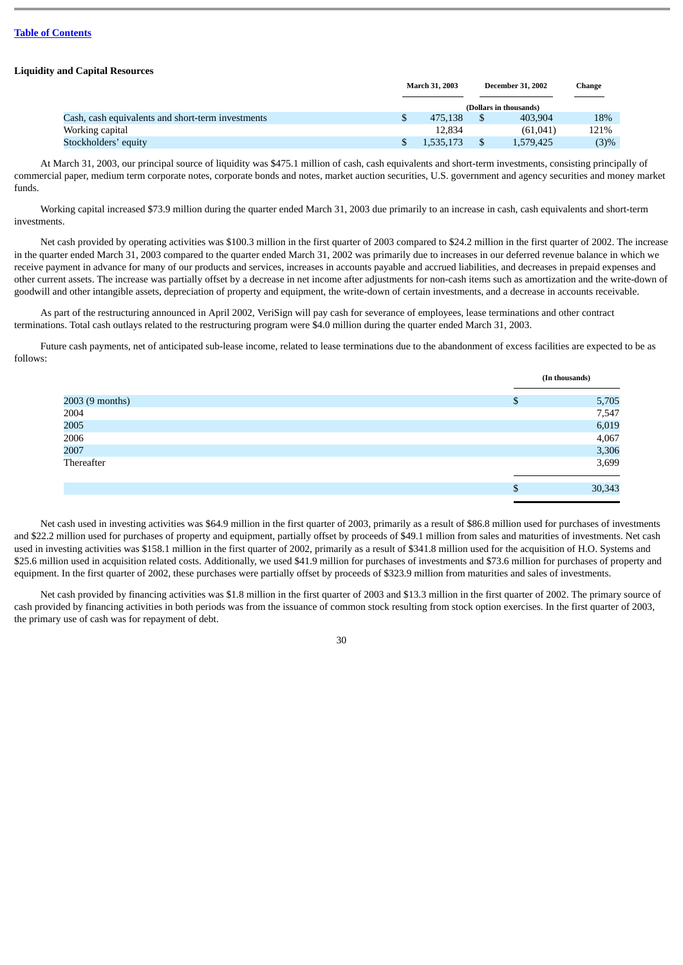#### **Table of [Contents](#page-1-0)**

#### **Liquidity and Capital Resources**

|                                                   | <b>March 31, 2003</b>  |  | <b>December 31, 2002</b> | Change  |
|---------------------------------------------------|------------------------|--|--------------------------|---------|
|                                                   | (Dollars in thousands) |  |                          |         |
| Cash, cash equivalents and short-term investments | 475.138                |  | 403.904                  | 18%     |
| Working capital                                   | 12.834                 |  | (61.041)                 | 121%    |
| Stockholders' equity                              | 1.535.173              |  | 1,579,425                | $(3)\%$ |

At March 31, 2003, our principal source of liquidity was \$475.1 million of cash, cash equivalents and short-term investments, consisting principally of commercial paper, medium term corporate notes, corporate bonds and notes, market auction securities, U.S. government and agency securities and money market funds.

Working capital increased \$73.9 million during the quarter ended March 31, 2003 due primarily to an increase in cash, cash equivalents and short-term investments.

Net cash provided by operating activities was \$100.3 million in the first quarter of 2003 compared to \$24.2 million in the first quarter of 2002. The increase in the quarter ended March 31, 2003 compared to the quarter ended March 31, 2002 was primarily due to increases in our deferred revenue balance in which we receive payment in advance for many of our products and services, increases in accounts payable and accrued liabilities, and decreases in prepaid expenses and other current assets. The increase was partially offset by a decrease in net income after adjustments for non-cash items such as amortization and the write-down of goodwill and other intangible assets, depreciation of property and equipment, the write-down of certain investments, and a decrease in accounts receivable.

As part of the restructuring announced in April 2002, VeriSign will pay cash for severance of employees, lease terminations and other contract terminations. Total cash outlays related to the restructuring program were \$4.0 million during the quarter ended March 31, 2003.

Future cash payments, net of anticipated sub-lease income, related to lease terminations due to the abandonment of excess facilities are expected to be as follows:

|                 | (In thousands) |
|-----------------|----------------|
| 2003 (9 months) | \$<br>5,705    |
| 2004            | 7,547          |
| 2005            | 6,019          |
| 2006            | 4,067          |
| 2007            | 3,306          |
| Thereafter      | 3,699          |
|                 |                |
|                 | \$<br>30,343   |

Net cash used in investing activities was \$64.9 million in the first quarter of 2003, primarily as a result of \$86.8 million used for purchases of investments and \$22.2 million used for purchases of property and equipment, partially offset by proceeds of \$49.1 million from sales and maturities of investments. Net cash used in investing activities was \$158.1 million in the first quarter of 2002, primarily as a result of \$341.8 million used for the acquisition of H.O. Systems and \$25.6 million used in acquisition related costs. Additionally, we used \$41.9 million for purchases of investments and \$73.6 million for purchases of property and equipment. In the first quarter of 2002, these purchases were partially offset by proceeds of \$323.9 million from maturities and sales of investments.

Net cash provided by financing activities was \$1.8 million in the first quarter of 2003 and \$13.3 million in the first quarter of 2002. The primary source of cash provided by financing activities in both periods was from the issuance of common stock resulting from stock option exercises. In the first quarter of 2003, the primary use of cash was for repayment of debt.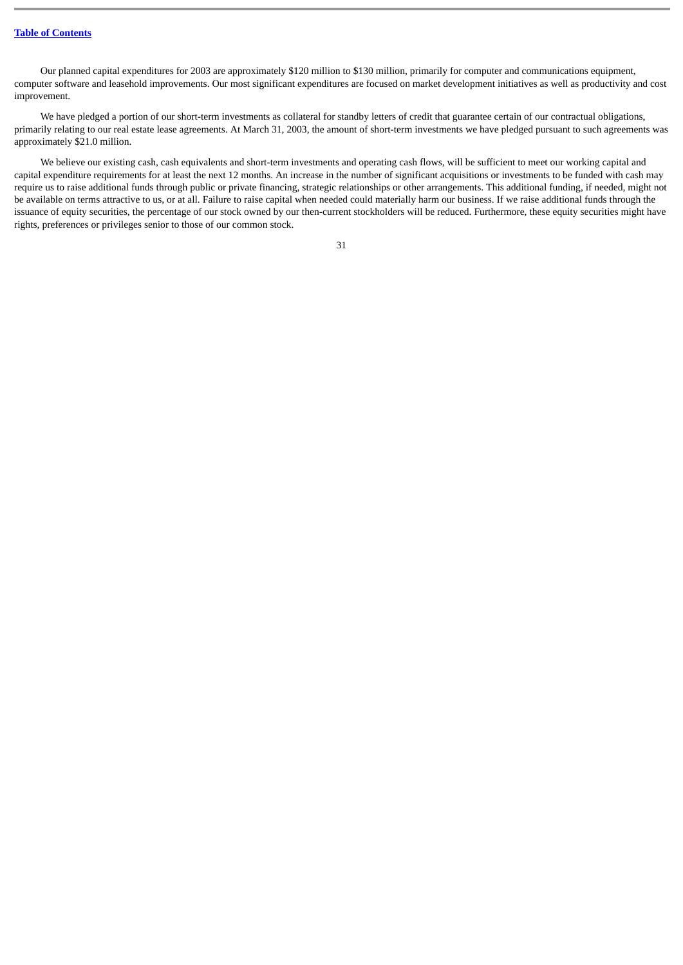#### **Table of [Contents](#page-1-0)**

Our planned capital expenditures for 2003 are approximately \$120 million to \$130 million, primarily for computer and communications equipment, computer software and leasehold improvements. Our most significant expenditures are focused on market development initiatives as well as productivity and cost improvement.

We have pledged a portion of our short-term investments as collateral for standby letters of credit that guarantee certain of our contractual obligations, primarily relating to our real estate lease agreements. At March 31, 2003, the amount of short-term investments we have pledged pursuant to such agreements was approximately \$21.0 million.

We believe our existing cash, cash equivalents and short-term investments and operating cash flows, will be sufficient to meet our working capital and capital expenditure requirements for at least the next 12 months. An increase in the number of significant acquisitions or investments to be funded with cash may require us to raise additional funds through public or private financing, strategic relationships or other arrangements. This additional funding, if needed, might not be available on terms attractive to us, or at all. Failure to raise capital when needed could materially harm our business. If we raise additional funds through the issuance of equity securities, the percentage of our stock owned by our then-current stockholders will be reduced. Furthermore, these equity securities might have rights, preferences or privileges senior to those of our common stock.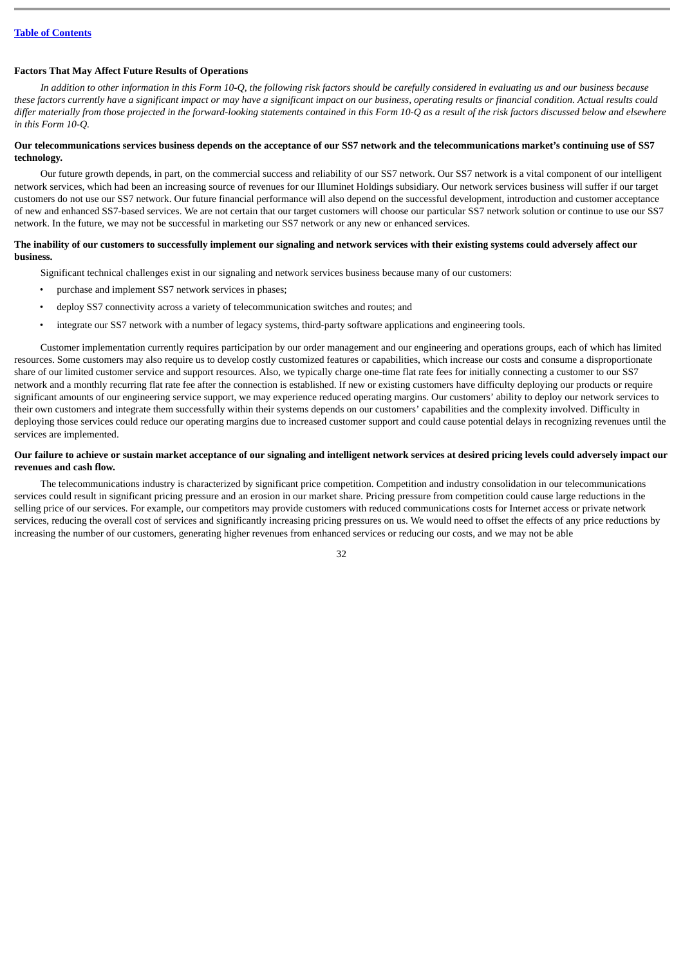### **Factors That May Affect Future Results of Operations**

*In addition to other information in this Form 10-Q, the following risk factors should be carefully considered in evaluating us and our business because these factors currently have a significant impact or may have a significant impact on our business, operating results or financial condition. Actual results could differ materially from those projected in the forward-looking statements contained in this Form 10-Q as a result of the risk factors discussed below and elsewhere in this Form 10-Q.*

### **Our telecommunications services business depends on the acceptance of our SS7 network and the telecommunications market's continuing use of SS7 technology.**

Our future growth depends, in part, on the commercial success and reliability of our SS7 network. Our SS7 network is a vital component of our intelligent network services, which had been an increasing source of revenues for our Illuminet Holdings subsidiary. Our network services business will suffer if our target customers do not use our SS7 network. Our future financial performance will also depend on the successful development, introduction and customer acceptance of new and enhanced SS7-based services. We are not certain that our target customers will choose our particular SS7 network solution or continue to use our SS7 network. In the future, we may not be successful in marketing our SS7 network or any new or enhanced services.

#### **The inability of our customers to successfully implement our signaling and network services with their existing systems could adversely affect our business.**

Significant technical challenges exist in our signaling and network services business because many of our customers:

- purchase and implement SS7 network services in phases;
- deploy SS7 connectivity across a variety of telecommunication switches and routes; and
- integrate our SS7 network with a number of legacy systems, third-party software applications and engineering tools.

Customer implementation currently requires participation by our order management and our engineering and operations groups, each of which has limited resources. Some customers may also require us to develop costly customized features or capabilities, which increase our costs and consume a disproportionate share of our limited customer service and support resources. Also, we typically charge one-time flat rate fees for initially connecting a customer to our SS7 network and a monthly recurring flat rate fee after the connection is established. If new or existing customers have difficulty deploying our products or require significant amounts of our engineering service support, we may experience reduced operating margins. Our customers' ability to deploy our network services to their own customers and integrate them successfully within their systems depends on our customers' capabilities and the complexity involved. Difficulty in deploying those services could reduce our operating margins due to increased customer support and could cause potential delays in recognizing revenues until the services are implemented.

### **Our failure to achieve or sustain market acceptance of our signaling and intelligent network services at desired pricing levels could adversely impact our revenues and cash flow.**

The telecommunications industry is characterized by significant price competition. Competition and industry consolidation in our telecommunications services could result in significant pricing pressure and an erosion in our market share. Pricing pressure from competition could cause large reductions in the selling price of our services. For example, our competitors may provide customers with reduced communications costs for Internet access or private network services, reducing the overall cost of services and significantly increasing pricing pressures on us. We would need to offset the effects of any price reductions by increasing the number of our customers, generating higher revenues from enhanced services or reducing our costs, and we may not be able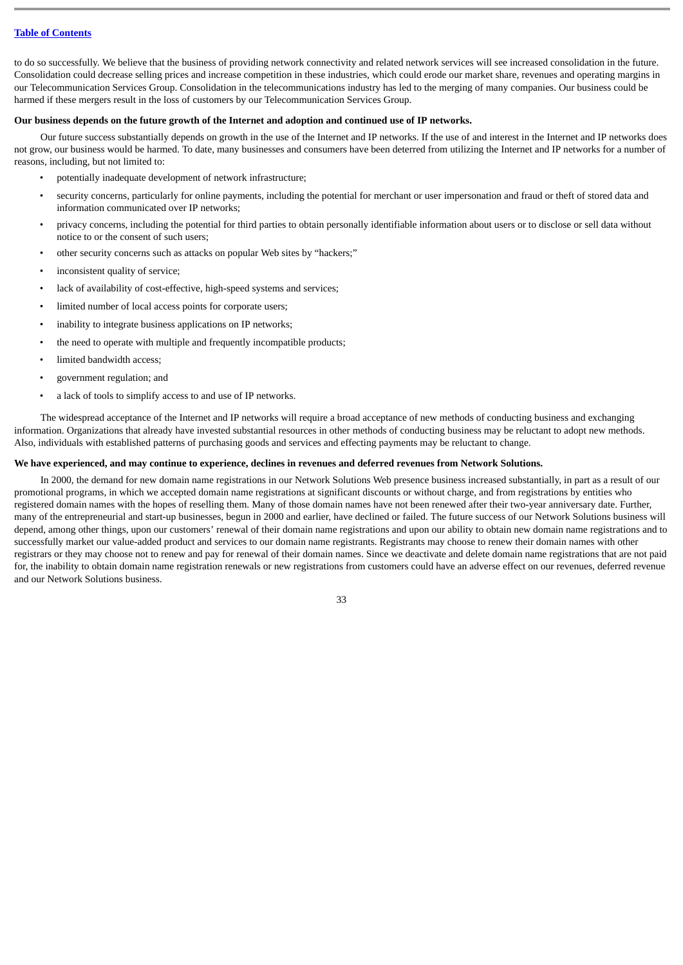#### **Table of [Contents](#page-1-0)**

to do so successfully. We believe that the business of providing network connectivity and related network services will see increased consolidation in the future. Consolidation could decrease selling prices and increase competition in these industries, which could erode our market share, revenues and operating margins in our Telecommunication Services Group. Consolidation in the telecommunications industry has led to the merging of many companies. Our business could be harmed if these mergers result in the loss of customers by our Telecommunication Services Group.

#### **Our business depends on the future growth of the Internet and adoption and continued use of IP networks.**

Our future success substantially depends on growth in the use of the Internet and IP networks. If the use of and interest in the Internet and IP networks does not grow, our business would be harmed. To date, many businesses and consumers have been deterred from utilizing the Internet and IP networks for a number of reasons, including, but not limited to:

- potentially inadequate development of network infrastructure;
- security concerns, particularly for online payments, including the potential for merchant or user impersonation and fraud or theft of stored data and information communicated over IP networks;
- privacy concerns, including the potential for third parties to obtain personally identifiable information about users or to disclose or sell data without notice to or the consent of such users;
- other security concerns such as attacks on popular Web sites by "hackers;"
- inconsistent quality of service;
- lack of availability of cost-effective, high-speed systems and services;
- limited number of local access points for corporate users;
- inability to integrate business applications on IP networks;
- the need to operate with multiple and frequently incompatible products;
- limited bandwidth access;
- government regulation; and
- a lack of tools to simplify access to and use of IP networks.

The widespread acceptance of the Internet and IP networks will require a broad acceptance of new methods of conducting business and exchanging information. Organizations that already have invested substantial resources in other methods of conducting business may be reluctant to adopt new methods. Also, individuals with established patterns of purchasing goods and services and effecting payments may be reluctant to change.

#### **We have experienced, and may continue to experience, declines in revenues and deferred revenues from Network Solutions.**

In 2000, the demand for new domain name registrations in our Network Solutions Web presence business increased substantially, in part as a result of our promotional programs, in which we accepted domain name registrations at significant discounts or without charge, and from registrations by entities who registered domain names with the hopes of reselling them. Many of those domain names have not been renewed after their two-year anniversary date. Further, many of the entrepreneurial and start-up businesses, begun in 2000 and earlier, have declined or failed. The future success of our Network Solutions business will depend, among other things, upon our customers' renewal of their domain name registrations and upon our ability to obtain new domain name registrations and to successfully market our value-added product and services to our domain name registrants. Registrants may choose to renew their domain names with other registrars or they may choose not to renew and pay for renewal of their domain names. Since we deactivate and delete domain name registrations that are not paid for, the inability to obtain domain name registration renewals or new registrations from customers could have an adverse effect on our revenues, deferred revenue and our Network Solutions business.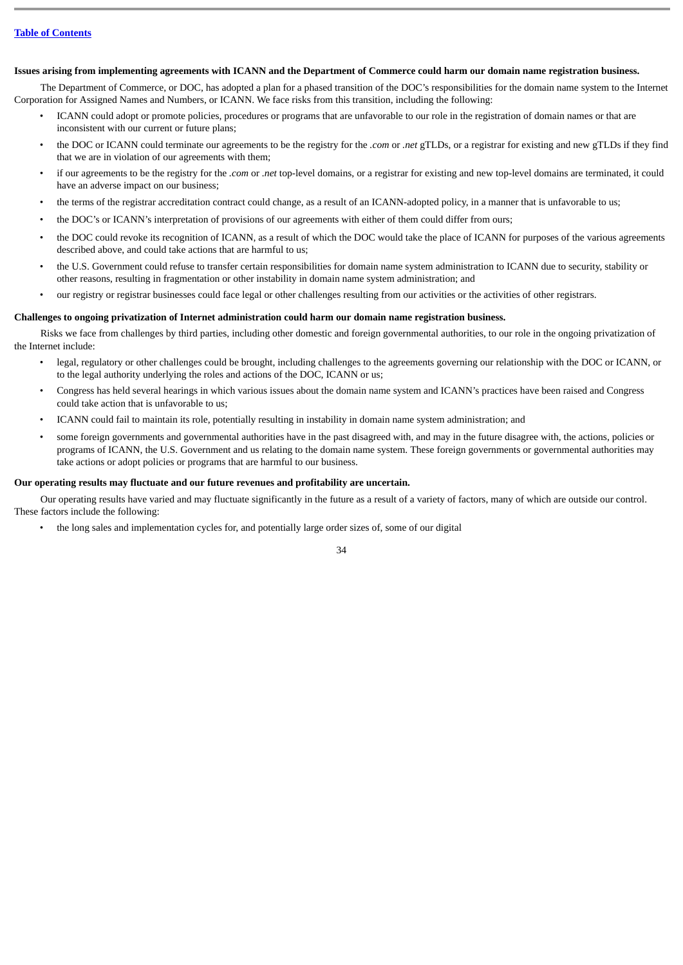#### **Issues arising from implementing agreements with ICANN and the Department of Commerce could harm our domain name registration business.**

The Department of Commerce, or DOC, has adopted a plan for a phased transition of the DOC's responsibilities for the domain name system to the Internet Corporation for Assigned Names and Numbers, or ICANN. We face risks from this transition, including the following:

- ICANN could adopt or promote policies, procedures or programs that are unfavorable to our role in the registration of domain names or that are inconsistent with our current or future plans;
- the DOC or ICANN could terminate our agreements to be the registry for the *.com* or *.net* gTLDs, or a registrar for existing and new gTLDs if they find that we are in violation of our agreements with them;
- if our agreements to be the registry for the *.com* or *.net* top-level domains, or a registrar for existing and new top-level domains are terminated, it could have an adverse impact on our business;
- the terms of the registrar accreditation contract could change, as a result of an ICANN-adopted policy, in a manner that is unfavorable to us;
- the DOC's or ICANN's interpretation of provisions of our agreements with either of them could differ from ours;
- the DOC could revoke its recognition of ICANN, as a result of which the DOC would take the place of ICANN for purposes of the various agreements described above, and could take actions that are harmful to us;
- the U.S. Government could refuse to transfer certain responsibilities for domain name system administration to ICANN due to security, stability or other reasons, resulting in fragmentation or other instability in domain name system administration; and
- our registry or registrar businesses could face legal or other challenges resulting from our activities or the activities of other registrars.

#### **Challenges to ongoing privatization of Internet administration could harm our domain name registration business.**

Risks we face from challenges by third parties, including other domestic and foreign governmental authorities, to our role in the ongoing privatization of the Internet include:

- legal, regulatory or other challenges could be brought, including challenges to the agreements governing our relationship with the DOC or ICANN, or to the legal authority underlying the roles and actions of the DOC, ICANN or us;
- Congress has held several hearings in which various issues about the domain name system and ICANN's practices have been raised and Congress could take action that is unfavorable to us;
- ICANN could fail to maintain its role, potentially resulting in instability in domain name system administration; and
- some foreign governments and governmental authorities have in the past disagreed with, and may in the future disagree with, the actions, policies or programs of ICANN, the U.S. Government and us relating to the domain name system. These foreign governments or governmental authorities may take actions or adopt policies or programs that are harmful to our business.

#### **Our operating results may fluctuate and our future revenues and profitability are uncertain.**

Our operating results have varied and may fluctuate significantly in the future as a result of a variety of factors, many of which are outside our control. These factors include the following:

• the long sales and implementation cycles for, and potentially large order sizes of, some of our digital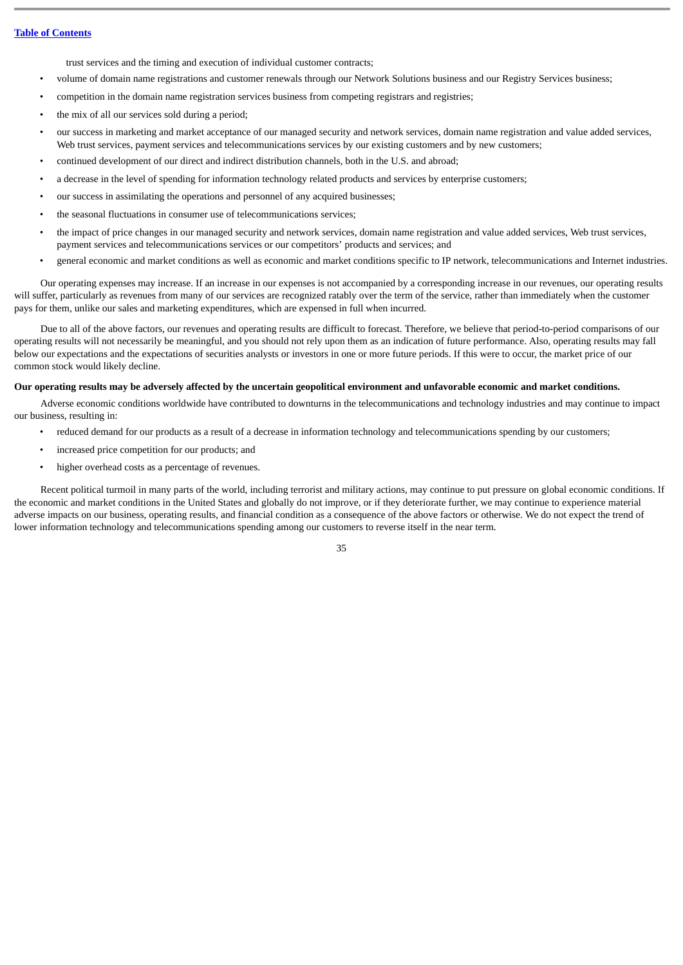trust services and the timing and execution of individual customer contracts;

- volume of domain name registrations and customer renewals through our Network Solutions business and our Registry Services business;
- competition in the domain name registration services business from competing registrars and registries;
- the mix of all our services sold during a period;
- our success in marketing and market acceptance of our managed security and network services, domain name registration and value added services, Web trust services, payment services and telecommunications services by our existing customers and by new customers;
- continued development of our direct and indirect distribution channels, both in the U.S. and abroad;
- a decrease in the level of spending for information technology related products and services by enterprise customers;
- our success in assimilating the operations and personnel of any acquired businesses;
- the seasonal fluctuations in consumer use of telecommunications services;
- the impact of price changes in our managed security and network services, domain name registration and value added services, Web trust services, payment services and telecommunications services or our competitors' products and services; and
- general economic and market conditions as well as economic and market conditions specific to IP network, telecommunications and Internet industries.

Our operating expenses may increase. If an increase in our expenses is not accompanied by a corresponding increase in our revenues, our operating results will suffer, particularly as revenues from many of our services are recognized ratably over the term of the service, rather than immediately when the customer pays for them, unlike our sales and marketing expenditures, which are expensed in full when incurred.

Due to all of the above factors, our revenues and operating results are difficult to forecast. Therefore, we believe that period-to-period comparisons of our operating results will not necessarily be meaningful, and you should not rely upon them as an indication of future performance. Also, operating results may fall below our expectations and the expectations of securities analysts or investors in one or more future periods. If this were to occur, the market price of our common stock would likely decline.

#### **Our operating results may be adversely affected by the uncertain geopolitical environment and unfavorable economic and market conditions.**

Adverse economic conditions worldwide have contributed to downturns in the telecommunications and technology industries and may continue to impact our business, resulting in:

- reduced demand for our products as a result of a decrease in information technology and telecommunications spending by our customers;
- increased price competition for our products; and
- higher overhead costs as a percentage of revenues.

Recent political turmoil in many parts of the world, including terrorist and military actions, may continue to put pressure on global economic conditions. If the economic and market conditions in the United States and globally do not improve, or if they deteriorate further, we may continue to experience material adverse impacts on our business, operating results, and financial condition as a consequence of the above factors or otherwise. We do not expect the trend of lower information technology and telecommunications spending among our customers to reverse itself in the near term.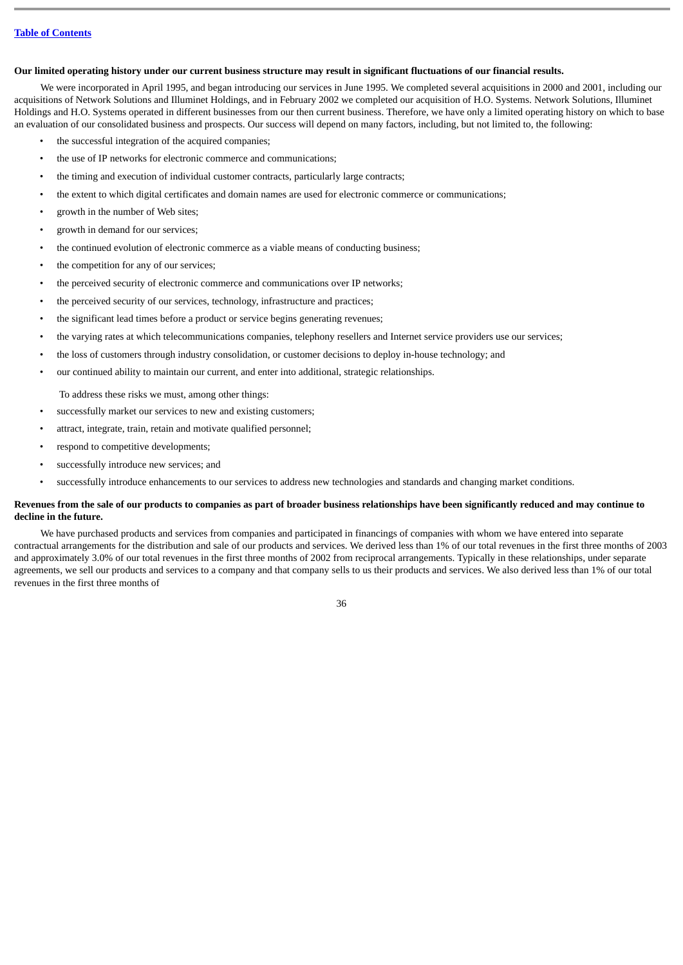#### **Our limited operating history under our current business structure may result in significant fluctuations of our financial results.**

We were incorporated in April 1995, and began introducing our services in June 1995. We completed several acquisitions in 2000 and 2001, including our acquisitions of Network Solutions and Illuminet Holdings, and in February 2002 we completed our acquisition of H.O. Systems. Network Solutions, Illuminet Holdings and H.O. Systems operated in different businesses from our then current business. Therefore, we have only a limited operating history on which to base an evaluation of our consolidated business and prospects. Our success will depend on many factors, including, but not limited to, the following:

- the successful integration of the acquired companies;
- the use of IP networks for electronic commerce and communications;
- the timing and execution of individual customer contracts, particularly large contracts;
- the extent to which digital certificates and domain names are used for electronic commerce or communications;
- growth in the number of Web sites;
- growth in demand for our services;
- the continued evolution of electronic commerce as a viable means of conducting business;
- the competition for any of our services;
- the perceived security of electronic commerce and communications over IP networks;
- the perceived security of our services, technology, infrastructure and practices;
- the significant lead times before a product or service begins generating revenues;
- the varying rates at which telecommunications companies, telephony resellers and Internet service providers use our services;
- the loss of customers through industry consolidation, or customer decisions to deploy in-house technology; and
- our continued ability to maintain our current, and enter into additional, strategic relationships.

To address these risks we must, among other things:

- successfully market our services to new and existing customers;
- attract, integrate, train, retain and motivate qualified personnel;
- respond to competitive developments;
- successfully introduce new services; and
- successfully introduce enhancements to our services to address new technologies and standards and changing market conditions.

#### **Revenues from the sale of our products to companies as part of broader business relationships have been significantly reduced and may continue to decline in the future.**

We have purchased products and services from companies and participated in financings of companies with whom we have entered into separate contractual arrangements for the distribution and sale of our products and services. We derived less than 1% of our total revenues in the first three months of 2003 and approximately 3.0% of our total revenues in the first three months of 2002 from reciprocal arrangements. Typically in these relationships, under separate agreements, we sell our products and services to a company and that company sells to us their products and services. We also derived less than 1% of our total revenues in the first three months of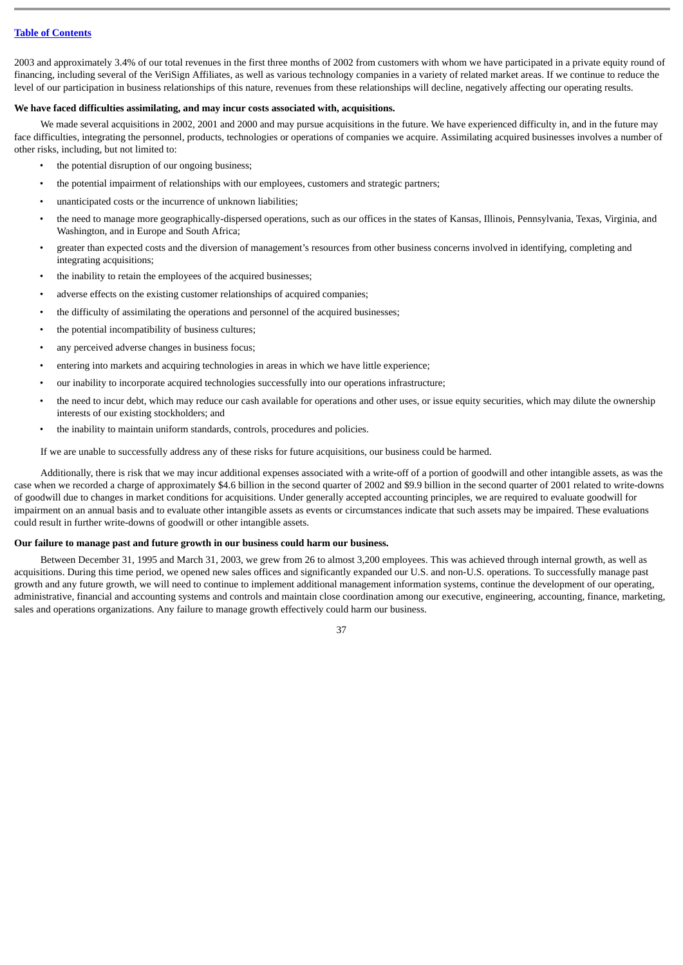#### **Table of [Contents](#page-1-0)**

2003 and approximately 3.4% of our total revenues in the first three months of 2002 from customers with whom we have participated in a private equity round of financing, including several of the VeriSign Affiliates, as well as various technology companies in a variety of related market areas. If we continue to reduce the level of our participation in business relationships of this nature, revenues from these relationships will decline, negatively affecting our operating results.

#### **We have faced difficulties assimilating, and may incur costs associated with, acquisitions.**

We made several acquisitions in 2002, 2001 and 2000 and may pursue acquisitions in the future. We have experienced difficulty in, and in the future may face difficulties, integrating the personnel, products, technologies or operations of companies we acquire. Assimilating acquired businesses involves a number of other risks, including, but not limited to:

- the potential disruption of our ongoing business;
- the potential impairment of relationships with our employees, customers and strategic partners;
- unanticipated costs or the incurrence of unknown liabilities;
- the need to manage more geographically-dispersed operations, such as our offices in the states of Kansas, Illinois, Pennsylvania, Texas, Virginia, and Washington, and in Europe and South Africa;
- greater than expected costs and the diversion of management's resources from other business concerns involved in identifying, completing and integrating acquisitions;
- the inability to retain the employees of the acquired businesses;
- adverse effects on the existing customer relationships of acquired companies;
- the difficulty of assimilating the operations and personnel of the acquired businesses;
- the potential incompatibility of business cultures;
- any perceived adverse changes in business focus:
- entering into markets and acquiring technologies in areas in which we have little experience;
- our inability to incorporate acquired technologies successfully into our operations infrastructure;
- the need to incur debt, which may reduce our cash available for operations and other uses, or issue equity securities, which may dilute the ownership interests of our existing stockholders; and
- the inability to maintain uniform standards, controls, procedures and policies.

If we are unable to successfully address any of these risks for future acquisitions, our business could be harmed.

Additionally, there is risk that we may incur additional expenses associated with a write-off of a portion of goodwill and other intangible assets, as was the case when we recorded a charge of approximately \$4.6 billion in the second quarter of 2002 and \$9.9 billion in the second quarter of 2001 related to write-downs of goodwill due to changes in market conditions for acquisitions. Under generally accepted accounting principles, we are required to evaluate goodwill for impairment on an annual basis and to evaluate other intangible assets as events or circumstances indicate that such assets may be impaired. These evaluations could result in further write-downs of goodwill or other intangible assets.

#### **Our failure to manage past and future growth in our business could harm our business.**

Between December 31, 1995 and March 31, 2003, we grew from 26 to almost 3,200 employees. This was achieved through internal growth, as well as acquisitions. During this time period, we opened new sales offices and significantly expanded our U.S. and non-U.S. operations. To successfully manage past growth and any future growth, we will need to continue to implement additional management information systems, continue the development of our operating, administrative, financial and accounting systems and controls and maintain close coordination among our executive, engineering, accounting, finance, marketing, sales and operations organizations. Any failure to manage growth effectively could harm our business.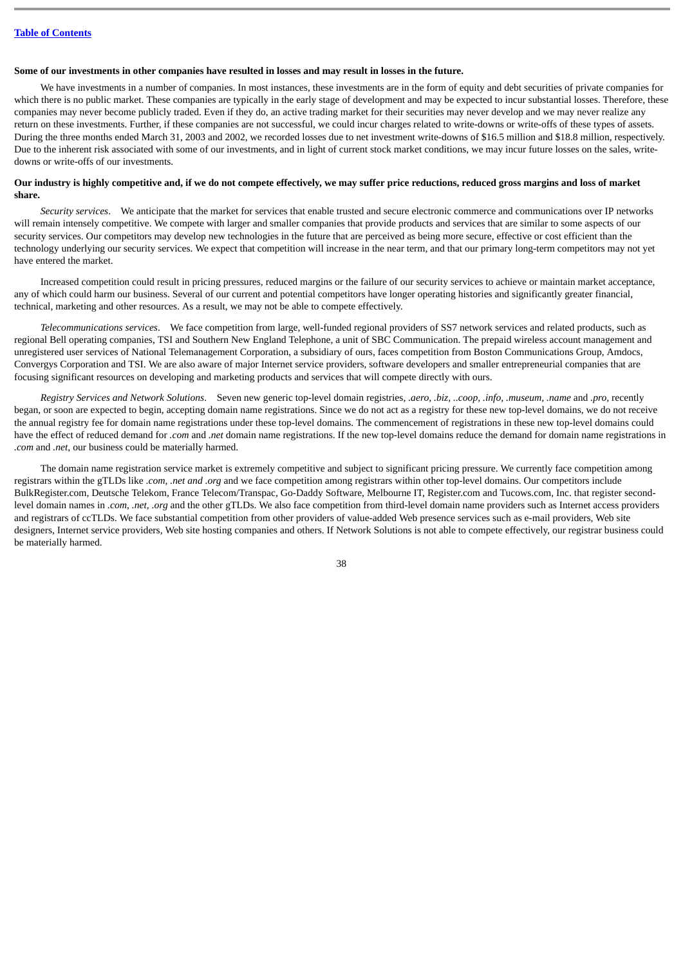## **Some of our investments in other companies have resulted in losses and may result in losses in the future.**

We have investments in a number of companies. In most instances, these investments are in the form of equity and debt securities of private companies for which there is no public market. These companies are typically in the early stage of development and may be expected to incur substantial losses. Therefore, these companies may never become publicly traded. Even if they do, an active trading market for their securities may never develop and we may never realize any return on these investments. Further, if these companies are not successful, we could incur charges related to write-downs or write-offs of these types of assets. During the three months ended March 31, 2003 and 2002, we recorded losses due to net investment write-downs of \$16.5 million and \$18.8 million, respectively. Due to the inherent risk associated with some of our investments, and in light of current stock market conditions, we may incur future losses on the sales, writedowns or write-offs of our investments.

## **Our industry is highly competitive and, if we do not compete effectively, we may suffer price reductions, reduced gross margins and loss of market share.**

*Security services*. We anticipate that the market for services that enable trusted and secure electronic commerce and communications over IP networks will remain intensely competitive. We compete with larger and smaller companies that provide products and services that are similar to some aspects of our security services. Our competitors may develop new technologies in the future that are perceived as being more secure, effective or cost efficient than the technology underlying our security services. We expect that competition will increase in the near term, and that our primary long-term competitors may not yet have entered the market.

Increased competition could result in pricing pressures, reduced margins or the failure of our security services to achieve or maintain market acceptance, any of which could harm our business. Several of our current and potential competitors have longer operating histories and significantly greater financial, technical, marketing and other resources. As a result, we may not be able to compete effectively.

*Telecommunications services*. We face competition from large, well-funded regional providers of SS7 network services and related products, such as regional Bell operating companies, TSI and Southern New England Telephone, a unit of SBC Communication. The prepaid wireless account management and unregistered user services of National Telemanagement Corporation, a subsidiary of ours, faces competition from Boston Communications Group, Amdocs, Convergys Corporation and TSI. We are also aware of major Internet service providers, software developers and smaller entrepreneurial companies that are focusing significant resources on developing and marketing products and services that will compete directly with ours.

*Registry Services and Network Solutions*. Seven new generic top-level domain registries, *.aero, .biz, ..coop, .info, .museum, .name* and *.pro,* recently began, or soon are expected to begin, accepting domain name registrations. Since we do not act as a registry for these new top-level domains, we do not receive the annual registry fee for domain name registrations under these top-level domains. The commencement of registrations in these new top-level domains could have the effect of reduced demand for *.com* and *.net* domain name registrations. If the new top-level domains reduce the demand for domain name registrations in *.com* and *.net*, our business could be materially harmed.

The domain name registration service market is extremely competitive and subject to significant pricing pressure. We currently face competition among registrars within the gTLDs like .*com, .net and .org* and we face competition among registrars within other top-level domains. Our competitors include BulkRegister.com, Deutsche Telekom, France Telecom/Transpac, Go-Daddy Software, Melbourne IT, Register.com and Tucows.com, Inc. that register secondlevel domain names in *.com*, *.net, .org* and the other gTLDs. We also face competition from third-level domain name providers such as Internet access providers and registrars of ccTLDs. We face substantial competition from other providers of value-added Web presence services such as e-mail providers, Web site designers, Internet service providers, Web site hosting companies and others. If Network Solutions is not able to compete effectively, our registrar business could be materially harmed.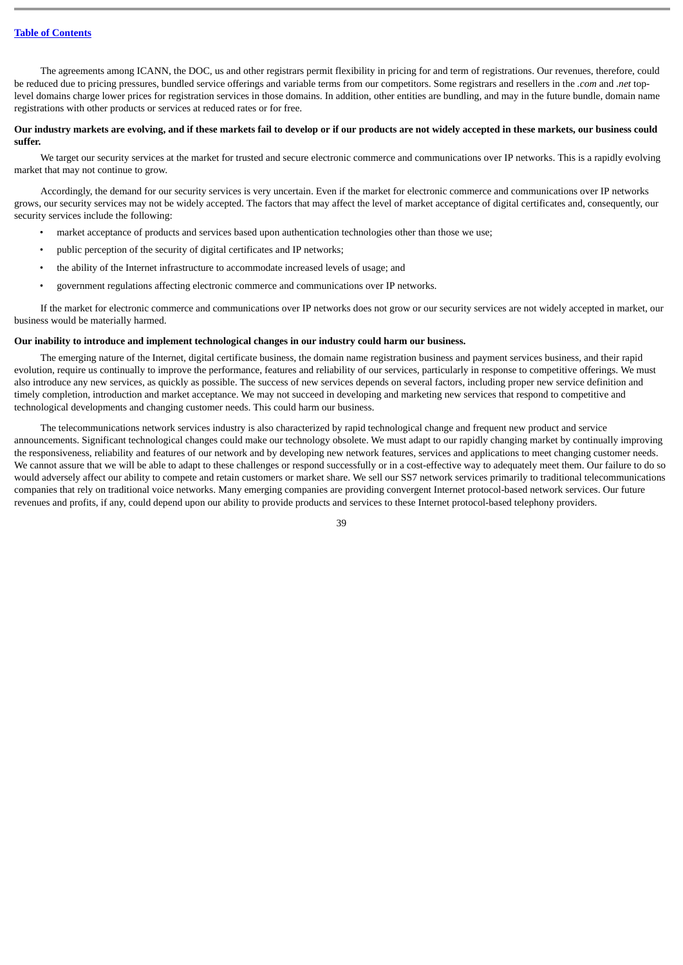The agreements among ICANN, the DOC, us and other registrars permit flexibility in pricing for and term of registrations. Our revenues, therefore, could be reduced due to pricing pressures, bundled service offerings and variable terms from our competitors. Some registrars and resellers in the *.com* and *.net* toplevel domains charge lower prices for registration services in those domains. In addition, other entities are bundling, and may in the future bundle, domain name registrations with other products or services at reduced rates or for free.

### **Our industry markets are evolving, and if these markets fail to develop or if our products are not widely accepted in these markets, our business could suffer.**

We target our security services at the market for trusted and secure electronic commerce and communications over IP networks. This is a rapidly evolving market that may not continue to grow.

Accordingly, the demand for our security services is very uncertain. Even if the market for electronic commerce and communications over IP networks grows, our security services may not be widely accepted. The factors that may affect the level of market acceptance of digital certificates and, consequently, our security services include the following:

- market acceptance of products and services based upon authentication technologies other than those we use;
- public perception of the security of digital certificates and IP networks;
- the ability of the Internet infrastructure to accommodate increased levels of usage; and
- government regulations affecting electronic commerce and communications over IP networks.

If the market for electronic commerce and communications over IP networks does not grow or our security services are not widely accepted in market, our business would be materially harmed.

#### **Our inability to introduce and implement technological changes in our industry could harm our business.**

The emerging nature of the Internet, digital certificate business, the domain name registration business and payment services business, and their rapid evolution, require us continually to improve the performance, features and reliability of our services, particularly in response to competitive offerings. We must also introduce any new services, as quickly as possible. The success of new services depends on several factors, including proper new service definition and timely completion, introduction and market acceptance. We may not succeed in developing and marketing new services that respond to competitive and technological developments and changing customer needs. This could harm our business.

The telecommunications network services industry is also characterized by rapid technological change and frequent new product and service announcements. Significant technological changes could make our technology obsolete. We must adapt to our rapidly changing market by continually improving the responsiveness, reliability and features of our network and by developing new network features, services and applications to meet changing customer needs. We cannot assure that we will be able to adapt to these challenges or respond successfully or in a cost-effective way to adequately meet them. Our failure to do so would adversely affect our ability to compete and retain customers or market share. We sell our SS7 network services primarily to traditional telecommunications companies that rely on traditional voice networks. Many emerging companies are providing convergent Internet protocol-based network services. Our future revenues and profits, if any, could depend upon our ability to provide products and services to these Internet protocol-based telephony providers.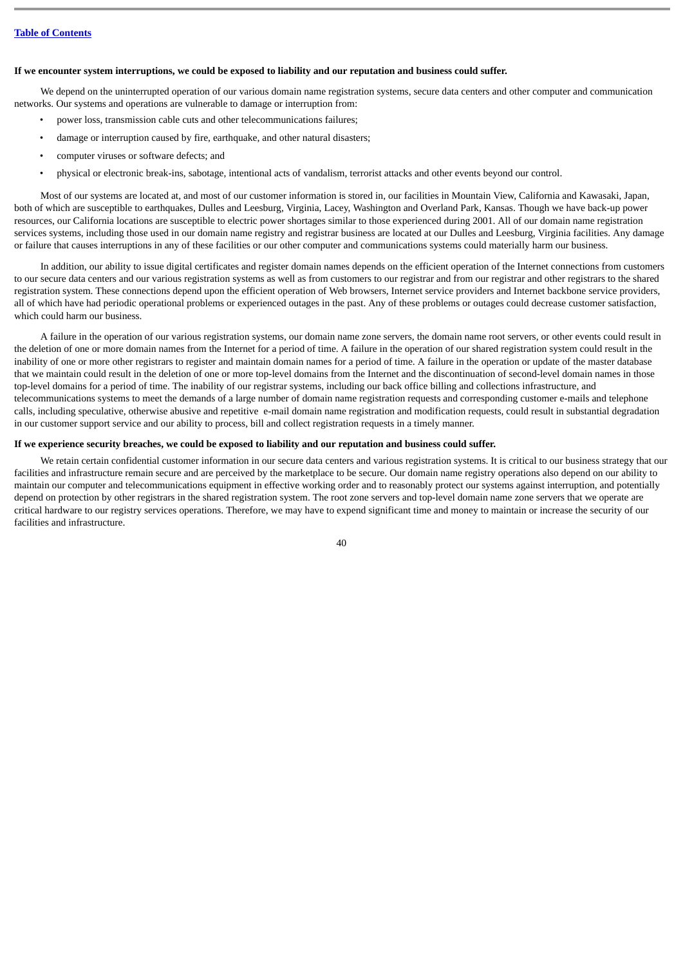#### **If we encounter system interruptions, we could be exposed to liability and our reputation and business could suffer.**

We depend on the uninterrupted operation of our various domain name registration systems, secure data centers and other computer and communication networks. Our systems and operations are vulnerable to damage or interruption from:

- power loss, transmission cable cuts and other telecommunications failures;
- damage or interruption caused by fire, earthquake, and other natural disasters;
- computer viruses or software defects; and
- physical or electronic break-ins, sabotage, intentional acts of vandalism, terrorist attacks and other events beyond our control.

Most of our systems are located at, and most of our customer information is stored in, our facilities in Mountain View, California and Kawasaki, Japan, both of which are susceptible to earthquakes, Dulles and Leesburg, Virginia, Lacey, Washington and Overland Park, Kansas. Though we have back-up power resources, our California locations are susceptible to electric power shortages similar to those experienced during 2001. All of our domain name registration services systems, including those used in our domain name registry and registrar business are located at our Dulles and Leesburg, Virginia facilities. Any damage or failure that causes interruptions in any of these facilities or our other computer and communications systems could materially harm our business.

In addition, our ability to issue digital certificates and register domain names depends on the efficient operation of the Internet connections from customers to our secure data centers and our various registration systems as well as from customers to our registrar and from our registrar and other registrars to the shared registration system. These connections depend upon the efficient operation of Web browsers, Internet service providers and Internet backbone service providers, all of which have had periodic operational problems or experienced outages in the past. Any of these problems or outages could decrease customer satisfaction, which could harm our business.

A failure in the operation of our various registration systems, our domain name zone servers, the domain name root servers, or other events could result in the deletion of one or more domain names from the Internet for a period of time. A failure in the operation of our shared registration system could result in the inability of one or more other registrars to register and maintain domain names for a period of time. A failure in the operation or update of the master database that we maintain could result in the deletion of one or more top-level domains from the Internet and the discontinuation of second-level domain names in those top-level domains for a period of time. The inability of our registrar systems, including our back office billing and collections infrastructure, and telecommunications systems to meet the demands of a large number of domain name registration requests and corresponding customer e-mails and telephone calls, including speculative, otherwise abusive and repetitive e-mail domain name registration and modification requests, could result in substantial degradation in our customer support service and our ability to process, bill and collect registration requests in a timely manner.

### **If we experience security breaches, we could be exposed to liability and our reputation and business could suffer.**

We retain certain confidential customer information in our secure data centers and various registration systems. It is critical to our business strategy that our facilities and infrastructure remain secure and are perceived by the marketplace to be secure. Our domain name registry operations also depend on our ability to maintain our computer and telecommunications equipment in effective working order and to reasonably protect our systems against interruption, and potentially depend on protection by other registrars in the shared registration system. The root zone servers and top-level domain name zone servers that we operate are critical hardware to our registry services operations. Therefore, we may have to expend significant time and money to maintain or increase the security of our facilities and infrastructure.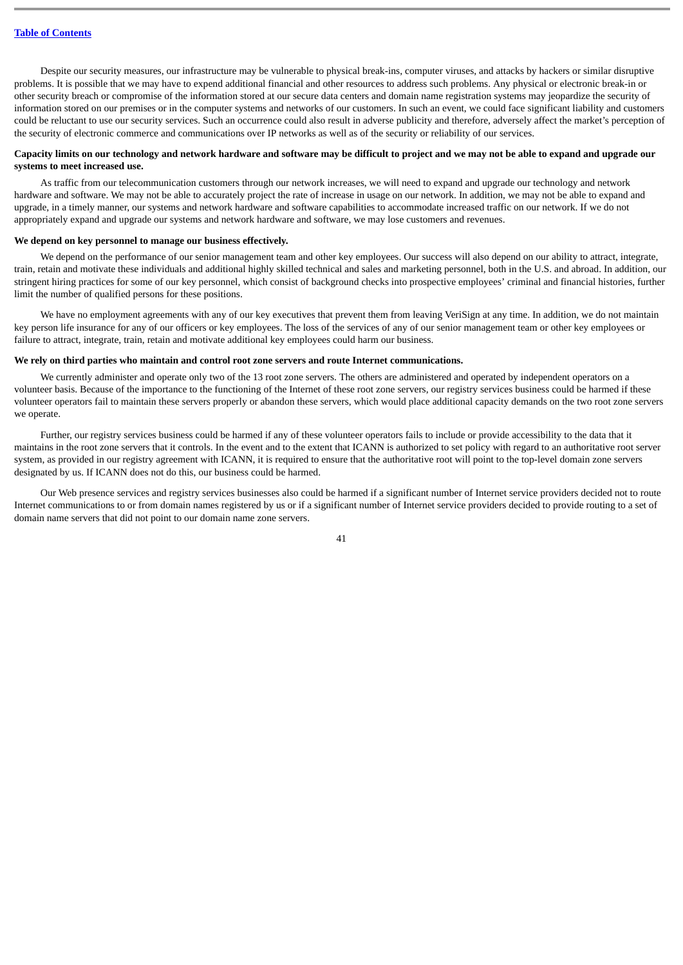Despite our security measures, our infrastructure may be vulnerable to physical break-ins, computer viruses, and attacks by hackers or similar disruptive problems. It is possible that we may have to expend additional financial and other resources to address such problems. Any physical or electronic break-in or other security breach or compromise of the information stored at our secure data centers and domain name registration systems may jeopardize the security of information stored on our premises or in the computer systems and networks of our customers. In such an event, we could face significant liability and customers could be reluctant to use our security services. Such an occurrence could also result in adverse publicity and therefore, adversely affect the market's perception of the security of electronic commerce and communications over IP networks as well as of the security or reliability of our services.

#### **Capacity limits on our technology and network hardware and software may be difficult to project and we may not be able to expand and upgrade our systems to meet increased use.**

As traffic from our telecommunication customers through our network increases, we will need to expand and upgrade our technology and network hardware and software. We may not be able to accurately project the rate of increase in usage on our network. In addition, we may not be able to expand and upgrade, in a timely manner, our systems and network hardware and software capabilities to accommodate increased traffic on our network. If we do not appropriately expand and upgrade our systems and network hardware and software, we may lose customers and revenues.

#### **We depend on key personnel to manage our business effectively.**

We depend on the performance of our senior management team and other key employees. Our success will also depend on our ability to attract, integrate, train, retain and motivate these individuals and additional highly skilled technical and sales and marketing personnel, both in the U.S. and abroad. In addition, our stringent hiring practices for some of our key personnel, which consist of background checks into prospective employees' criminal and financial histories, further limit the number of qualified persons for these positions.

We have no employment agreements with any of our key executives that prevent them from leaving VeriSign at any time. In addition, we do not maintain key person life insurance for any of our officers or key employees. The loss of the services of any of our senior management team or other key employees or failure to attract, integrate, train, retain and motivate additional key employees could harm our business.

### **We rely on third parties who maintain and control root zone servers and route Internet communications.**

We currently administer and operate only two of the 13 root zone servers. The others are administered and operated by independent operators on a volunteer basis. Because of the importance to the functioning of the Internet of these root zone servers, our registry services business could be harmed if these volunteer operators fail to maintain these servers properly or abandon these servers, which would place additional capacity demands on the two root zone servers we operate.

Further, our registry services business could be harmed if any of these volunteer operators fails to include or provide accessibility to the data that it maintains in the root zone servers that it controls. In the event and to the extent that ICANN is authorized to set policy with regard to an authoritative root server system, as provided in our registry agreement with ICANN, it is required to ensure that the authoritative root will point to the top-level domain zone servers designated by us. If ICANN does not do this, our business could be harmed.

Our Web presence services and registry services businesses also could be harmed if a significant number of Internet service providers decided not to route Internet communications to or from domain names registered by us or if a significant number of Internet service providers decided to provide routing to a set of domain name servers that did not point to our domain name zone servers.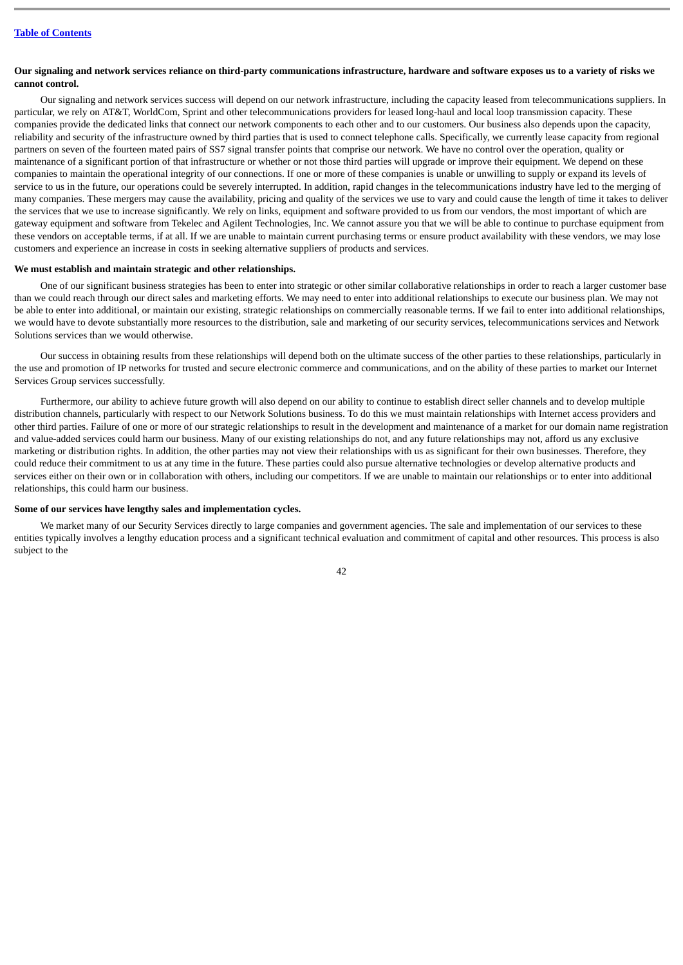## **Our signaling and network services reliance on third-party communications infrastructure, hardware and software exposes us to a variety of risks we cannot control.**

Our signaling and network services success will depend on our network infrastructure, including the capacity leased from telecommunications suppliers. In particular, we rely on AT&T, WorldCom, Sprint and other telecommunications providers for leased long-haul and local loop transmission capacity. These companies provide the dedicated links that connect our network components to each other and to our customers. Our business also depends upon the capacity, reliability and security of the infrastructure owned by third parties that is used to connect telephone calls. Specifically, we currently lease capacity from regional partners on seven of the fourteen mated pairs of SS7 signal transfer points that comprise our network. We have no control over the operation, quality or maintenance of a significant portion of that infrastructure or whether or not those third parties will upgrade or improve their equipment. We depend on these companies to maintain the operational integrity of our connections. If one or more of these companies is unable or unwilling to supply or expand its levels of service to us in the future, our operations could be severely interrupted. In addition, rapid changes in the telecommunications industry have led to the merging of many companies. These mergers may cause the availability, pricing and quality of the services we use to vary and could cause the length of time it takes to deliver the services that we use to increase significantly. We rely on links, equipment and software provided to us from our vendors, the most important of which are gateway equipment and software from Tekelec and Agilent Technologies, Inc. We cannot assure you that we will be able to continue to purchase equipment from these vendors on acceptable terms, if at all. If we are unable to maintain current purchasing terms or ensure product availability with these vendors, we may lose customers and experience an increase in costs in seeking alternative suppliers of products and services.

#### **We must establish and maintain strategic and other relationships.**

One of our significant business strategies has been to enter into strategic or other similar collaborative relationships in order to reach a larger customer base than we could reach through our direct sales and marketing efforts. We may need to enter into additional relationships to execute our business plan. We may not be able to enter into additional, or maintain our existing, strategic relationships on commercially reasonable terms. If we fail to enter into additional relationships, we would have to devote substantially more resources to the distribution, sale and marketing of our security services, telecommunications services and Network Solutions services than we would otherwise.

Our success in obtaining results from these relationships will depend both on the ultimate success of the other parties to these relationships, particularly in the use and promotion of IP networks for trusted and secure electronic commerce and communications, and on the ability of these parties to market our Internet Services Group services successfully.

Furthermore, our ability to achieve future growth will also depend on our ability to continue to establish direct seller channels and to develop multiple distribution channels, particularly with respect to our Network Solutions business. To do this we must maintain relationships with Internet access providers and other third parties. Failure of one or more of our strategic relationships to result in the development and maintenance of a market for our domain name registration and value-added services could harm our business. Many of our existing relationships do not, and any future relationships may not, afford us any exclusive marketing or distribution rights. In addition, the other parties may not view their relationships with us as significant for their own businesses. Therefore, they could reduce their commitment to us at any time in the future. These parties could also pursue alternative technologies or develop alternative products and services either on their own or in collaboration with others, including our competitors. If we are unable to maintain our relationships or to enter into additional relationships, this could harm our business.

#### **Some of our services have lengthy sales and implementation cycles.**

We market many of our Security Services directly to large companies and government agencies. The sale and implementation of our services to these entities typically involves a lengthy education process and a significant technical evaluation and commitment of capital and other resources. This process is also subject to the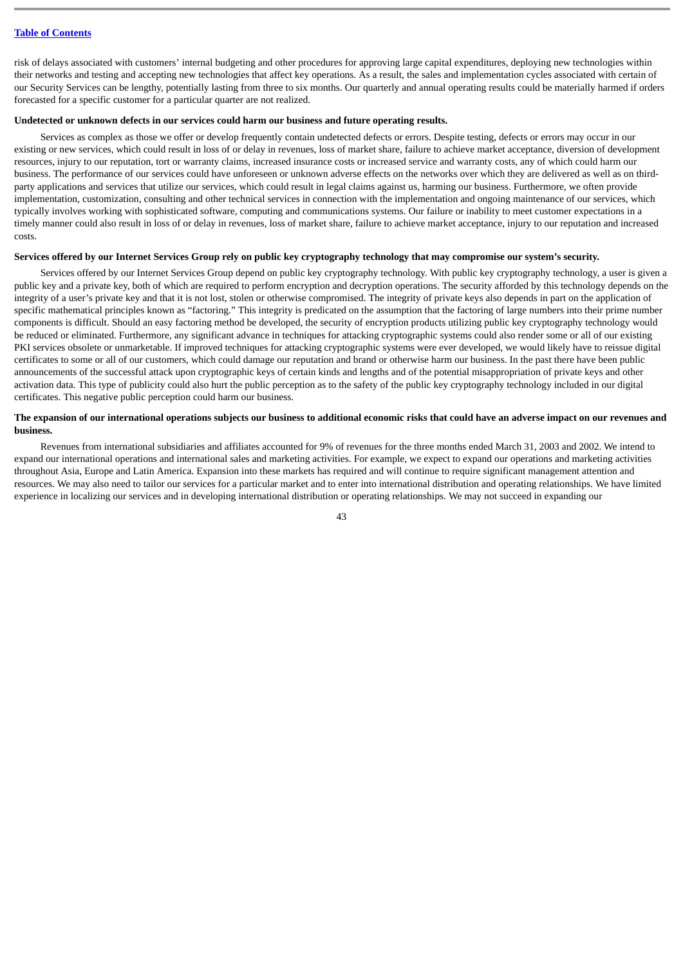risk of delays associated with customers' internal budgeting and other procedures for approving large capital expenditures, deploying new technologies within their networks and testing and accepting new technologies that affect key operations. As a result, the sales and implementation cycles associated with certain of our Security Services can be lengthy, potentially lasting from three to six months. Our quarterly and annual operating results could be materially harmed if orders forecasted for a specific customer for a particular quarter are not realized.

#### **Undetected or unknown defects in our services could harm our business and future operating results.**

Services as complex as those we offer or develop frequently contain undetected defects or errors. Despite testing, defects or errors may occur in our existing or new services, which could result in loss of or delay in revenues, loss of market share, failure to achieve market acceptance, diversion of development resources, injury to our reputation, tort or warranty claims, increased insurance costs or increased service and warranty costs, any of which could harm our business. The performance of our services could have unforeseen or unknown adverse effects on the networks over which they are delivered as well as on thirdparty applications and services that utilize our services, which could result in legal claims against us, harming our business. Furthermore, we often provide implementation, customization, consulting and other technical services in connection with the implementation and ongoing maintenance of our services, which typically involves working with sophisticated software, computing and communications systems. Our failure or inability to meet customer expectations in a timely manner could also result in loss of or delay in revenues, loss of market share, failure to achieve market acceptance, injury to our reputation and increased costs.

### **Services offered by our Internet Services Group rely on public key cryptography technology that may compromise our system's security.**

Services offered by our Internet Services Group depend on public key cryptography technology. With public key cryptography technology, a user is given a public key and a private key, both of which are required to perform encryption and decryption operations. The security afforded by this technology depends on the integrity of a user's private key and that it is not lost, stolen or otherwise compromised. The integrity of private keys also depends in part on the application of specific mathematical principles known as "factoring." This integrity is predicated on the assumption that the factoring of large numbers into their prime number components is difficult. Should an easy factoring method be developed, the security of encryption products utilizing public key cryptography technology would be reduced or eliminated. Furthermore, any significant advance in techniques for attacking cryptographic systems could also render some or all of our existing PKI services obsolete or unmarketable. If improved techniques for attacking cryptographic systems were ever developed, we would likely have to reissue digital certificates to some or all of our customers, which could damage our reputation and brand or otherwise harm our business. In the past there have been public announcements of the successful attack upon cryptographic keys of certain kinds and lengths and of the potential misappropriation of private keys and other activation data. This type of publicity could also hurt the public perception as to the safety of the public key cryptography technology included in our digital certificates. This negative public perception could harm our business.

#### **The expansion of our international operations subjects our business to additional economic risks that could have an adverse impact on our revenues and business.**

Revenues from international subsidiaries and affiliates accounted for 9% of revenues for the three months ended March 31, 2003 and 2002. We intend to expand our international operations and international sales and marketing activities. For example, we expect to expand our operations and marketing activities throughout Asia, Europe and Latin America. Expansion into these markets has required and will continue to require significant management attention and resources. We may also need to tailor our services for a particular market and to enter into international distribution and operating relationships. We have limited experience in localizing our services and in developing international distribution or operating relationships. We may not succeed in expanding our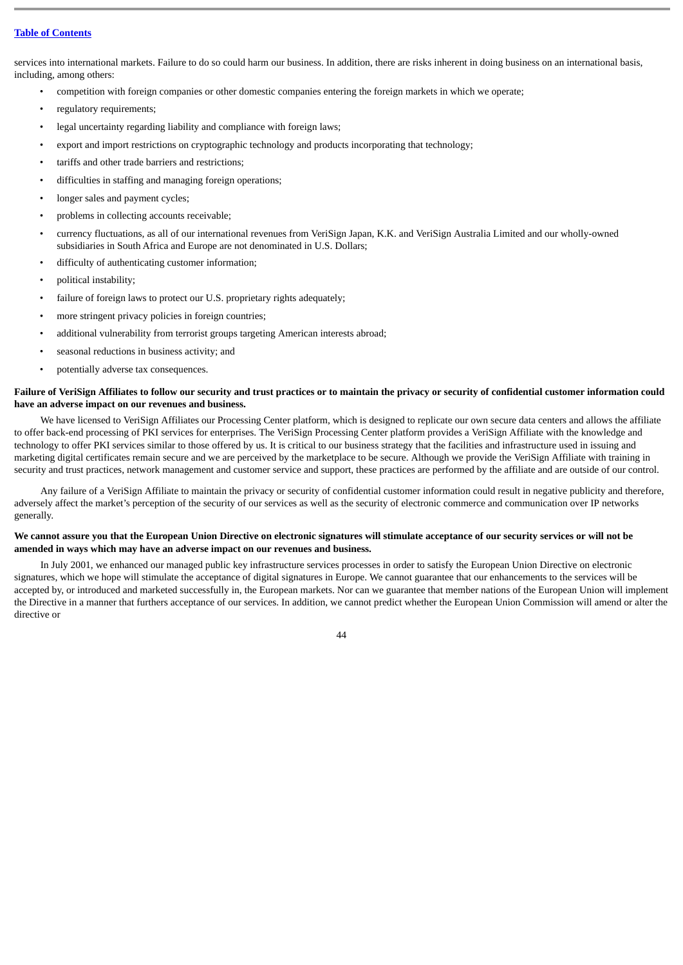## **Table of [Contents](#page-1-0)**

services into international markets. Failure to do so could harm our business. In addition, there are risks inherent in doing business on an international basis, including, among others:

- competition with foreign companies or other domestic companies entering the foreign markets in which we operate;
- regulatory requirements;
- legal uncertainty regarding liability and compliance with foreign laws;
- export and import restrictions on cryptographic technology and products incorporating that technology;
- tariffs and other trade barriers and restrictions;
- difficulties in staffing and managing foreign operations;
- longer sales and payment cycles;
- problems in collecting accounts receivable;
- currency fluctuations, as all of our international revenues from VeriSign Japan, K.K. and VeriSign Australia Limited and our wholly-owned subsidiaries in South Africa and Europe are not denominated in U.S. Dollars;
- difficulty of authenticating customer information;
- political instability;
- failure of foreign laws to protect our U.S. proprietary rights adequately;
- more stringent privacy policies in foreign countries;
- additional vulnerability from terrorist groups targeting American interests abroad;
- seasonal reductions in business activity; and
- potentially adverse tax consequences.

### **Failure of VeriSign Affiliates to follow our security and trust practices or to maintain the privacy or security of confidential customer information could have an adverse impact on our revenues and business.**

We have licensed to VeriSign Affiliates our Processing Center platform, which is designed to replicate our own secure data centers and allows the affiliate to offer back-end processing of PKI services for enterprises. The VeriSign Processing Center platform provides a VeriSign Affiliate with the knowledge and technology to offer PKI services similar to those offered by us. It is critical to our business strategy that the facilities and infrastructure used in issuing and marketing digital certificates remain secure and we are perceived by the marketplace to be secure. Although we provide the VeriSign Affiliate with training in security and trust practices, network management and customer service and support, these practices are performed by the affiliate and are outside of our control.

Any failure of a VeriSign Affiliate to maintain the privacy or security of confidential customer information could result in negative publicity and therefore, adversely affect the market's perception of the security of our services as well as the security of electronic commerce and communication over IP networks generally.

### **We cannot assure you that the European Union Directive on electronic signatures will stimulate acceptance of our security services or will not be amended in ways which may have an adverse impact on our revenues and business.**

In July 2001, we enhanced our managed public key infrastructure services processes in order to satisfy the European Union Directive on electronic signatures, which we hope will stimulate the acceptance of digital signatures in Europe. We cannot guarantee that our enhancements to the services will be accepted by, or introduced and marketed successfully in, the European markets. Nor can we guarantee that member nations of the European Union will implement the Directive in a manner that furthers acceptance of our services. In addition, we cannot predict whether the European Union Commission will amend or alter the directive or

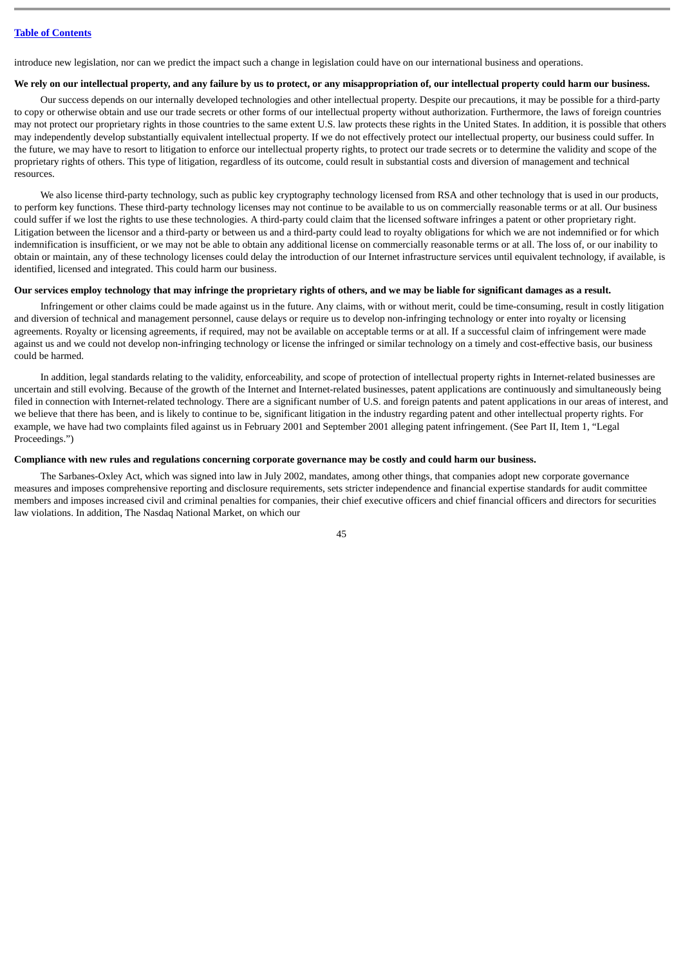introduce new legislation, nor can we predict the impact such a change in legislation could have on our international business and operations.

#### **We rely on our intellectual property, and any failure by us to protect, or any misappropriation of, our intellectual property could harm our business.**

Our success depends on our internally developed technologies and other intellectual property. Despite our precautions, it may be possible for a third-party to copy or otherwise obtain and use our trade secrets or other forms of our intellectual property without authorization. Furthermore, the laws of foreign countries may not protect our proprietary rights in those countries to the same extent U.S. law protects these rights in the United States. In addition, it is possible that others may independently develop substantially equivalent intellectual property. If we do not effectively protect our intellectual property, our business could suffer. In the future, we may have to resort to litigation to enforce our intellectual property rights, to protect our trade secrets or to determine the validity and scope of the proprietary rights of others. This type of litigation, regardless of its outcome, could result in substantial costs and diversion of management and technical resources.

We also license third-party technology, such as public key cryptography technology licensed from RSA and other technology that is used in our products, to perform key functions. These third-party technology licenses may not continue to be available to us on commercially reasonable terms or at all. Our business could suffer if we lost the rights to use these technologies. A third-party could claim that the licensed software infringes a patent or other proprietary right. Litigation between the licensor and a third-party or between us and a third-party could lead to royalty obligations for which we are not indemnified or for which indemnification is insufficient, or we may not be able to obtain any additional license on commercially reasonable terms or at all. The loss of, or our inability to obtain or maintain, any of these technology licenses could delay the introduction of our Internet infrastructure services until equivalent technology, if available, is identified, licensed and integrated. This could harm our business.

### **Our services employ technology that may infringe the proprietary rights of others, and we may be liable for significant damages as a result.**

Infringement or other claims could be made against us in the future. Any claims, with or without merit, could be time-consuming, result in costly litigation and diversion of technical and management personnel, cause delays or require us to develop non-infringing technology or enter into royalty or licensing agreements. Royalty or licensing agreements, if required, may not be available on acceptable terms or at all. If a successful claim of infringement were made against us and we could not develop non-infringing technology or license the infringed or similar technology on a timely and cost-effective basis, our business could be harmed.

In addition, legal standards relating to the validity, enforceability, and scope of protection of intellectual property rights in Internet-related businesses are uncertain and still evolving. Because of the growth of the Internet and Internet-related businesses, patent applications are continuously and simultaneously being filed in connection with Internet-related technology. There are a significant number of U.S. and foreign patents and patent applications in our areas of interest, and we believe that there has been, and is likely to continue to be, significant litigation in the industry regarding patent and other intellectual property rights. For example, we have had two complaints filed against us in February 2001 and September 2001 alleging patent infringement. (See Part II, Item 1, "Legal Proceedings.")

## **Compliance with new rules and regulations concerning corporate governance may be costly and could harm our business.**

The Sarbanes-Oxley Act, which was signed into law in July 2002, mandates, among other things, that companies adopt new corporate governance measures and imposes comprehensive reporting and disclosure requirements, sets stricter independence and financial expertise standards for audit committee members and imposes increased civil and criminal penalties for companies, their chief executive officers and chief financial officers and directors for securities law violations. In addition, The Nasdaq National Market, on which our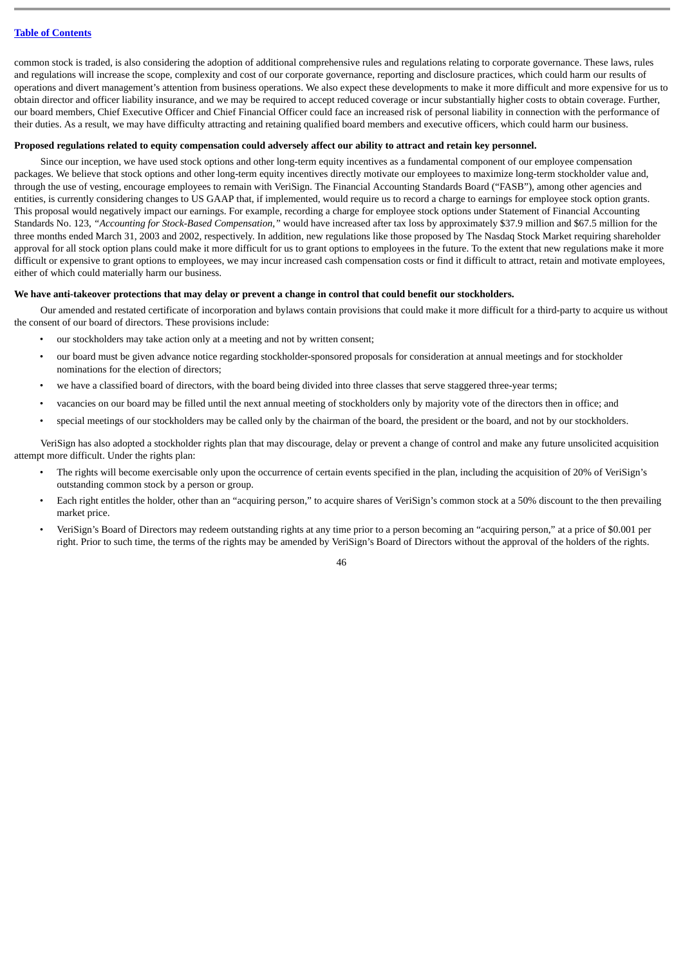#### **Table of [Contents](#page-1-0)**

common stock is traded, is also considering the adoption of additional comprehensive rules and regulations relating to corporate governance. These laws, rules and regulations will increase the scope, complexity and cost of our corporate governance, reporting and disclosure practices, which could harm our results of operations and divert management's attention from business operations. We also expect these developments to make it more difficult and more expensive for us to obtain director and officer liability insurance, and we may be required to accept reduced coverage or incur substantially higher costs to obtain coverage. Further, our board members, Chief Executive Officer and Chief Financial Officer could face an increased risk of personal liability in connection with the performance of their duties. As a result, we may have difficulty attracting and retaining qualified board members and executive officers, which could harm our business.

#### **Proposed regulations related to equity compensation could adversely affect our ability to attract and retain key personnel.**

Since our inception, we have used stock options and other long-term equity incentives as a fundamental component of our employee compensation packages. We believe that stock options and other long-term equity incentives directly motivate our employees to maximize long-term stockholder value and, through the use of vesting, encourage employees to remain with VeriSign. The Financial Accounting Standards Board ("FASB"), among other agencies and entities, is currently considering changes to US GAAP that, if implemented, would require us to record a charge to earnings for employee stock option grants. This proposal would negatively impact our earnings. For example, recording a charge for employee stock options under Statement of Financial Accounting Standards No. 123, *"Accounting for Stock-Based Compensation,"* would have increased after tax loss by approximately \$37.9 million and \$67.5 million for the three months ended March 31, 2003 and 2002, respectively. In addition, new regulations like those proposed by The Nasdaq Stock Market requiring shareholder approval for all stock option plans could make it more difficult for us to grant options to employees in the future. To the extent that new regulations make it more difficult or expensive to grant options to employees, we may incur increased cash compensation costs or find it difficult to attract, retain and motivate employees, either of which could materially harm our business.

#### **We have anti-takeover protections that may delay or prevent a change in control that could benefit our stockholders.**

Our amended and restated certificate of incorporation and bylaws contain provisions that could make it more difficult for a third-party to acquire us without the consent of our board of directors. These provisions include:

- our stockholders may take action only at a meeting and not by written consent;
- our board must be given advance notice regarding stockholder-sponsored proposals for consideration at annual meetings and for stockholder nominations for the election of directors;
- we have a classified board of directors, with the board being divided into three classes that serve staggered three-year terms;
- vacancies on our board may be filled until the next annual meeting of stockholders only by majority vote of the directors then in office; and
- special meetings of our stockholders may be called only by the chairman of the board, the president or the board, and not by our stockholders.

VeriSign has also adopted a stockholder rights plan that may discourage, delay or prevent a change of control and make any future unsolicited acquisition attempt more difficult. Under the rights plan:

- The rights will become exercisable only upon the occurrence of certain events specified in the plan, including the acquisition of 20% of VeriSign's outstanding common stock by a person or group.
- Each right entitles the holder, other than an "acquiring person," to acquire shares of VeriSign's common stock at a 50% discount to the then prevailing market price.
- VeriSign's Board of Directors may redeem outstanding rights at any time prior to a person becoming an "acquiring person," at a price of \$0.001 per right. Prior to such time, the terms of the rights may be amended by VeriSign's Board of Directors without the approval of the holders of the rights.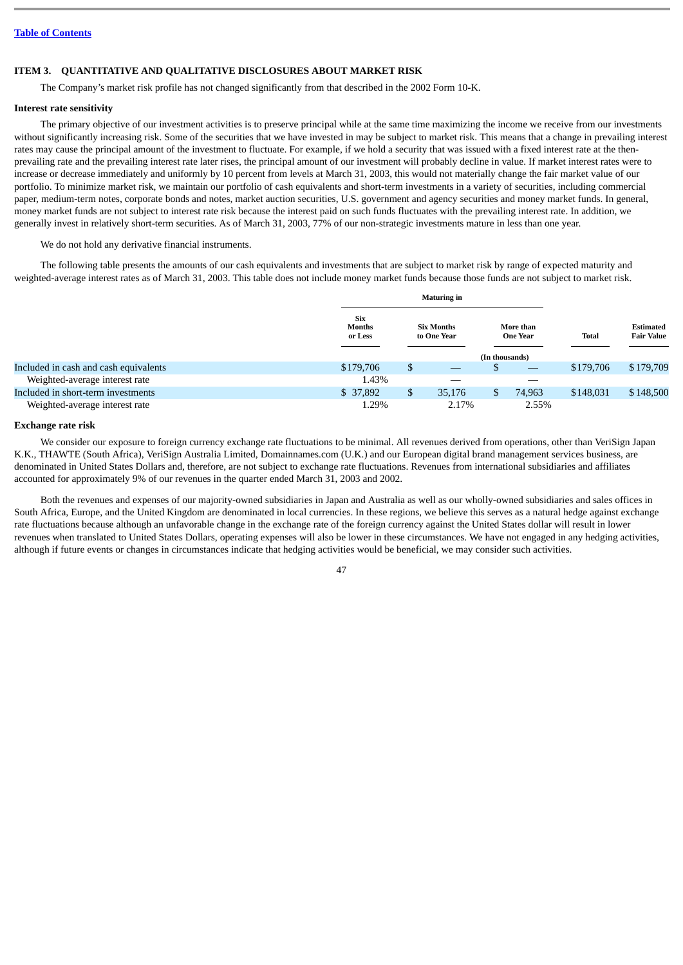### **ITEM 3. QUANTITATIVE AND QUALITATIVE DISCLOSURES ABOUT MARKET RISK**

The Company's market risk profile has not changed significantly from that described in the 2002 Form 10-K.

#### **Interest rate sensitivity**

The primary objective of our investment activities is to preserve principal while at the same time maximizing the income we receive from our investments without significantly increasing risk. Some of the securities that we have invested in may be subject to market risk. This means that a change in prevailing interest rates may cause the principal amount of the investment to fluctuate. For example, if we hold a security that was issued with a fixed interest rate at the thenprevailing rate and the prevailing interest rate later rises, the principal amount of our investment will probably decline in value. If market interest rates were to increase or decrease immediately and uniformly by 10 percent from levels at March 31, 2003, this would not materially change the fair market value of our portfolio. To minimize market risk, we maintain our portfolio of cash equivalents and short-term investments in a variety of securities, including commercial paper, medium-term notes, corporate bonds and notes, market auction securities, U.S. government and agency securities and money market funds. In general, money market funds are not subject to interest rate risk because the interest paid on such funds fluctuates with the prevailing interest rate. In addition, we generally invest in relatively short-term securities. As of March 31, 2003, 77% of our non-strategic investments mature in less than one year.

We do not hold any derivative financial instruments.

The following table presents the amounts of our cash equivalents and investments that are subject to market risk by range of expected maturity and weighted-average interest rates as of March 31, 2003. This table does not include money market funds because those funds are not subject to market risk.

|                                       | <b>Maturing</b> in                     |                                  |        |                |                                |           |                                       |
|---------------------------------------|----------------------------------------|----------------------------------|--------|----------------|--------------------------------|-----------|---------------------------------------|
|                                       | <b>Six</b><br><b>Months</b><br>or Less | <b>Six Months</b><br>to One Year |        |                | More than<br><b>One Year</b>   | Total     | <b>Estimated</b><br><b>Fair Value</b> |
|                                       |                                        |                                  |        | (In thousands) |                                |           |                                       |
| Included in cash and cash equivalents | \$179,706                              | \$                               |        | Φ              | $\overbrace{\hspace{25mm}}^{}$ | \$179,706 | \$179,709                             |
| Weighted-average interest rate        | 1.43%                                  |                                  | __     |                |                                |           |                                       |
| Included in short-term investments    | \$ 37,892                              | S.                               | 35,176 | S.             | 74.963                         | \$148,031 | \$148,500                             |
| Weighted-average interest rate        | 1.29%                                  |                                  | 2.17%  |                | 2.55%                          |           |                                       |

#### **Exchange rate risk**

We consider our exposure to foreign currency exchange rate fluctuations to be minimal. All revenues derived from operations, other than VeriSign Japan K.K., THAWTE (South Africa), VeriSign Australia Limited, Domainnames.com (U.K.) and our European digital brand management services business, are denominated in United States Dollars and, therefore, are not subject to exchange rate fluctuations. Revenues from international subsidiaries and affiliates accounted for approximately 9% of our revenues in the quarter ended March 31, 2003 and 2002.

Both the revenues and expenses of our majority-owned subsidiaries in Japan and Australia as well as our wholly-owned subsidiaries and sales offices in South Africa, Europe, and the United Kingdom are denominated in local currencies. In these regions, we believe this serves as a natural hedge against exchange rate fluctuations because although an unfavorable change in the exchange rate of the foreign currency against the United States dollar will result in lower revenues when translated to United States Dollars, operating expenses will also be lower in these circumstances. We have not engaged in any hedging activities, although if future events or changes in circumstances indicate that hedging activities would be beneficial, we may consider such activities.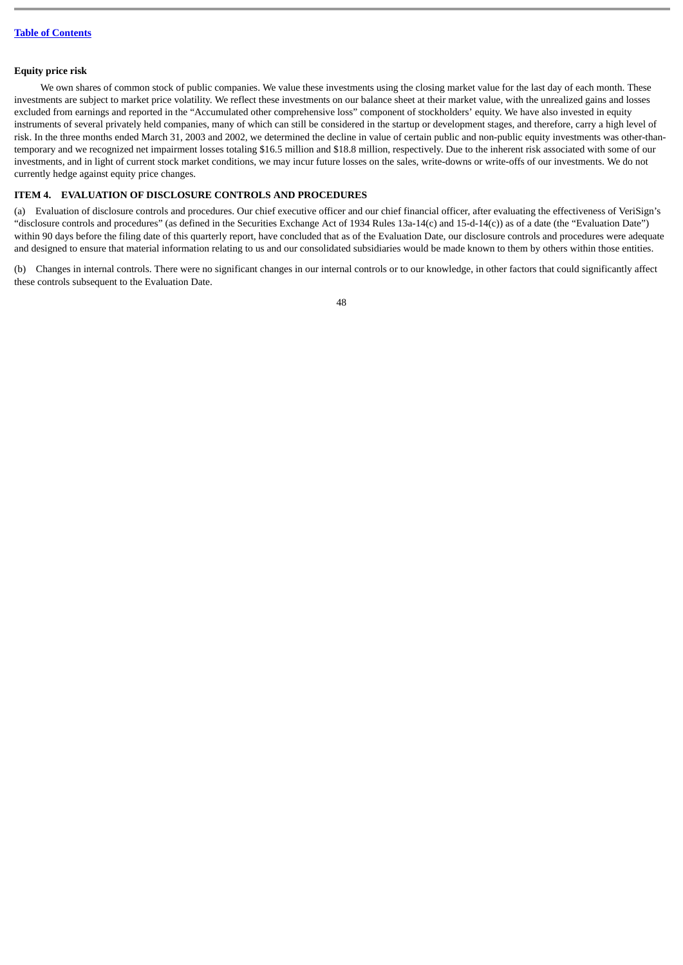### **Equity price risk**

We own shares of common stock of public companies. We value these investments using the closing market value for the last day of each month. These investments are subject to market price volatility. We reflect these investments on our balance sheet at their market value, with the unrealized gains and losses excluded from earnings and reported in the "Accumulated other comprehensive loss" component of stockholders' equity. We have also invested in equity instruments of several privately held companies, many of which can still be considered in the startup or development stages, and therefore, carry a high level of risk. In the three months ended March 31, 2003 and 2002, we determined the decline in value of certain public and non-public equity investments was other-thantemporary and we recognized net impairment losses totaling \$16.5 million and \$18.8 million, respectively. Due to the inherent risk associated with some of our investments, and in light of current stock market conditions, we may incur future losses on the sales, write-downs or write-offs of our investments. We do not currently hedge against equity price changes.

### **ITEM 4. EVALUATION OF DISCLOSURE CONTROLS AND PROCEDURES**

(a) Evaluation of disclosure controls and procedures. Our chief executive officer and our chief financial officer, after evaluating the effectiveness of VeriSign's "disclosure controls and procedures" (as defined in the Securities Exchange Act of 1934 Rules 13a-14(c) and 15-d-14(c)) as of a date (the "Evaluation Date") within 90 days before the filing date of this quarterly report, have concluded that as of the Evaluation Date, our disclosure controls and procedures were adequate and designed to ensure that material information relating to us and our consolidated subsidiaries would be made known to them by others within those entities.

(b) Changes in internal controls. There were no significant changes in our internal controls or to our knowledge, in other factors that could significantly affect these controls subsequent to the Evaluation Date.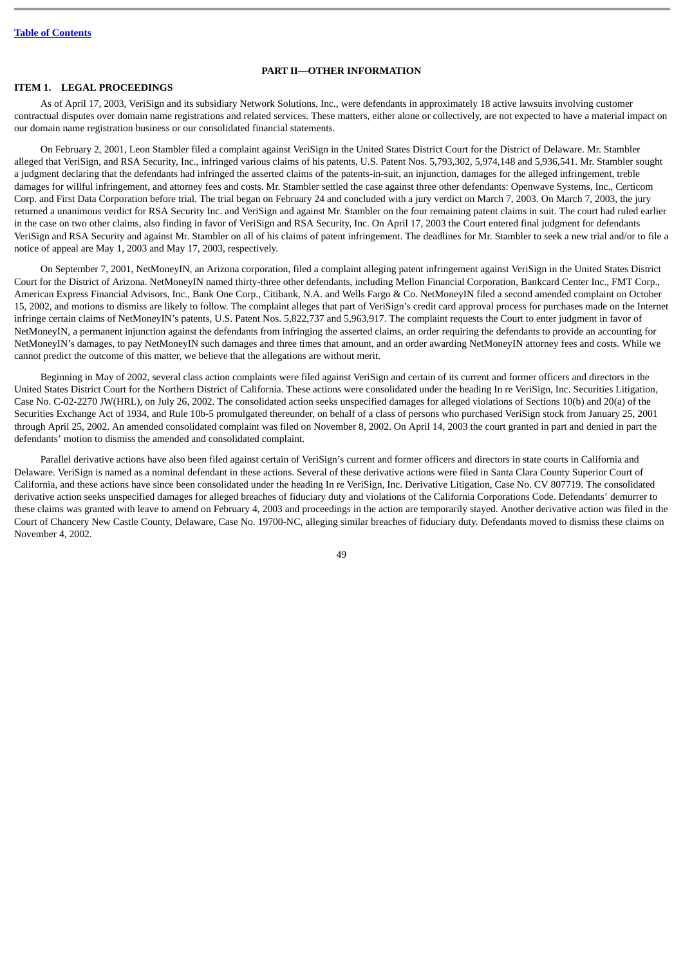### **PART II—OTHER INFORMATION**

## **ITEM 1. LEGAL PROCEEDINGS**

As of April 17, 2003, VeriSign and its subsidiary Network Solutions, Inc., were defendants in approximately 18 active lawsuits involving customer contractual disputes over domain name registrations and related services. These matters, either alone or collectively, are not expected to have a material impact on our domain name registration business or our consolidated financial statements.

On February 2, 2001, Leon Stambler filed a complaint against VeriSign in the United States District Court for the District of Delaware. Mr. Stambler alleged that VeriSign, and RSA Security, Inc., infringed various claims of his patents, U.S. Patent Nos. 5,793,302, 5,974,148 and 5,936,541. Mr. Stambler sought a judgment declaring that the defendants had infringed the asserted claims of the patents-in-suit, an injunction, damages for the alleged infringement, treble damages for willful infringement, and attorney fees and costs. Mr. Stambler settled the case against three other defendants: Openwave Systems, Inc., Certicom Corp. and First Data Corporation before trial. The trial began on February 24 and concluded with a jury verdict on March 7, 2003. On March 7, 2003, the jury returned a unanimous verdict for RSA Security Inc. and VeriSign and against Mr. Stambler on the four remaining patent claims in suit. The court had ruled earlier in the case on two other claims, also finding in favor of VeriSign and RSA Security, Inc. On April 17, 2003 the Court entered final judgment for defendants VeriSign and RSA Security and against Mr. Stambler on all of his claims of patent infringement. The deadlines for Mr. Stambler to seek a new trial and/or to file a notice of appeal are May 1, 2003 and May 17, 2003, respectively.

On September 7, 2001, NetMoneyIN, an Arizona corporation, filed a complaint alleging patent infringement against VeriSign in the United States District Court for the District of Arizona. NetMoneyIN named thirty-three other defendants, including Mellon Financial Corporation, Bankcard Center Inc., FMT Corp., American Express Financial Advisors, Inc., Bank One Corp., Citibank, N.A. and Wells Fargo & Co. NetMoneyIN filed a second amended complaint on October 15, 2002, and motions to dismiss are likely to follow. The complaint alleges that part of VeriSign's credit card approval process for purchases made on the Internet infringe certain claims of NetMoneyIN's patents, U.S. Patent Nos. 5,822,737 and 5,963,917. The complaint requests the Court to enter judgment in favor of NetMoneyIN, a permanent injunction against the defendants from infringing the asserted claims, an order requiring the defendants to provide an accounting for NetMoneyIN's damages, to pay NetMoneyIN such damages and three times that amount, and an order awarding NetMoneyIN attorney fees and costs. While we cannot predict the outcome of this matter, we believe that the allegations are without merit.

Beginning in May of 2002, several class action complaints were filed against VeriSign and certain of its current and former officers and directors in the United States District Court for the Northern District of California. These actions were consolidated under the heading In re VeriSign, Inc. Securities Litigation, Case No. C-02-2270 JW(HRL), on July 26, 2002. The consolidated action seeks unspecified damages for alleged violations of Sections 10(b) and 20(a) of the Securities Exchange Act of 1934, and Rule 10b-5 promulgated thereunder, on behalf of a class of persons who purchased VeriSign stock from January 25, 2001 through April 25, 2002. An amended consolidated complaint was filed on November 8, 2002. On April 14, 2003 the court granted in part and denied in part the defendants' motion to dismiss the amended and consolidated complaint.

Parallel derivative actions have also been filed against certain of VeriSign's current and former officers and directors in state courts in California and Delaware. VeriSign is named as a nominal defendant in these actions. Several of these derivative actions were filed in Santa Clara County Superior Court of California, and these actions have since been consolidated under the heading In re VeriSign, Inc. Derivative Litigation, Case No. CV 807719. The consolidated derivative action seeks unspecified damages for alleged breaches of fiduciary duty and violations of the California Corporations Code. Defendants' demurrer to these claims was granted with leave to amend on February 4, 2003 and proceedings in the action are temporarily stayed. Another derivative action was filed in the Court of Chancery New Castle County, Delaware, Case No. 19700-NC, alleging similar breaches of fiduciary duty. Defendants moved to dismiss these claims on November 4, 2002.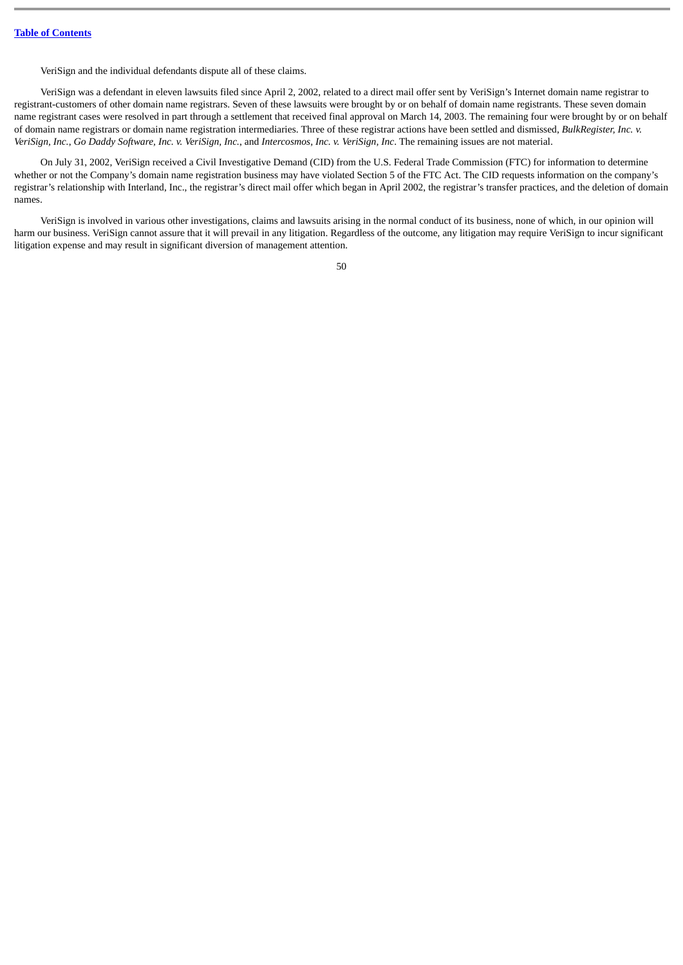VeriSign and the individual defendants dispute all of these claims.

VeriSign was a defendant in eleven lawsuits filed since April 2, 2002, related to a direct mail offer sent by VeriSign's Internet domain name registrar to registrant-customers of other domain name registrars. Seven of these lawsuits were brought by or on behalf of domain name registrants. These seven domain name registrant cases were resolved in part through a settlement that received final approval on March 14, 2003. The remaining four were brought by or on behalf of domain name registrars or domain name registration intermediaries. Three of these registrar actions have been settled and dismissed, *BulkRegister, Inc. v. VeriSign, Inc.*, *Go Daddy Software, Inc. v. VeriSign, Inc.*, and *Intercosmos, Inc. v. VeriSign, Inc*. The remaining issues are not material.

On July 31, 2002, VeriSign received a Civil Investigative Demand (CID) from the U.S. Federal Trade Commission (FTC) for information to determine whether or not the Company's domain name registration business may have violated Section 5 of the FTC Act. The CID requests information on the company's registrar's relationship with Interland, Inc., the registrar's direct mail offer which began in April 2002, the registrar's transfer practices, and the deletion of domain names.

VeriSign is involved in various other investigations, claims and lawsuits arising in the normal conduct of its business, none of which, in our opinion will harm our business. VeriSign cannot assure that it will prevail in any litigation. Regardless of the outcome, any litigation may require VeriSign to incur significant litigation expense and may result in significant diversion of management attention.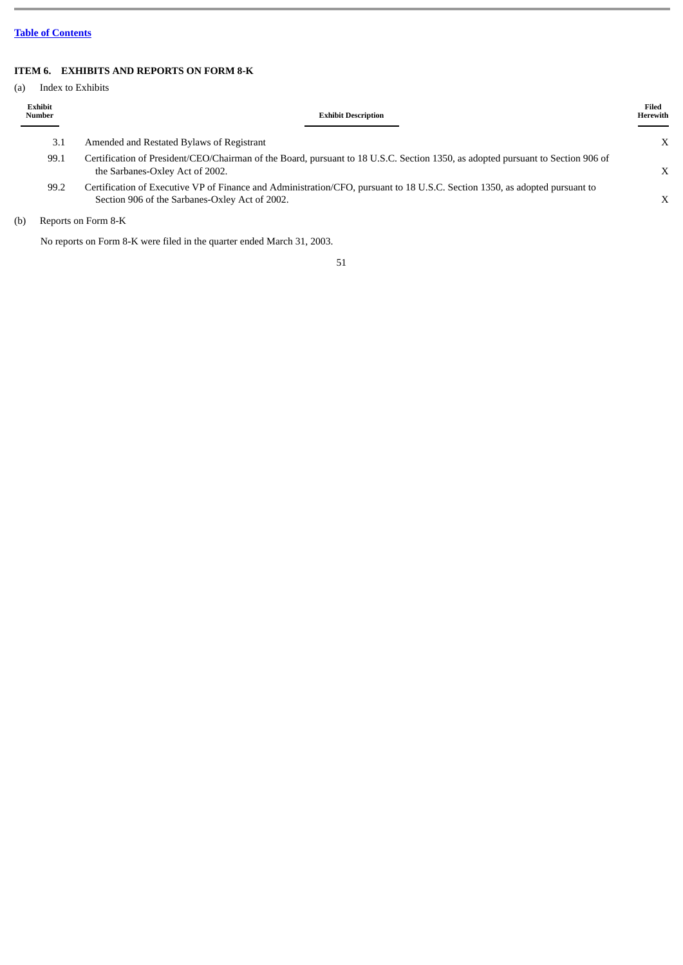## **Table of [Contents](#page-1-0)**

## **ITEM 6. EXHIBITS AND REPORTS ON FORM 8-K**

# (a) Index to Exhibits

| Exhibit<br>Number | <b>Exhibit Description</b>                                                                                                                                                    | Filed<br>Herewith |
|-------------------|-------------------------------------------------------------------------------------------------------------------------------------------------------------------------------|-------------------|
| 3.1               | Amended and Restated Bylaws of Registrant                                                                                                                                     | X                 |
| 99.1              | Certification of President/CEO/Chairman of the Board, pursuant to 18 U.S.C. Section 1350, as adopted pursuant to Section 906 of<br>the Sarbanes-Oxley Act of 2002.            | X                 |
| 99.2              | Certification of Executive VP of Finance and Administration/CFO, pursuant to 18 U.S.C. Section 1350, as adopted pursuant to<br>Section 906 of the Sarbanes-Oxley Act of 2002. | X                 |

## (b) Reports on Form 8-K

No reports on Form 8-K were filed in the quarter ended March 31, 2003.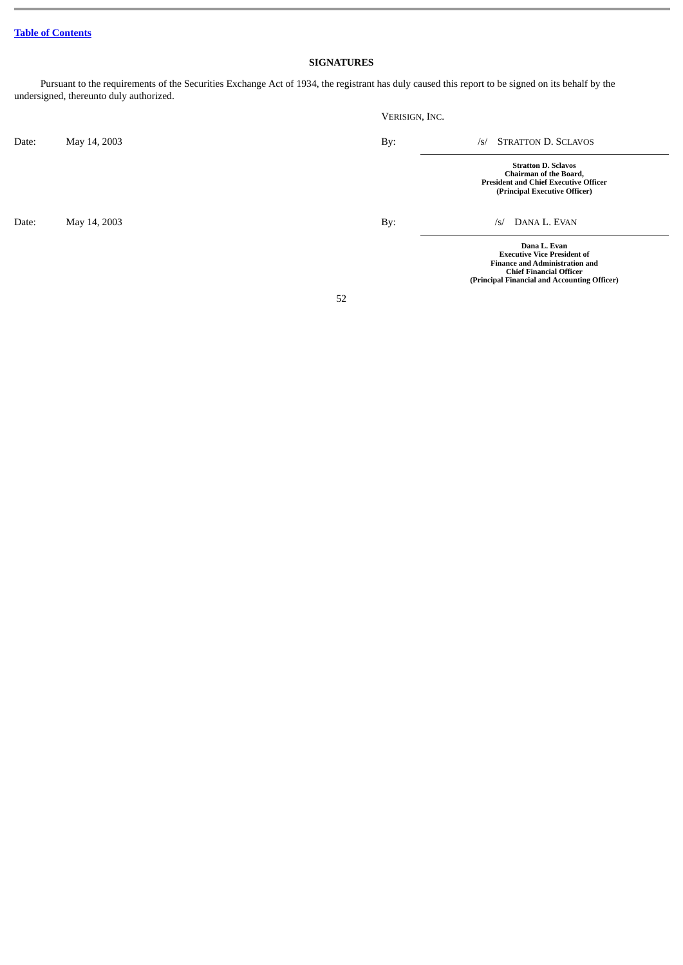## **SIGNATURES**

Pursuant to the requirements of the Securities Exchange Act of 1934, the registrant has duly caused this report to be signed on its behalf by the undersigned, thereunto duly authorized.

|       |              | VERISIGN, INC. |                                                                                                                                                                               |
|-------|--------------|----------------|-------------------------------------------------------------------------------------------------------------------------------------------------------------------------------|
| Date: | May 14, 2003 | By:            | <b>STRATTON D. SCLAVOS</b><br>/s/                                                                                                                                             |
|       |              |                | <b>Stratton D. Sclavos</b><br><b>Chairman of the Board,</b><br><b>President and Chief Executive Officer</b><br>(Principal Executive Officer)                                  |
| Date: | May 14, 2003 | By:            | DANA L. EVAN<br>/s/                                                                                                                                                           |
|       |              |                | Dana L. Evan<br><b>Executive Vice President of</b><br><b>Finance and Administration and</b><br><b>Chief Financial Officer</b><br>(Principal Financial and Accounting Officer) |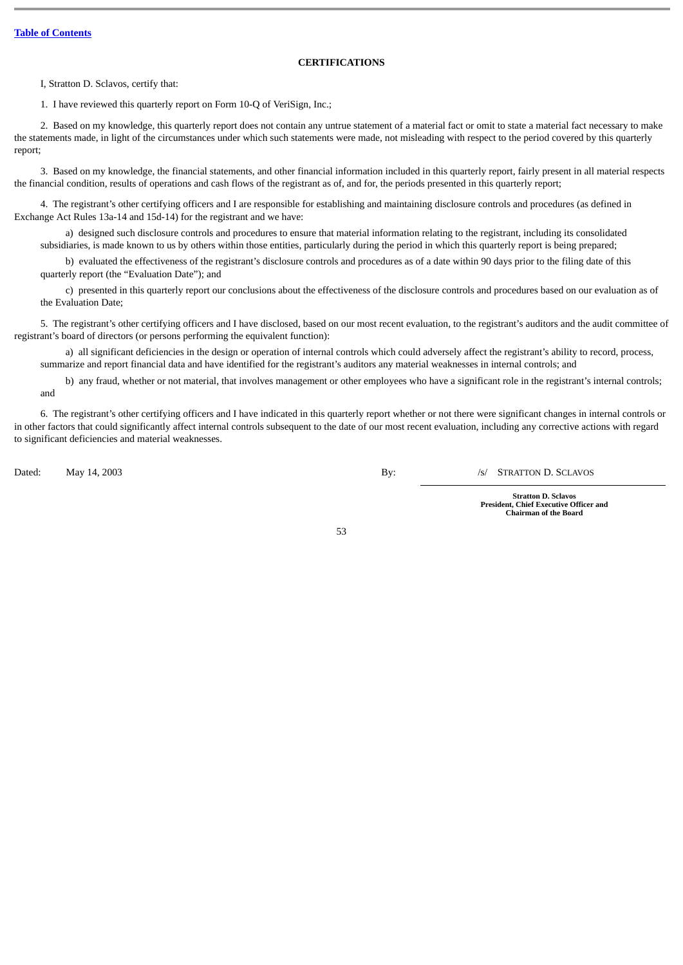### **CERTIFICATIONS**

I, Stratton D. Sclavos, certify that:

1. I have reviewed this quarterly report on Form 10-Q of VeriSign, Inc.;

2. Based on my knowledge, this quarterly report does not contain any untrue statement of a material fact or omit to state a material fact necessary to make the statements made, in light of the circumstances under which such statements were made, not misleading with respect to the period covered by this quarterly report;

3. Based on my knowledge, the financial statements, and other financial information included in this quarterly report, fairly present in all material respects the financial condition, results of operations and cash flows of the registrant as of, and for, the periods presented in this quarterly report;

4. The registrant's other certifying officers and I are responsible for establishing and maintaining disclosure controls and procedures (as defined in Exchange Act Rules 13a-14 and 15d-14) for the registrant and we have:

a) designed such disclosure controls and procedures to ensure that material information relating to the registrant, including its consolidated subsidiaries, is made known to us by others within those entities, particularly during the period in which this quarterly report is being prepared;

b) evaluated the effectiveness of the registrant's disclosure controls and procedures as of a date within 90 days prior to the filing date of this quarterly report (the "Evaluation Date"); and

c) presented in this quarterly report our conclusions about the effectiveness of the disclosure controls and procedures based on our evaluation as of the Evaluation Date;

5. The registrant's other certifying officers and I have disclosed, based on our most recent evaluation, to the registrant's auditors and the audit committee of registrant's board of directors (or persons performing the equivalent function):

a) all significant deficiencies in the design or operation of internal controls which could adversely affect the registrant's ability to record, process, summarize and report financial data and have identified for the registrant's auditors any material weaknesses in internal controls; and

b) any fraud, whether or not material, that involves management or other employees who have a significant role in the registrant's internal controls; and

6. The registrant's other certifying officers and I have indicated in this quarterly report whether or not there were significant changes in internal controls or in other factors that could significantly affect internal controls subsequent to the date of our most recent evaluation, including any corrective actions with regard to significant deficiencies and material weaknesses.

Dated: May 14, 2003 **By:** By: /s/ STRATTON D. SCLAVOS

**Stratton D. Sclavos President, Chief Executive Officer and Chairman of the Board**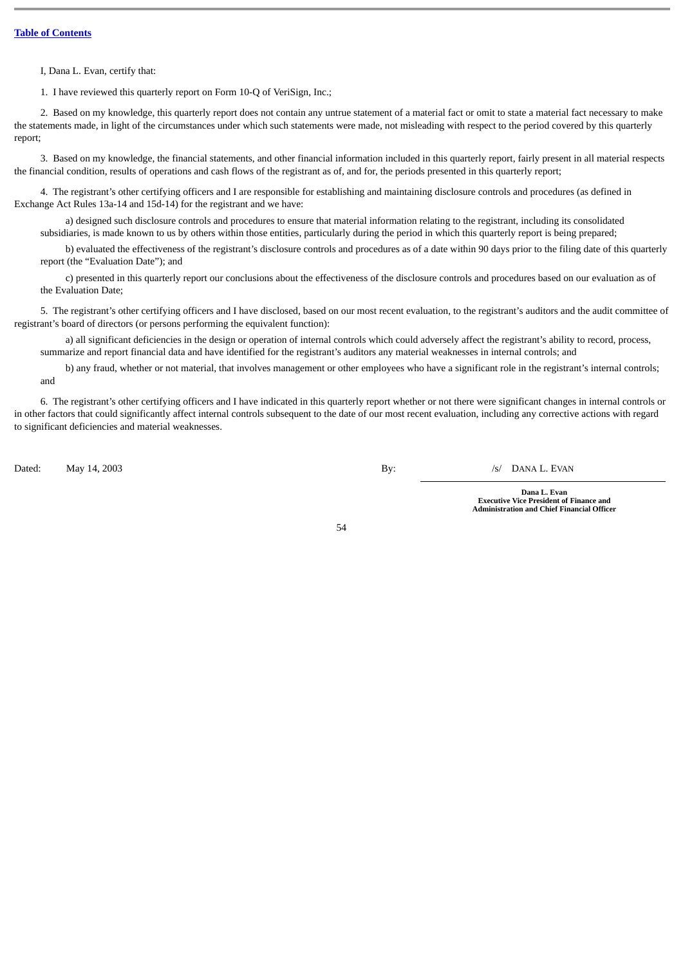#### **Table of [Contents](#page-1-0)**

I, Dana L. Evan, certify that:

1. I have reviewed this quarterly report on Form 10-Q of VeriSign, Inc.;

2. Based on my knowledge, this quarterly report does not contain any untrue statement of a material fact or omit to state a material fact necessary to make the statements made, in light of the circumstances under which such statements were made, not misleading with respect to the period covered by this quarterly report;

3. Based on my knowledge, the financial statements, and other financial information included in this quarterly report, fairly present in all material respects the financial condition, results of operations and cash flows of the registrant as of, and for, the periods presented in this quarterly report;

4. The registrant's other certifying officers and I are responsible for establishing and maintaining disclosure controls and procedures (as defined in Exchange Act Rules 13a-14 and 15d-14) for the registrant and we have:

a) designed such disclosure controls and procedures to ensure that material information relating to the registrant, including its consolidated subsidiaries, is made known to us by others within those entities, particularly during the period in which this quarterly report is being prepared;

b) evaluated the effectiveness of the registrant's disclosure controls and procedures as of a date within 90 days prior to the filing date of this quarterly report (the "Evaluation Date"); and

c) presented in this quarterly report our conclusions about the effectiveness of the disclosure controls and procedures based on our evaluation as of the Evaluation Date;

5. The registrant's other certifying officers and I have disclosed, based on our most recent evaluation, to the registrant's auditors and the audit committee of registrant's board of directors (or persons performing the equivalent function):

a) all significant deficiencies in the design or operation of internal controls which could adversely affect the registrant's ability to record, process, summarize and report financial data and have identified for the registrant's auditors any material weaknesses in internal controls; and

b) any fraud, whether or not material, that involves management or other employees who have a significant role in the registrant's internal controls; and

6. The registrant's other certifying officers and I have indicated in this quarterly report whether or not there were significant changes in internal controls or in other factors that could significantly affect internal controls subsequent to the date of our most recent evaluation, including any corrective actions with regard to significant deficiencies and material weaknesses.

Dated: May 14, 2003 **By:** *By: Is/ DANA L. EVAN* 

**Dana L. Evan Executive Vice President of Finance and Administration and Chief Financial Officer**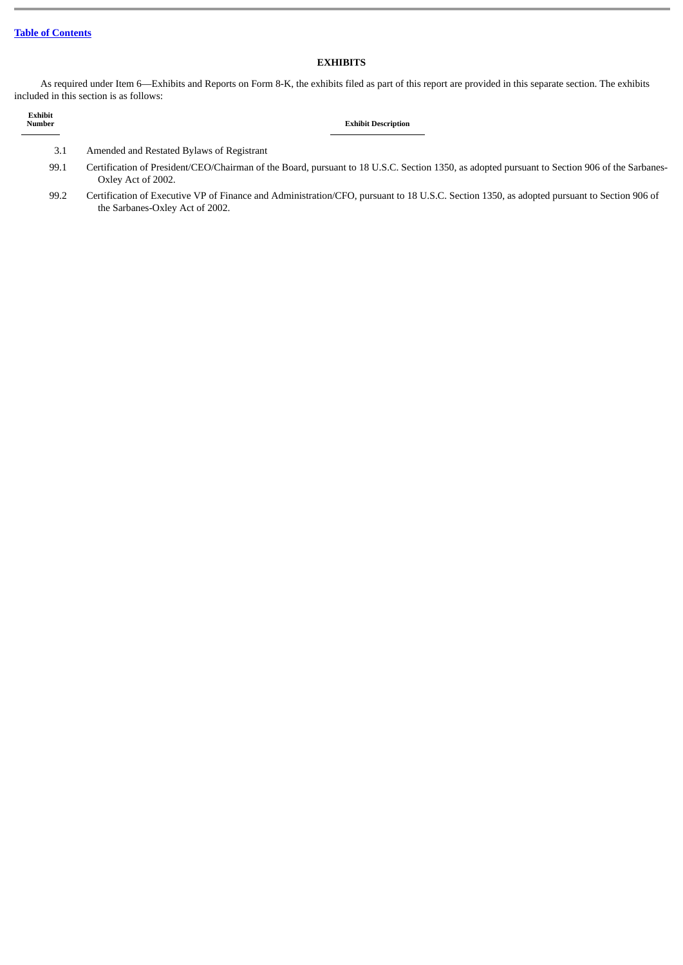## **EXHIBITS**

As required under Item 6—Exhibits and Reports on Form 8-K, the exhibits filed as part of this report are provided in this separate section. The exhibits included in this section is as follows:

| Exhibit<br>Number<br>and the control of the con- | <b>Exhibit Description</b>                                                                                                                                          |
|--------------------------------------------------|---------------------------------------------------------------------------------------------------------------------------------------------------------------------|
| 3.1                                              | Amended and Restated Bylaws of Registrant                                                                                                                           |
| 99.1                                             | Certification of President/CEO/Chairman of the Board, pursuant to 18 U.S.C. Section 1350, as adopted pursuant to Section 906 of the Sarbanes-<br>Oxley Act of 2002. |
| ററ ച                                             | Cortification of Executive VD of Einance and Administration (CEO, pursuant to 18 U.S.C. Section 1350, as adopted pursuant to Section 006 of                         |

<sup>99.2</sup> Certification of Executive VP of Finance and Administration/CFO, pursuant to 18 U.S.C. Section 1350, as adopted pursuant to Section 906 of the Sarbanes-Oxley Act of 2002.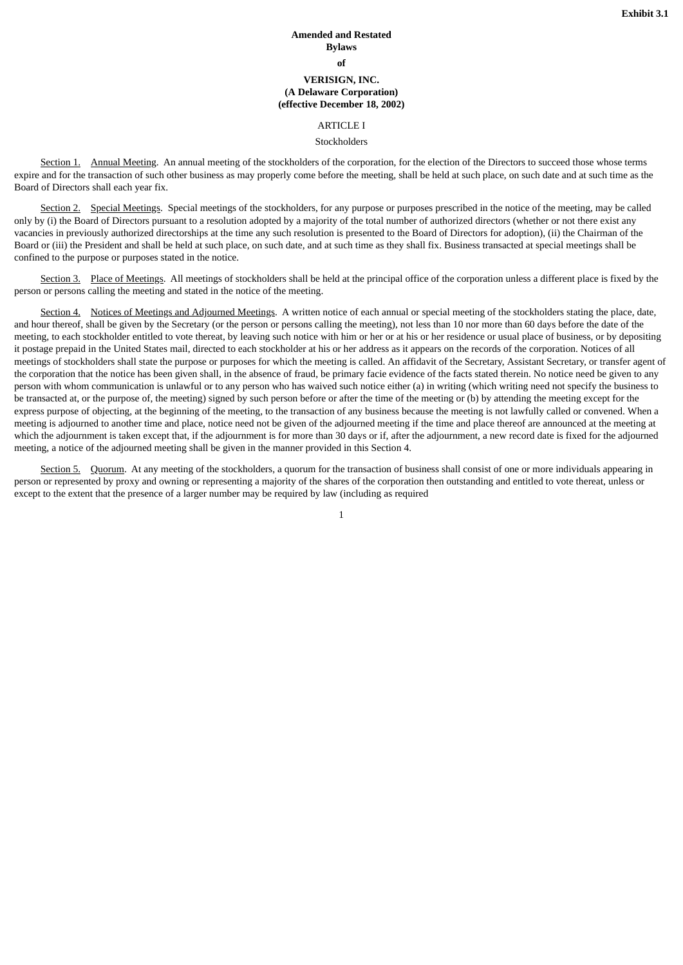**Amended and Restated Bylaws of**

**VERISIGN, INC. (A Delaware Corporation) (effective December 18, 2002)**

#### ARTICLE I

#### Stockholders

Section 1. Annual Meeting. An annual meeting of the stockholders of the corporation, for the election of the Directors to succeed those whose terms expire and for the transaction of such other business as may properly come before the meeting, shall be held at such place, on such date and at such time as the Board of Directors shall each year fix.

Section 2. Special Meetings. Special meetings of the stockholders, for any purpose or purposes prescribed in the notice of the meeting, may be called only by (i) the Board of Directors pursuant to a resolution adopted by a majority of the total number of authorized directors (whether or not there exist any vacancies in previously authorized directorships at the time any such resolution is presented to the Board of Directors for adoption), (ii) the Chairman of the Board or (iii) the President and shall be held at such place, on such date, and at such time as they shall fix. Business transacted at special meetings shall be confined to the purpose or purposes stated in the notice.

Section 3. Place of Meetings. All meetings of stockholders shall be held at the principal office of the corporation unless a different place is fixed by the person or persons calling the meeting and stated in the notice of the meeting.

Section 4. Notices of Meetings and Adjourned Meetings. A written notice of each annual or special meeting of the stockholders stating the place, date, and hour thereof, shall be given by the Secretary (or the person or persons calling the meeting), not less than 10 nor more than 60 days before the date of the meeting, to each stockholder entitled to vote thereat, by leaving such notice with him or her or at his or her residence or usual place of business, or by depositing it postage prepaid in the United States mail, directed to each stockholder at his or her address as it appears on the records of the corporation. Notices of all meetings of stockholders shall state the purpose or purposes for which the meeting is called. An affidavit of the Secretary, Assistant Secretary, or transfer agent of the corporation that the notice has been given shall, in the absence of fraud, be primary facie evidence of the facts stated therein. No notice need be given to any person with whom communication is unlawful or to any person who has waived such notice either (a) in writing (which writing need not specify the business to be transacted at, or the purpose of, the meeting) signed by such person before or after the time of the meeting or (b) by attending the meeting except for the express purpose of objecting, at the beginning of the meeting, to the transaction of any business because the meeting is not lawfully called or convened. When a meeting is adjourned to another time and place, notice need not be given of the adjourned meeting if the time and place thereof are announced at the meeting at which the adjournment is taken except that, if the adjournment is for more than 30 days or if, after the adjournment, a new record date is fixed for the adjourned meeting, a notice of the adjourned meeting shall be given in the manner provided in this Section 4.

Section 5. Quorum. At any meeting of the stockholders, a quorum for the transaction of business shall consist of one or more individuals appearing in person or represented by proxy and owning or representing a majority of the shares of the corporation then outstanding and entitled to vote thereat, unless or except to the extent that the presence of a larger number may be required by law (including as required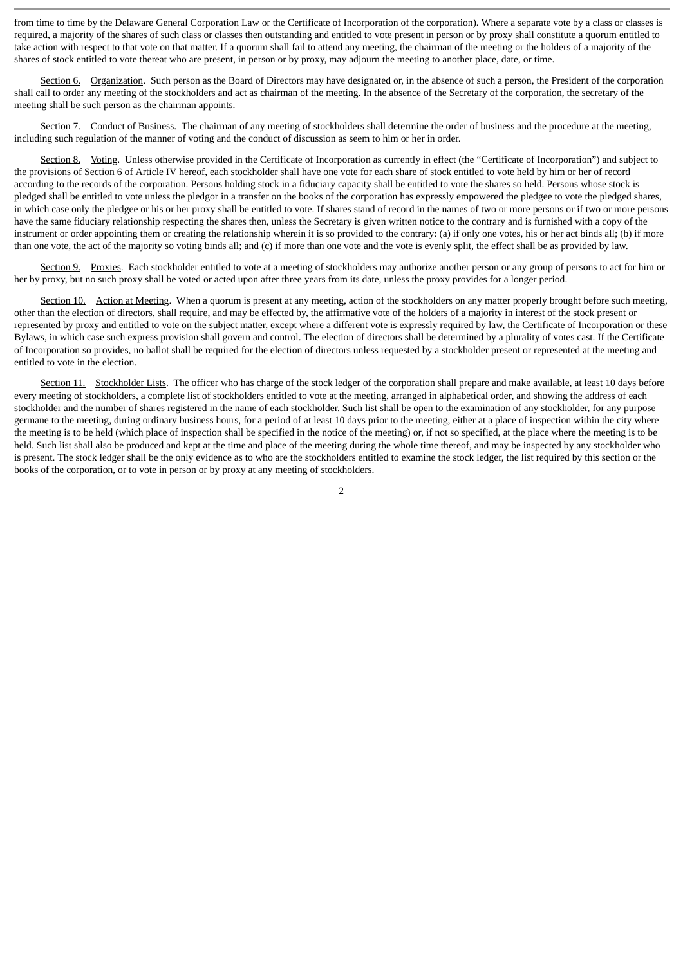from time to time by the Delaware General Corporation Law or the Certificate of Incorporation of the corporation). Where a separate vote by a class or classes is required, a majority of the shares of such class or classes then outstanding and entitled to vote present in person or by proxy shall constitute a quorum entitled to take action with respect to that vote on that matter. If a quorum shall fail to attend any meeting, the chairman of the meeting or the holders of a majority of the shares of stock entitled to vote thereat who are present, in person or by proxy, may adjourn the meeting to another place, date, or time.

Section 6. Organization. Such person as the Board of Directors may have designated or, in the absence of such a person, the President of the corporation shall call to order any meeting of the stockholders and act as chairman of the meeting. In the absence of the Secretary of the corporation, the secretary of the meeting shall be such person as the chairman appoints.

Section 7. Conduct of Business. The chairman of any meeting of stockholders shall determine the order of business and the procedure at the meeting, including such regulation of the manner of voting and the conduct of discussion as seem to him or her in order.

Section 8. Voting. Unless otherwise provided in the Certificate of Incorporation as currently in effect (the "Certificate of Incorporation") and subject to the provisions of Section 6 of Article IV hereof, each stockholder shall have one vote for each share of stock entitled to vote held by him or her of record according to the records of the corporation. Persons holding stock in a fiduciary capacity shall be entitled to vote the shares so held. Persons whose stock is pledged shall be entitled to vote unless the pledgor in a transfer on the books of the corporation has expressly empowered the pledgee to vote the pledged shares, in which case only the pledgee or his or her proxy shall be entitled to vote. If shares stand of record in the names of two or more persons or if two or more persons have the same fiduciary relationship respecting the shares then, unless the Secretary is given written notice to the contrary and is furnished with a copy of the instrument or order appointing them or creating the relationship wherein it is so provided to the contrary: (a) if only one votes, his or her act binds all; (b) if more than one vote, the act of the majority so voting binds all; and (c) if more than one vote and the vote is evenly split, the effect shall be as provided by law.

Section 9. Proxies. Each stockholder entitled to vote at a meeting of stockholders may authorize another person or any group of persons to act for him or her by proxy, but no such proxy shall be voted or acted upon after three years from its date, unless the proxy provides for a longer period.

Section 10. Action at Meeting. When a quorum is present at any meeting, action of the stockholders on any matter properly brought before such meeting, other than the election of directors, shall require, and may be effected by, the affirmative vote of the holders of a majority in interest of the stock present or represented by proxy and entitled to vote on the subject matter, except where a different vote is expressly required by law, the Certificate of Incorporation or these Bylaws, in which case such express provision shall govern and control. The election of directors shall be determined by a plurality of votes cast. If the Certificate of Incorporation so provides, no ballot shall be required for the election of directors unless requested by a stockholder present or represented at the meeting and entitled to vote in the election.

Section 11. Stockholder Lists. The officer who has charge of the stock ledger of the corporation shall prepare and make available, at least 10 days before every meeting of stockholders, a complete list of stockholders entitled to vote at the meeting, arranged in alphabetical order, and showing the address of each stockholder and the number of shares registered in the name of each stockholder. Such list shall be open to the examination of any stockholder, for any purpose germane to the meeting, during ordinary business hours, for a period of at least 10 days prior to the meeting, either at a place of inspection within the city where the meeting is to be held (which place of inspection shall be specified in the notice of the meeting) or, if not so specified, at the place where the meeting is to be held. Such list shall also be produced and kept at the time and place of the meeting during the whole time thereof, and may be inspected by any stockholder who is present. The stock ledger shall be the only evidence as to who are the stockholders entitled to examine the stock ledger, the list required by this section or the books of the corporation, or to vote in person or by proxy at any meeting of stockholders.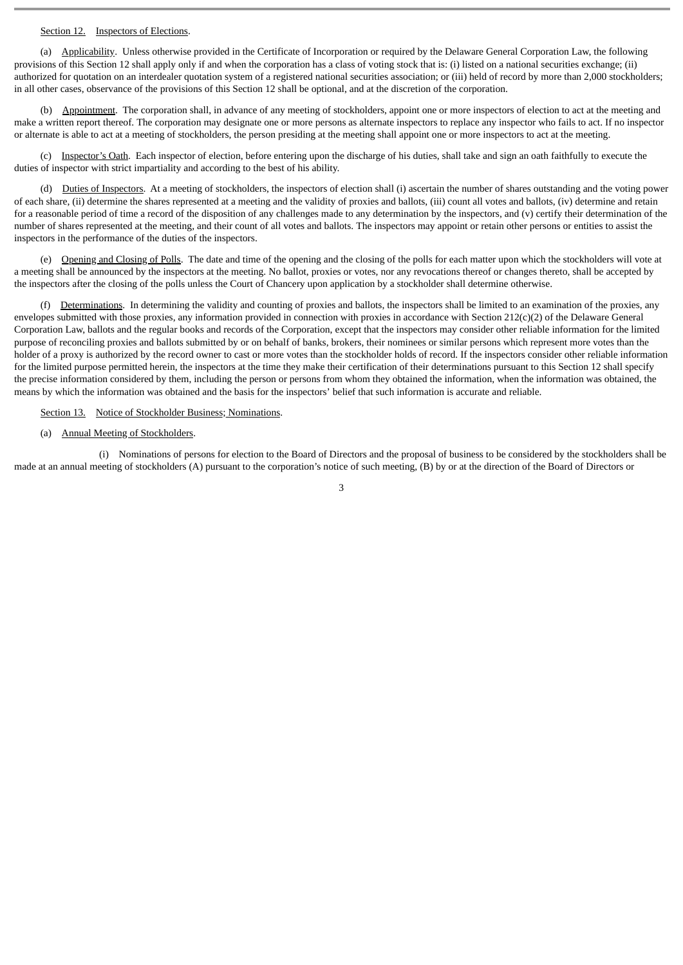#### Section 12. Inspectors of Elections.

(a) Applicability. Unless otherwise provided in the Certificate of Incorporation or required by the Delaware General Corporation Law, the following provisions of this Section 12 shall apply only if and when the corporation has a class of voting stock that is: (i) listed on a national securities exchange; (ii) authorized for quotation on an interdealer quotation system of a registered national securities association; or (iii) held of record by more than 2,000 stockholders; in all other cases, observance of the provisions of this Section 12 shall be optional, and at the discretion of the corporation.

(b) Appointment. The corporation shall, in advance of any meeting of stockholders, appoint one or more inspectors of election to act at the meeting and make a written report thereof. The corporation may designate one or more persons as alternate inspectors to replace any inspector who fails to act. If no inspector or alternate is able to act at a meeting of stockholders, the person presiding at the meeting shall appoint one or more inspectors to act at the meeting.

(c) Inspector's Oath. Each inspector of election, before entering upon the discharge of his duties, shall take and sign an oath faithfully to execute the duties of inspector with strict impartiality and according to the best of his ability.

(d) Duties of Inspectors. At a meeting of stockholders, the inspectors of election shall (i) ascertain the number of shares outstanding and the voting power of each share, (ii) determine the shares represented at a meeting and the validity of proxies and ballots, (iii) count all votes and ballots, (iv) determine and retain for a reasonable period of time a record of the disposition of any challenges made to any determination by the inspectors, and (v) certify their determination of the number of shares represented at the meeting, and their count of all votes and ballots. The inspectors may appoint or retain other persons or entities to assist the inspectors in the performance of the duties of the inspectors.

(e) Opening and Closing of Polls. The date and time of the opening and the closing of the polls for each matter upon which the stockholders will vote at a meeting shall be announced by the inspectors at the meeting. No ballot, proxies or votes, nor any revocations thereof or changes thereto, shall be accepted by the inspectors after the closing of the polls unless the Court of Chancery upon application by a stockholder shall determine otherwise.

(f) Determinations. In determining the validity and counting of proxies and ballots, the inspectors shall be limited to an examination of the proxies, any envelopes submitted with those proxies, any information provided in connection with proxies in accordance with Section 212(c)(2) of the Delaware General Corporation Law, ballots and the regular books and records of the Corporation, except that the inspectors may consider other reliable information for the limited purpose of reconciling proxies and ballots submitted by or on behalf of banks, brokers, their nominees or similar persons which represent more votes than the holder of a proxy is authorized by the record owner to cast or more votes than the stockholder holds of record. If the inspectors consider other reliable information for the limited purpose permitted herein, the inspectors at the time they make their certification of their determinations pursuant to this Section 12 shall specify the precise information considered by them, including the person or persons from whom they obtained the information, when the information was obtained, the means by which the information was obtained and the basis for the inspectors' belief that such information is accurate and reliable.

#### Section 13. Notice of Stockholder Business; Nominations.

#### (a) Annual Meeting of Stockholders.

(i) Nominations of persons for election to the Board of Directors and the proposal of business to be considered by the stockholders shall be made at an annual meeting of stockholders (A) pursuant to the corporation's notice of such meeting, (B) by or at the direction of the Board of Directors or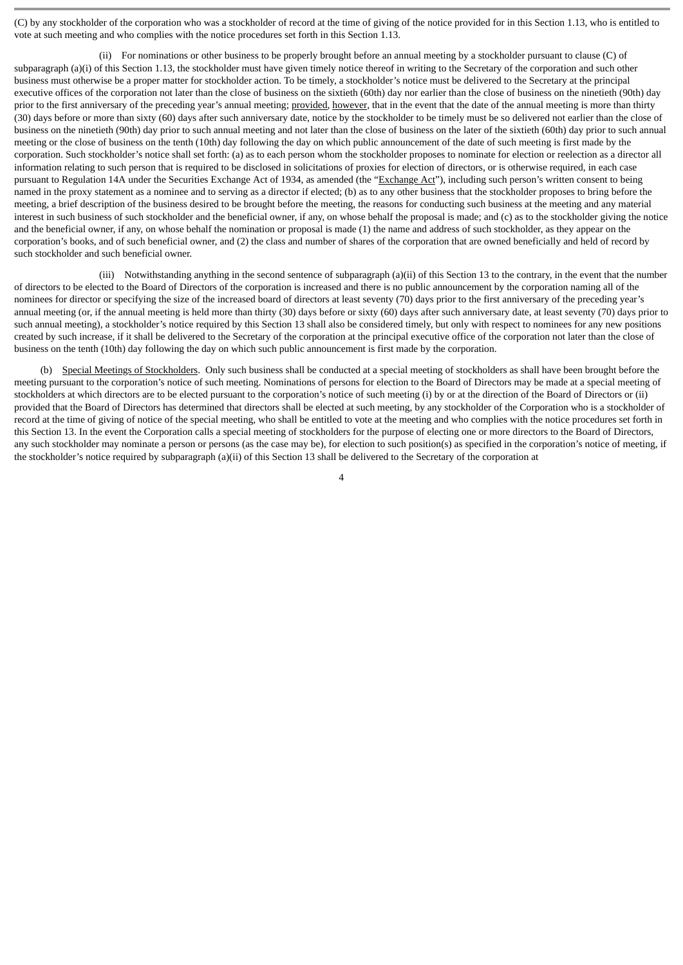(C) by any stockholder of the corporation who was a stockholder of record at the time of giving of the notice provided for in this Section 1.13, who is entitled to vote at such meeting and who complies with the notice procedures set forth in this Section 1.13.

(ii) For nominations or other business to be properly brought before an annual meeting by a stockholder pursuant to clause (C) of subparagraph (a)(i) of this Section 1.13, the stockholder must have given timely notice thereof in writing to the Secretary of the corporation and such other business must otherwise be a proper matter for stockholder action. To be timely, a stockholder's notice must be delivered to the Secretary at the principal executive offices of the corporation not later than the close of business on the sixtieth (60th) day nor earlier than the close of business on the ninetieth (90th) day prior to the first anniversary of the preceding year's annual meeting; provided, however, that in the event that the date of the annual meeting is more than thirty (30) days before or more than sixty (60) days after such anniversary date, notice by the stockholder to be timely must be so delivered not earlier than the close of business on the ninetieth (90th) day prior to such annual meeting and not later than the close of business on the later of the sixtieth (60th) day prior to such annual meeting or the close of business on the tenth (10th) day following the day on which public announcement of the date of such meeting is first made by the corporation. Such stockholder's notice shall set forth: (a) as to each person whom the stockholder proposes to nominate for election or reelection as a director all information relating to such person that is required to be disclosed in solicitations of proxies for election of directors, or is otherwise required, in each case pursuant to Regulation 14A under the Securities Exchange Act of 1934, as amended (the "Exchange Act"), including such person's written consent to being named in the proxy statement as a nominee and to serving as a director if elected; (b) as to any other business that the stockholder proposes to bring before the meeting, a brief description of the business desired to be brought before the meeting, the reasons for conducting such business at the meeting and any material interest in such business of such stockholder and the beneficial owner, if any, on whose behalf the proposal is made; and (c) as to the stockholder giving the notice and the beneficial owner, if any, on whose behalf the nomination or proposal is made (1) the name and address of such stockholder, as they appear on the corporation's books, and of such beneficial owner, and (2) the class and number of shares of the corporation that are owned beneficially and held of record by such stockholder and such beneficial owner.

(iii) Notwithstanding anything in the second sentence of subparagraph (a)(ii) of this Section 13 to the contrary, in the event that the number of directors to be elected to the Board of Directors of the corporation is increased and there is no public announcement by the corporation naming all of the nominees for director or specifying the size of the increased board of directors at least seventy (70) days prior to the first anniversary of the preceding year's annual meeting (or, if the annual meeting is held more than thirty (30) days before or sixty (60) days after such anniversary date, at least seventy (70) days prior to such annual meeting), a stockholder's notice required by this Section 13 shall also be considered timely, but only with respect to nominees for any new positions created by such increase, if it shall be delivered to the Secretary of the corporation at the principal executive office of the corporation not later than the close of business on the tenth (10th) day following the day on which such public announcement is first made by the corporation.

(b) Special Meetings of Stockholders. Only such business shall be conducted at a special meeting of stockholders as shall have been brought before the meeting pursuant to the corporation's notice of such meeting. Nominations of persons for election to the Board of Directors may be made at a special meeting of stockholders at which directors are to be elected pursuant to the corporation's notice of such meeting (i) by or at the direction of the Board of Directors or (ii) provided that the Board of Directors has determined that directors shall be elected at such meeting, by any stockholder of the Corporation who is a stockholder of record at the time of giving of notice of the special meeting, who shall be entitled to vote at the meeting and who complies with the notice procedures set forth in this Section 13. In the event the Corporation calls a special meeting of stockholders for the purpose of electing one or more directors to the Board of Directors, any such stockholder may nominate a person or persons (as the case may be), for election to such position(s) as specified in the corporation's notice of meeting, if the stockholder's notice required by subparagraph (a)(ii) of this Section 13 shall be delivered to the Secretary of the corporation at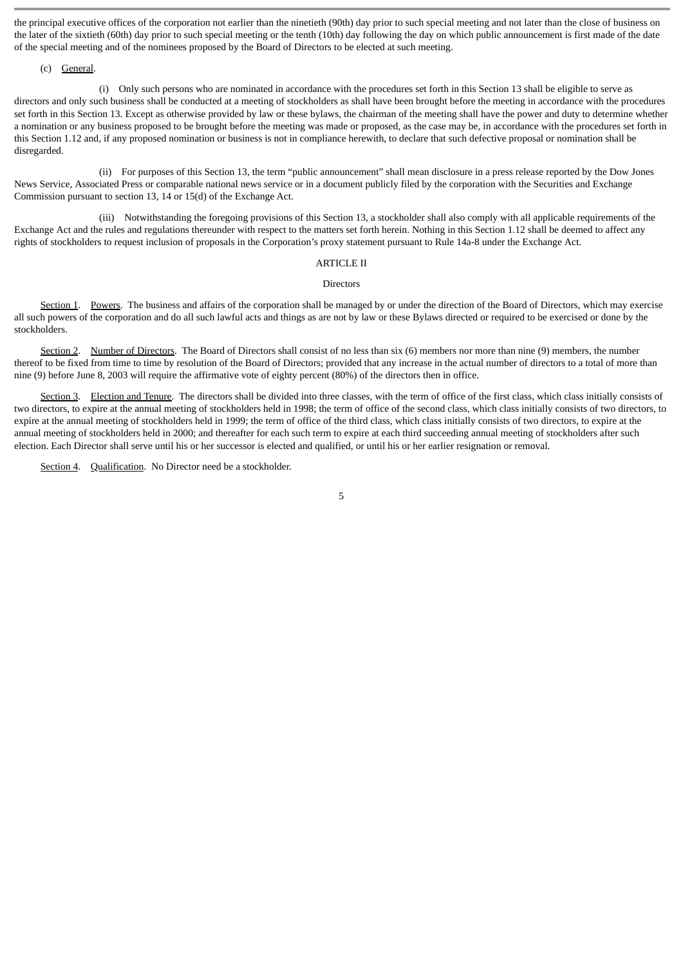the principal executive offices of the corporation not earlier than the ninetieth (90th) day prior to such special meeting and not later than the close of business on the later of the sixtieth (60th) day prior to such special meeting or the tenth (10th) day following the day on which public announcement is first made of the date of the special meeting and of the nominees proposed by the Board of Directors to be elected at such meeting.

## (c) General.

(i) Only such persons who are nominated in accordance with the procedures set forth in this Section 13 shall be eligible to serve as directors and only such business shall be conducted at a meeting of stockholders as shall have been brought before the meeting in accordance with the procedures set forth in this Section 13. Except as otherwise provided by law or these bylaws, the chairman of the meeting shall have the power and duty to determine whether a nomination or any business proposed to be brought before the meeting was made or proposed, as the case may be, in accordance with the procedures set forth in this Section 1.12 and, if any proposed nomination or business is not in compliance herewith, to declare that such defective proposal or nomination shall be disregarded.

(ii) For purposes of this Section 13, the term "public announcement" shall mean disclosure in a press release reported by the Dow Jones News Service, Associated Press or comparable national news service or in a document publicly filed by the corporation with the Securities and Exchange Commission pursuant to section 13, 14 or 15(d) of the Exchange Act.

(iii) Notwithstanding the foregoing provisions of this Section 13, a stockholder shall also comply with all applicable requirements of the Exchange Act and the rules and regulations thereunder with respect to the matters set forth herein. Nothing in this Section 1.12 shall be deemed to affect any rights of stockholders to request inclusion of proposals in the Corporation's proxy statement pursuant to Rule 14a-8 under the Exchange Act.

#### ARTICLE II

#### Directors

Section 1. Powers. The business and affairs of the corporation shall be managed by or under the direction of the Board of Directors, which may exercise all such powers of the corporation and do all such lawful acts and things as are not by law or these Bylaws directed or required to be exercised or done by the stockholders.

Section 2. Number of Directors. The Board of Directors shall consist of no less than six (6) members nor more than nine (9) members, the number thereof to be fixed from time to time by resolution of the Board of Directors; provided that any increase in the actual number of directors to a total of more than nine (9) before June 8, 2003 will require the affirmative vote of eighty percent (80%) of the directors then in office.

Section 3. Election and Tenure. The directors shall be divided into three classes, with the term of office of the first class, which class initially consists of two directors, to expire at the annual meeting of stockholders held in 1998; the term of office of the second class, which class initially consists of two directors, to expire at the annual meeting of stockholders held in 1999; the term of office of the third class, which class initially consists of two directors, to expire at the annual meeting of stockholders held in 2000; and thereafter for each such term to expire at each third succeeding annual meeting of stockholders after such election. Each Director shall serve until his or her successor is elected and qualified, or until his or her earlier resignation or removal.

Section 4. Qualification. No Director need be a stockholder.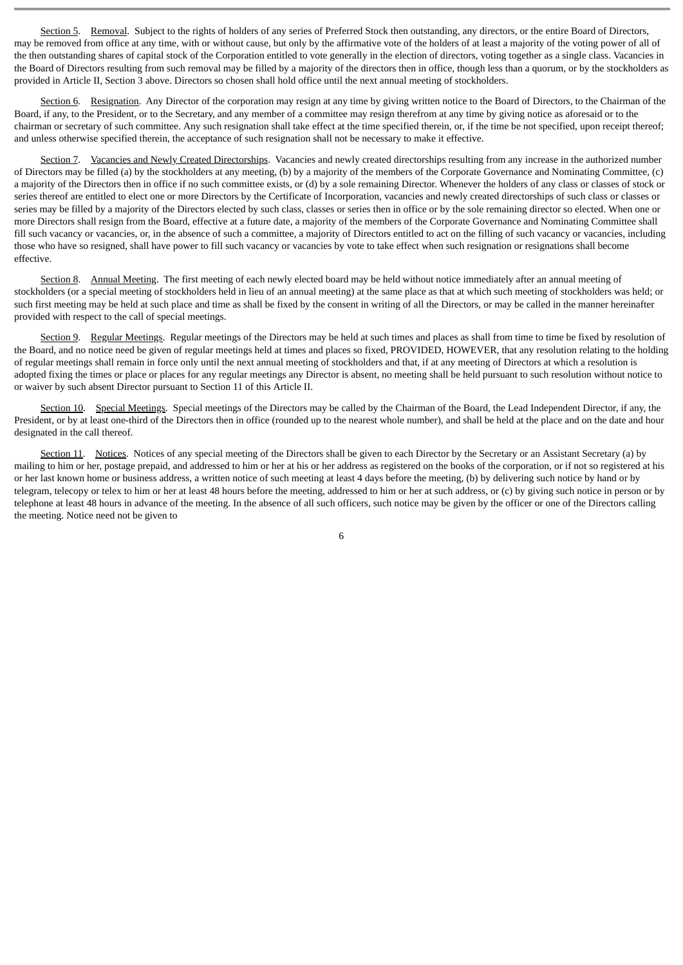Section 5. Removal. Subject to the rights of holders of any series of Preferred Stock then outstanding, any directors, or the entire Board of Directors, may be removed from office at any time, with or without cause, but only by the affirmative vote of the holders of at least a majority of the voting power of all of the then outstanding shares of capital stock of the Corporation entitled to vote generally in the election of directors, voting together as a single class. Vacancies in the Board of Directors resulting from such removal may be filled by a majority of the directors then in office, though less than a quorum, or by the stockholders as provided in Article II, Section 3 above. Directors so chosen shall hold office until the next annual meeting of stockholders.

Section 6. Resignation. Any Director of the corporation may resign at any time by giving written notice to the Board of Directors, to the Chairman of the Board, if any, to the President, or to the Secretary, and any member of a committee may resign therefrom at any time by giving notice as aforesaid or to the chairman or secretary of such committee. Any such resignation shall take effect at the time specified therein, or, if the time be not specified, upon receipt thereof; and unless otherwise specified therein, the acceptance of such resignation shall not be necessary to make it effective.

Section 7. Vacancies and Newly Created Directorships. Vacancies and newly created directorships resulting from any increase in the authorized number of Directors may be filled (a) by the stockholders at any meeting, (b) by a majority of the members of the Corporate Governance and Nominating Committee, (c) a majority of the Directors then in office if no such committee exists, or (d) by a sole remaining Director. Whenever the holders of any class or classes of stock or series thereof are entitled to elect one or more Directors by the Certificate of Incorporation, vacancies and newly created directorships of such class or classes or series may be filled by a majority of the Directors elected by such class, classes or series then in office or by the sole remaining director so elected. When one or more Directors shall resign from the Board, effective at a future date, a majority of the members of the Corporate Governance and Nominating Committee shall fill such vacancy or vacancies, or, in the absence of such a committee, a majority of Directors entitled to act on the filling of such vacancy or vacancies, including those who have so resigned, shall have power to fill such vacancy or vacancies by vote to take effect when such resignation or resignations shall become effective.

Section 8. Annual Meeting. The first meeting of each newly elected board may be held without notice immediately after an annual meeting of stockholders (or a special meeting of stockholders held in lieu of an annual meeting) at the same place as that at which such meeting of stockholders was held; or such first meeting may be held at such place and time as shall be fixed by the consent in writing of all the Directors, or may be called in the manner hereinafter provided with respect to the call of special meetings.

Section 9. Regular Meetings. Regular meetings of the Directors may be held at such times and places as shall from time to time be fixed by resolution of the Board, and no notice need be given of regular meetings held at times and places so fixed, PROVIDED, HOWEVER, that any resolution relating to the holding of regular meetings shall remain in force only until the next annual meeting of stockholders and that, if at any meeting of Directors at which a resolution is adopted fixing the times or place or places for any regular meetings any Director is absent, no meeting shall be held pursuant to such resolution without notice to or waiver by such absent Director pursuant to Section 11 of this Article II.

Section 10. Special Meetings. Special meetings of the Directors may be called by the Chairman of the Board, the Lead Independent Director, if any, the President, or by at least one-third of the Directors then in office (rounded up to the nearest whole number), and shall be held at the place and on the date and hour designated in the call thereof.

Section 11. Notices. Notices of any special meeting of the Directors shall be given to each Director by the Secretary or an Assistant Secretary (a) by mailing to him or her, postage prepaid, and addressed to him or her at his or her address as registered on the books of the corporation, or if not so registered at his or her last known home or business address, a written notice of such meeting at least 4 days before the meeting, (b) by delivering such notice by hand or by telegram, telecopy or telex to him or her at least 48 hours before the meeting, addressed to him or her at such address, or (c) by giving such notice in person or by telephone at least 48 hours in advance of the meeting. In the absence of all such officers, such notice may be given by the officer or one of the Directors calling the meeting. Notice need not be given to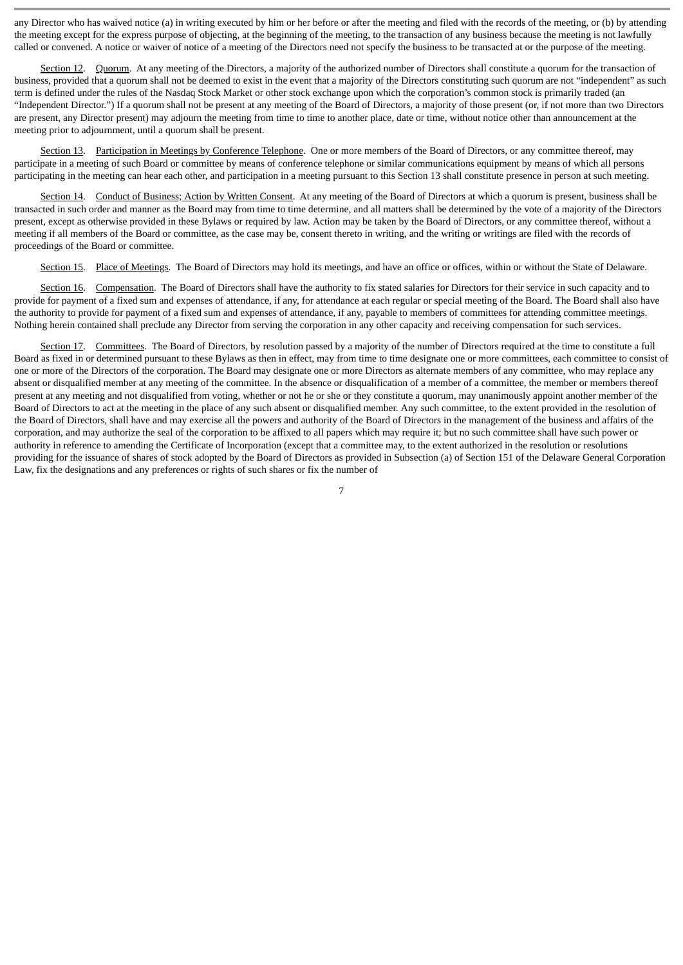any Director who has waived notice (a) in writing executed by him or her before or after the meeting and filed with the records of the meeting, or (b) by attending the meeting except for the express purpose of objecting, at the beginning of the meeting, to the transaction of any business because the meeting is not lawfully called or convened. A notice or waiver of notice of a meeting of the Directors need not specify the business to be transacted at or the purpose of the meeting.

Section 12. Quorum. At any meeting of the Directors, a majority of the authorized number of Directors shall constitute a quorum for the transaction of business, provided that a quorum shall not be deemed to exist in the event that a majority of the Directors constituting such quorum are not "independent" as such term is defined under the rules of the Nasdaq Stock Market or other stock exchange upon which the corporation's common stock is primarily traded (an "Independent Director.") If a quorum shall not be present at any meeting of the Board of Directors, a majority of those present (or, if not more than two Directors are present, any Director present) may adjourn the meeting from time to time to another place, date or time, without notice other than announcement at the meeting prior to adjournment, until a quorum shall be present.

Section 13. Participation in Meetings by Conference Telephone. One or more members of the Board of Directors, or any committee thereof, may participate in a meeting of such Board or committee by means of conference telephone or similar communications equipment by means of which all persons participating in the meeting can hear each other, and participation in a meeting pursuant to this Section 13 shall constitute presence in person at such meeting.

Section 14. Conduct of Business; Action by Written Consent. At any meeting of the Board of Directors at which a quorum is present, business shall be transacted in such order and manner as the Board may from time to time determine, and all matters shall be determined by the vote of a majority of the Directors present, except as otherwise provided in these Bylaws or required by law. Action may be taken by the Board of Directors, or any committee thereof, without a meeting if all members of the Board or committee, as the case may be, consent thereto in writing, and the writing or writings are filed with the records of proceedings of the Board or committee.

Section 15. Place of Meetings. The Board of Directors may hold its meetings, and have an office or offices, within or without the State of Delaware.

Section 16. Compensation. The Board of Directors shall have the authority to fix stated salaries for Directors for their service in such capacity and to provide for payment of a fixed sum and expenses of attendance, if any, for attendance at each regular or special meeting of the Board. The Board shall also have the authority to provide for payment of a fixed sum and expenses of attendance, if any, payable to members of committees for attending committee meetings. Nothing herein contained shall preclude any Director from serving the corporation in any other capacity and receiving compensation for such services.

Section 17. Committees. The Board of Directors, by resolution passed by a majority of the number of Directors required at the time to constitute a full Board as fixed in or determined pursuant to these Bylaws as then in effect, may from time to time designate one or more committees, each committee to consist of one or more of the Directors of the corporation. The Board may designate one or more Directors as alternate members of any committee, who may replace any absent or disqualified member at any meeting of the committee. In the absence or disqualification of a member of a committee, the member or members thereof present at any meeting and not disqualified from voting, whether or not he or she or they constitute a quorum, may unanimously appoint another member of the Board of Directors to act at the meeting in the place of any such absent or disqualified member. Any such committee, to the extent provided in the resolution of the Board of Directors, shall have and may exercise all the powers and authority of the Board of Directors in the management of the business and affairs of the corporation, and may authorize the seal of the corporation to be affixed to all papers which may require it; but no such committee shall have such power or authority in reference to amending the Certificate of Incorporation (except that a committee may, to the extent authorized in the resolution or resolutions providing for the issuance of shares of stock adopted by the Board of Directors as provided in Subsection (a) of Section 151 of the Delaware General Corporation Law, fix the designations and any preferences or rights of such shares or fix the number of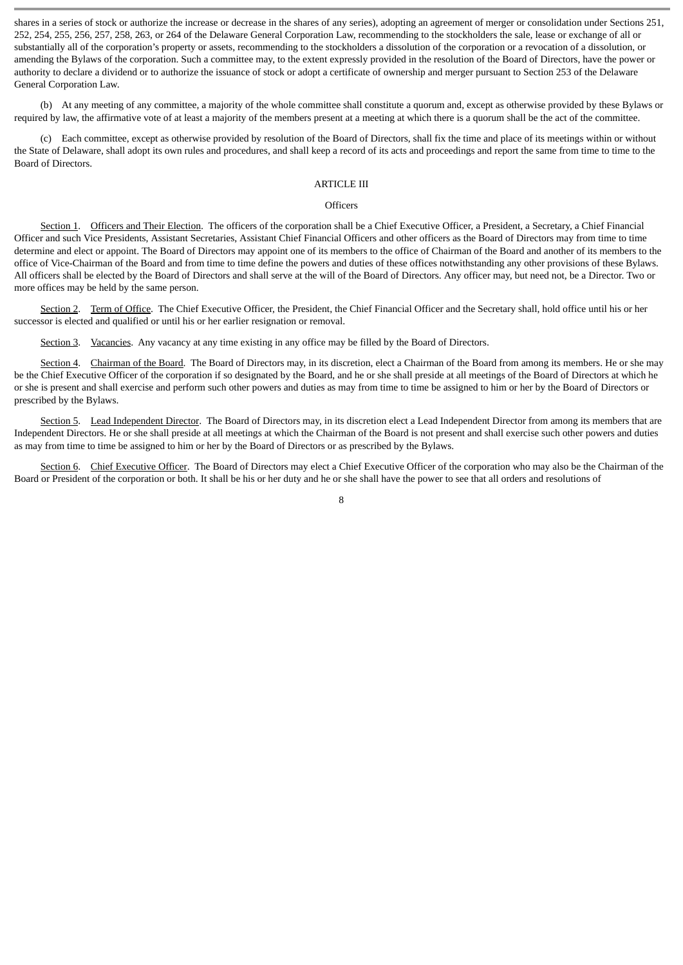shares in a series of stock or authorize the increase or decrease in the shares of any series), adopting an agreement of merger or consolidation under Sections 251, 252, 254, 255, 256, 257, 258, 263, or 264 of the Delaware General Corporation Law, recommending to the stockholders the sale, lease or exchange of all or substantially all of the corporation's property or assets, recommending to the stockholders a dissolution of the corporation or a revocation of a dissolution, or amending the Bylaws of the corporation. Such a committee may, to the extent expressly provided in the resolution of the Board of Directors, have the power or authority to declare a dividend or to authorize the issuance of stock or adopt a certificate of ownership and merger pursuant to Section 253 of the Delaware General Corporation Law.

(b) At any meeting of any committee, a majority of the whole committee shall constitute a quorum and, except as otherwise provided by these Bylaws or required by law, the affirmative vote of at least a majority of the members present at a meeting at which there is a quorum shall be the act of the committee.

(c) Each committee, except as otherwise provided by resolution of the Board of Directors, shall fix the time and place of its meetings within or without the State of Delaware, shall adopt its own rules and procedures, and shall keep a record of its acts and proceedings and report the same from time to time to the Board of Directors.

## ARTICLE III

#### **Officers**

Section 1. Officers and Their Election. The officers of the corporation shall be a Chief Executive Officer, a President, a Secretary, a Chief Financial Officer and such Vice Presidents, Assistant Secretaries, Assistant Chief Financial Officers and other officers as the Board of Directors may from time to time determine and elect or appoint. The Board of Directors may appoint one of its members to the office of Chairman of the Board and another of its members to the office of Vice-Chairman of the Board and from time to time define the powers and duties of these offices notwithstanding any other provisions of these Bylaws. All officers shall be elected by the Board of Directors and shall serve at the will of the Board of Directors. Any officer may, but need not, be a Director. Two or more offices may be held by the same person.

Section 2. Term of Office. The Chief Executive Officer, the President, the Chief Financial Officer and the Secretary shall, hold office until his or her successor is elected and qualified or until his or her earlier resignation or removal.

Section 3. Vacancies. Any vacancy at any time existing in any office may be filled by the Board of Directors.

Section 4. Chairman of the Board. The Board of Directors may, in its discretion, elect a Chairman of the Board from among its members. He or she may be the Chief Executive Officer of the corporation if so designated by the Board, and he or she shall preside at all meetings of the Board of Directors at which he or she is present and shall exercise and perform such other powers and duties as may from time to time be assigned to him or her by the Board of Directors or prescribed by the Bylaws.

Section 5. Lead Independent Director. The Board of Directors may, in its discretion elect a Lead Independent Director from among its members that are Independent Directors. He or she shall preside at all meetings at which the Chairman of the Board is not present and shall exercise such other powers and duties as may from time to time be assigned to him or her by the Board of Directors or as prescribed by the Bylaws.

Section 6. Chief Executive Officer. The Board of Directors may elect a Chief Executive Officer of the corporation who may also be the Chairman of the Board or President of the corporation or both. It shall be his or her duty and he or she shall have the power to see that all orders and resolutions of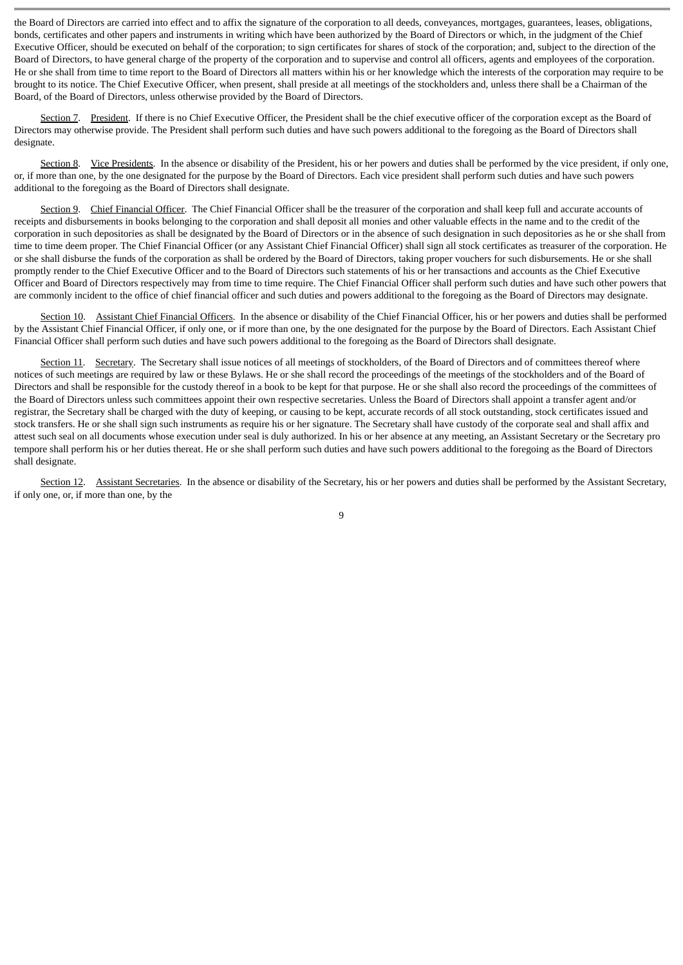the Board of Directors are carried into effect and to affix the signature of the corporation to all deeds, conveyances, mortgages, guarantees, leases, obligations, bonds, certificates and other papers and instruments in writing which have been authorized by the Board of Directors or which, in the judgment of the Chief Executive Officer, should be executed on behalf of the corporation; to sign certificates for shares of stock of the corporation; and, subject to the direction of the Board of Directors, to have general charge of the property of the corporation and to supervise and control all officers, agents and employees of the corporation. He or she shall from time to time report to the Board of Directors all matters within his or her knowledge which the interests of the corporation may require to be brought to its notice. The Chief Executive Officer, when present, shall preside at all meetings of the stockholders and, unless there shall be a Chairman of the Board, of the Board of Directors, unless otherwise provided by the Board of Directors.

Section 7. President. If there is no Chief Executive Officer, the President shall be the chief executive officer of the corporation except as the Board of Directors may otherwise provide. The President shall perform such duties and have such powers additional to the foregoing as the Board of Directors shall designate.

Section 8. Vice Presidents. In the absence or disability of the President, his or her powers and duties shall be performed by the vice president, if only one, or, if more than one, by the one designated for the purpose by the Board of Directors. Each vice president shall perform such duties and have such powers additional to the foregoing as the Board of Directors shall designate.

Section 9. Chief Financial Officer. The Chief Financial Officer shall be the treasurer of the corporation and shall keep full and accurate accounts of receipts and disbursements in books belonging to the corporation and shall deposit all monies and other valuable effects in the name and to the credit of the corporation in such depositories as shall be designated by the Board of Directors or in the absence of such designation in such depositories as he or she shall from time to time deem proper. The Chief Financial Officer (or any Assistant Chief Financial Officer) shall sign all stock certificates as treasurer of the corporation. He or she shall disburse the funds of the corporation as shall be ordered by the Board of Directors, taking proper vouchers for such disbursements. He or she shall promptly render to the Chief Executive Officer and to the Board of Directors such statements of his or her transactions and accounts as the Chief Executive Officer and Board of Directors respectively may from time to time require. The Chief Financial Officer shall perform such duties and have such other powers that are commonly incident to the office of chief financial officer and such duties and powers additional to the foregoing as the Board of Directors may designate.

Section 10. Assistant Chief Financial Officers. In the absence or disability of the Chief Financial Officer, his or her powers and duties shall be performed by the Assistant Chief Financial Officer, if only one, or if more than one, by the one designated for the purpose by the Board of Directors. Each Assistant Chief Financial Officer shall perform such duties and have such powers additional to the foregoing as the Board of Directors shall designate.

Section 11. Secretary. The Secretary shall issue notices of all meetings of stockholders, of the Board of Directors and of committees thereof where notices of such meetings are required by law or these Bylaws. He or she shall record the proceedings of the meetings of the stockholders and of the Board of Directors and shall be responsible for the custody thereof in a book to be kept for that purpose. He or she shall also record the proceedings of the committees of the Board of Directors unless such committees appoint their own respective secretaries. Unless the Board of Directors shall appoint a transfer agent and/or registrar, the Secretary shall be charged with the duty of keeping, or causing to be kept, accurate records of all stock outstanding, stock certificates issued and stock transfers. He or she shall sign such instruments as require his or her signature. The Secretary shall have custody of the corporate seal and shall affix and attest such seal on all documents whose execution under seal is duly authorized. In his or her absence at any meeting, an Assistant Secretary or the Secretary pro tempore shall perform his or her duties thereat. He or she shall perform such duties and have such powers additional to the foregoing as the Board of Directors shall designate.

Section 12. Assistant Secretaries. In the absence or disability of the Secretary, his or her powers and duties shall be performed by the Assistant Secretary, if only one, or, if more than one, by the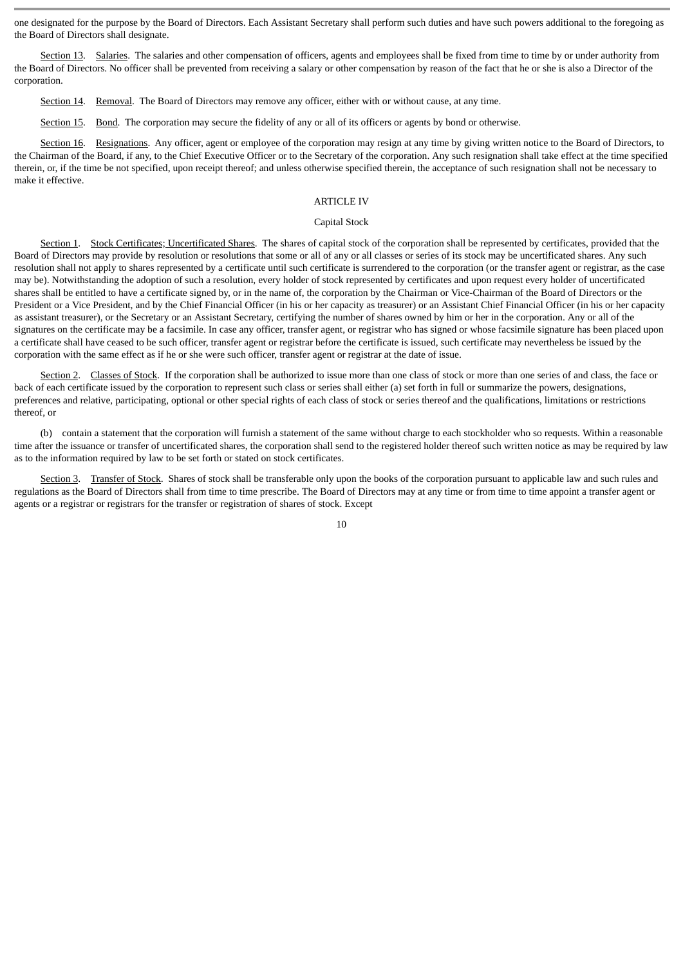one designated for the purpose by the Board of Directors. Each Assistant Secretary shall perform such duties and have such powers additional to the foregoing as the Board of Directors shall designate.

Section 13. Salaries. The salaries and other compensation of officers, agents and employees shall be fixed from time to time by or under authority from the Board of Directors. No officer shall be prevented from receiving a salary or other compensation by reason of the fact that he or she is also a Director of the corporation.

Section 14. Removal. The Board of Directors may remove any officer, either with or without cause, at any time.

Section 15. Bond. The corporation may secure the fidelity of any or all of its officers or agents by bond or otherwise.

Section 16. Resignations. Any officer, agent or employee of the corporation may resign at any time by giving written notice to the Board of Directors, to the Chairman of the Board, if any, to the Chief Executive Officer or to the Secretary of the corporation. Any such resignation shall take effect at the time specified therein, or, if the time be not specified, upon receipt thereof; and unless otherwise specified therein, the acceptance of such resignation shall not be necessary to make it effective.

## ARTICLE IV

#### Capital Stock

Section 1. Stock Certificates; Uncertificated Shares. The shares of capital stock of the corporation shall be represented by certificates, provided that the Board of Directors may provide by resolution or resolutions that some or all of any or all classes or series of its stock may be uncertificated shares. Any such resolution shall not apply to shares represented by a certificate until such certificate is surrendered to the corporation (or the transfer agent or registrar, as the case may be). Notwithstanding the adoption of such a resolution, every holder of stock represented by certificates and upon request every holder of uncertificated shares shall be entitled to have a certificate signed by, or in the name of, the corporation by the Chairman or Vice-Chairman of the Board of Directors or the President or a Vice President, and by the Chief Financial Officer (in his or her capacity as treasurer) or an Assistant Chief Financial Officer (in his or her capacity as assistant treasurer), or the Secretary or an Assistant Secretary, certifying the number of shares owned by him or her in the corporation. Any or all of the signatures on the certificate may be a facsimile. In case any officer, transfer agent, or registrar who has signed or whose facsimile signature has been placed upon a certificate shall have ceased to be such officer, transfer agent or registrar before the certificate is issued, such certificate may nevertheless be issued by the corporation with the same effect as if he or she were such officer, transfer agent or registrar at the date of issue.

Section 2. Classes of Stock. If the corporation shall be authorized to issue more than one class of stock or more than one series of and class, the face or back of each certificate issued by the corporation to represent such class or series shall either (a) set forth in full or summarize the powers, designations, preferences and relative, participating, optional or other special rights of each class of stock or series thereof and the qualifications, limitations or restrictions thereof, or

(b) contain a statement that the corporation will furnish a statement of the same without charge to each stockholder who so requests. Within a reasonable time after the issuance or transfer of uncertificated shares, the corporation shall send to the registered holder thereof such written notice as may be required by law as to the information required by law to be set forth or stated on stock certificates.

Section 3. Transfer of Stock. Shares of stock shall be transferable only upon the books of the corporation pursuant to applicable law and such rules and regulations as the Board of Directors shall from time to time prescribe. The Board of Directors may at any time or from time to time appoint a transfer agent or agents or a registrar or registrars for the transfer or registration of shares of stock. Except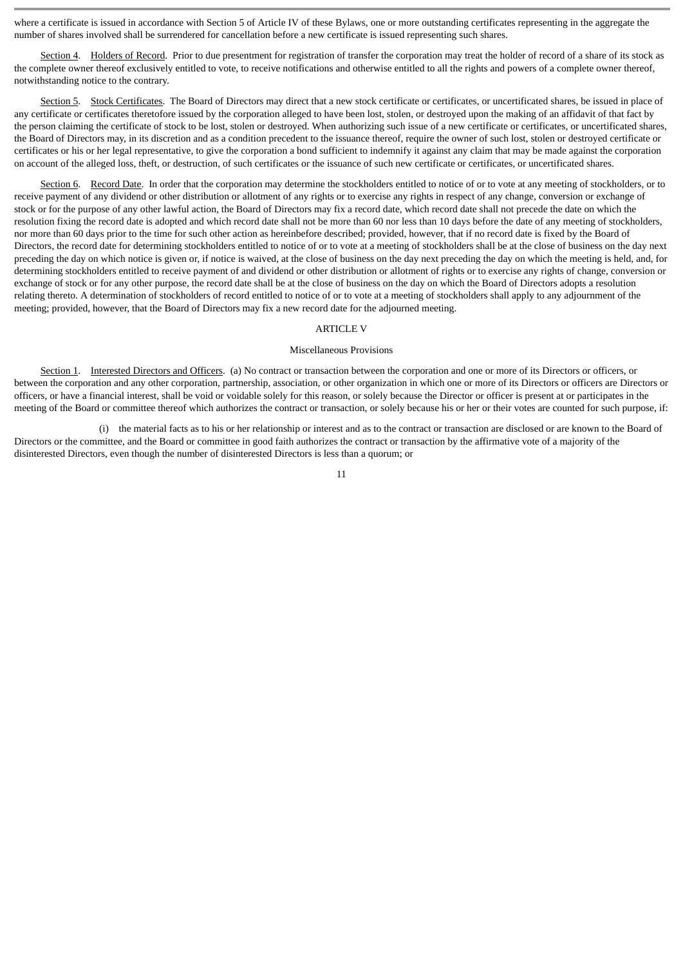where a certificate is issued in accordance with Section 5 of Article IV of these Bylaws, one or more outstanding certificates representing in the aggregate the number of shares involved shall be surrendered for cancellation before a new certificate is issued representing such shares.

Section 4. Holders of Record. Prior to due presentment for registration of transfer the corporation may treat the holder of record of a share of its stock as the complete owner thereof exclusively entitled to vote, to receive notifications and otherwise entitled to all the rights and powers of a complete owner thereof, notwithstanding notice to the contrary.

Section 5. Stock Certificates. The Board of Directors may direct that a new stock certificate or certificates, or uncertificated shares, be issued in place of any certificate or certificates theretofore issued by the corporation alleged to have been lost, stolen, or destroyed upon the making of an affidavit of that fact by the person claiming the certificate of stock to be lost, stolen or destroyed. When authorizing such issue of a new certificate or certificates, or uncertificated shares, the Board of Directors may, in its discretion and as a condition precedent to the issuance thereof, require the owner of such lost, stolen or destroyed certificate or certificates or his or her legal representative, to give the corporation a bond sufficient to indemnify it against any claim that may be made against the corporation on account of the alleged loss, theft, or destruction, of such certificates or the issuance of such new certificate or certificates, or uncertificated shares.

Section 6. Record Date. In order that the corporation may determine the stockholders entitled to notice of or to vote at any meeting of stockholders, or to receive payment of any dividend or other distribution or allotment of any rights or to exercise any rights in respect of any change, conversion or exchange of stock or for the purpose of any other lawful action, the Board of Directors may fix a record date, which record date shall not precede the date on which the resolution fixing the record date is adopted and which record date shall not be more than 60 nor less than 10 days before the date of any meeting of stockholders, nor more than 60 days prior to the time for such other action as hereinbefore described; provided, however, that if no record date is fixed by the Board of Directors, the record date for determining stockholders entitled to notice of or to vote at a meeting of stockholders shall be at the close of business on the day next preceding the day on which notice is given or, if notice is waived, at the close of business on the day next preceding the day on which the meeting is held, and, for determining stockholders entitled to receive payment of and dividend or other distribution or allotment of rights or to exercise any rights of change, conversion or exchange of stock or for any other purpose, the record date shall be at the close of business on the day on which the Board of Directors adopts a resolution relating thereto. A determination of stockholders of record entitled to notice of or to vote at a meeting of stockholders shall apply to any adjournment of the meeting; provided, however, that the Board of Directors may fix a new record date for the adjourned meeting.

#### ARTICLE V

#### Miscellaneous Provisions

Section 1. Interested Directors and Officers. (a) No contract or transaction between the corporation and one or more of its Directors or officers, or between the corporation and any other corporation, partnership, association, or other organization in which one or more of its Directors or officers are Directors or officers, or have a financial interest, shall be void or voidable solely for this reason, or solely because the Director or officer is present at or participates in the meeting of the Board or committee thereof which authorizes the contract or transaction, or solely because his or her or their votes are counted for such purpose, if:

(i) the material facts as to his or her relationship or interest and as to the contract or transaction are disclosed or are known to the Board of Directors or the committee, and the Board or committee in good faith authorizes the contract or transaction by the affirmative vote of a majority of the disinterested Directors, even though the number of disinterested Directors is less than a quorum; or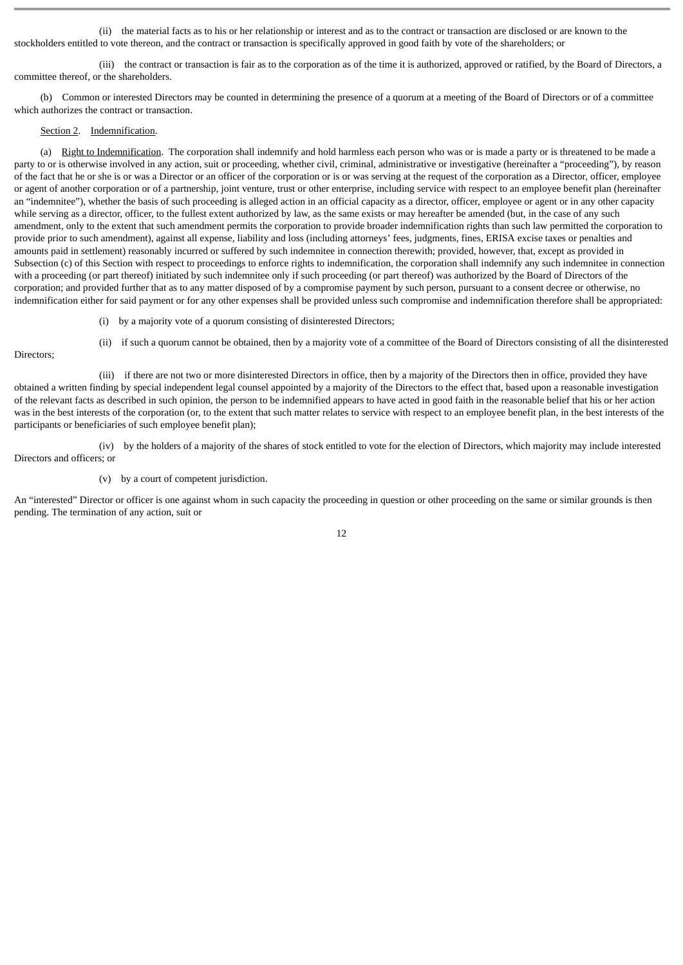(ii) the material facts as to his or her relationship or interest and as to the contract or transaction are disclosed or are known to the stockholders entitled to vote thereon, and the contract or transaction is specifically approved in good faith by vote of the shareholders; or

(iii) the contract or transaction is fair as to the corporation as of the time it is authorized, approved or ratified, by the Board of Directors, a committee thereof, or the shareholders.

(b) Common or interested Directors may be counted in determining the presence of a quorum at a meeting of the Board of Directors or of a committee which authorizes the contract or transaction.

#### Section 2. Indemnification.

(a) Right to Indemnification. The corporation shall indemnify and hold harmless each person who was or is made a party or is threatened to be made a party to or is otherwise involved in any action, suit or proceeding, whether civil, criminal, administrative or investigative (hereinafter a "proceeding"), by reason of the fact that he or she is or was a Director or an officer of the corporation or is or was serving at the request of the corporation as a Director, officer, employee or agent of another corporation or of a partnership, joint venture, trust or other enterprise, including service with respect to an employee benefit plan (hereinafter an "indemnitee"), whether the basis of such proceeding is alleged action in an official capacity as a director, officer, employee or agent or in any other capacity while serving as a director, officer, to the fullest extent authorized by law, as the same exists or may hereafter be amended (but, in the case of any such amendment, only to the extent that such amendment permits the corporation to provide broader indemnification rights than such law permitted the corporation to provide prior to such amendment), against all expense, liability and loss (including attorneys' fees, judgments, fines, ERISA excise taxes or penalties and amounts paid in settlement) reasonably incurred or suffered by such indemnitee in connection therewith; provided, however, that, except as provided in Subsection (c) of this Section with respect to proceedings to enforce rights to indemnification, the corporation shall indemnify any such indemnitee in connection with a proceeding (or part thereof) initiated by such indemnitee only if such proceeding (or part thereof) was authorized by the Board of Directors of the corporation; and provided further that as to any matter disposed of by a compromise payment by such person, pursuant to a consent decree or otherwise, no indemnification either for said payment or for any other expenses shall be provided unless such compromise and indemnification therefore shall be appropriated:

(i) by a majority vote of a quorum consisting of disinterested Directors;

Directors;

(ii) if such a quorum cannot be obtained, then by a majority vote of a committee of the Board of Directors consisting of all the disinterested

(iii) if there are not two or more disinterested Directors in office, then by a majority of the Directors then in office, provided they have obtained a written finding by special independent legal counsel appointed by a majority of the Directors to the effect that, based upon a reasonable investigation of the relevant facts as described in such opinion, the person to be indemnified appears to have acted in good faith in the reasonable belief that his or her action was in the best interests of the corporation (or, to the extent that such matter relates to service with respect to an employee benefit plan, in the best interests of the participants or beneficiaries of such employee benefit plan);

(iv) by the holders of a majority of the shares of stock entitled to vote for the election of Directors, which majority may include interested Directors and officers; or

(v) by a court of competent jurisdiction.

An "interested" Director or officer is one against whom in such capacity the proceeding in question or other proceeding on the same or similar grounds is then pending. The termination of any action, suit or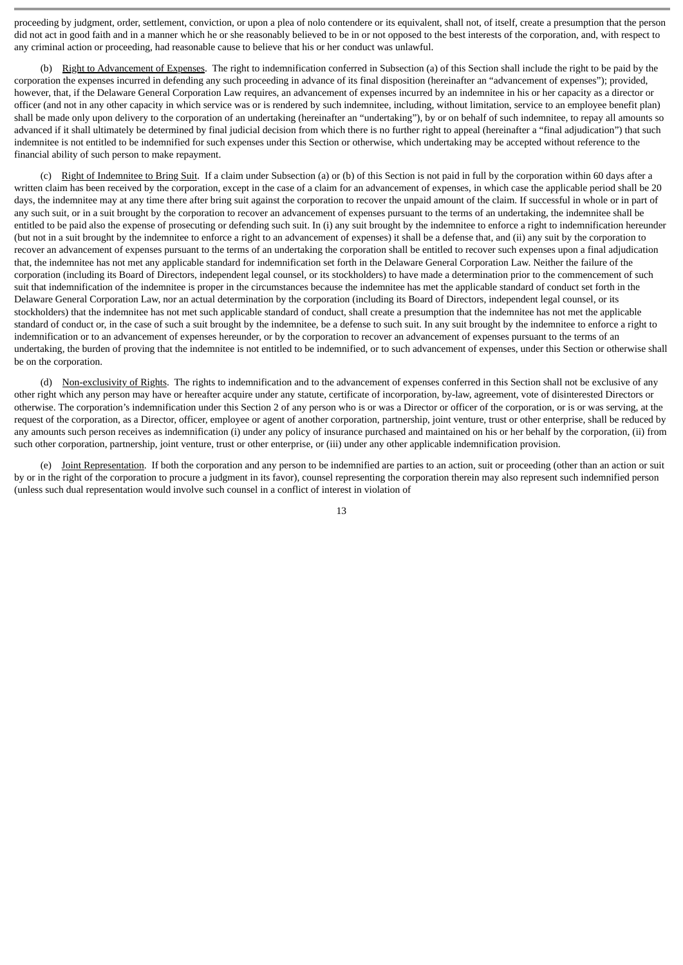proceeding by judgment, order, settlement, conviction, or upon a plea of nolo contendere or its equivalent, shall not, of itself, create a presumption that the person did not act in good faith and in a manner which he or she reasonably believed to be in or not opposed to the best interests of the corporation, and, with respect to any criminal action or proceeding, had reasonable cause to believe that his or her conduct was unlawful.

(b) Right to Advancement of Expenses. The right to indemnification conferred in Subsection (a) of this Section shall include the right to be paid by the corporation the expenses incurred in defending any such proceeding in advance of its final disposition (hereinafter an "advancement of expenses"); provided, however, that, if the Delaware General Corporation Law requires, an advancement of expenses incurred by an indemnitee in his or her capacity as a director or officer (and not in any other capacity in which service was or is rendered by such indemnitee, including, without limitation, service to an employee benefit plan) shall be made only upon delivery to the corporation of an undertaking (hereinafter an "undertaking"), by or on behalf of such indemnitee, to repay all amounts so advanced if it shall ultimately be determined by final judicial decision from which there is no further right to appeal (hereinafter a "final adjudication") that such indemnitee is not entitled to be indemnified for such expenses under this Section or otherwise, which undertaking may be accepted without reference to the financial ability of such person to make repayment.

(c) Right of Indemnitee to Bring Suit. If a claim under Subsection (a) or (b) of this Section is not paid in full by the corporation within 60 days after a written claim has been received by the corporation, except in the case of a claim for an advancement of expenses, in which case the applicable period shall be 20 days, the indemnitee may at any time there after bring suit against the corporation to recover the unpaid amount of the claim. If successful in whole or in part of any such suit, or in a suit brought by the corporation to recover an advancement of expenses pursuant to the terms of an undertaking, the indemnitee shall be entitled to be paid also the expense of prosecuting or defending such suit. In (i) any suit brought by the indemnitee to enforce a right to indemnification hereunder (but not in a suit brought by the indemnitee to enforce a right to an advancement of expenses) it shall be a defense that, and (ii) any suit by the corporation to recover an advancement of expenses pursuant to the terms of an undertaking the corporation shall be entitled to recover such expenses upon a final adjudication that, the indemnitee has not met any applicable standard for indemnification set forth in the Delaware General Corporation Law. Neither the failure of the corporation (including its Board of Directors, independent legal counsel, or its stockholders) to have made a determination prior to the commencement of such suit that indemnification of the indemnitee is proper in the circumstances because the indemnitee has met the applicable standard of conduct set forth in the Delaware General Corporation Law, nor an actual determination by the corporation (including its Board of Directors, independent legal counsel, or its stockholders) that the indemnitee has not met such applicable standard of conduct, shall create a presumption that the indemnitee has not met the applicable standard of conduct or, in the case of such a suit brought by the indemnitee, be a defense to such suit. In any suit brought by the indemnitee to enforce a right to indemnification or to an advancement of expenses hereunder, or by the corporation to recover an advancement of expenses pursuant to the terms of an undertaking, the burden of proving that the indemnitee is not entitled to be indemnified, or to such advancement of expenses, under this Section or otherwise shall be on the corporation.

(d) Non-exclusivity of Rights. The rights to indemnification and to the advancement of expenses conferred in this Section shall not be exclusive of any other right which any person may have or hereafter acquire under any statute, certificate of incorporation, by-law, agreement, vote of disinterested Directors or otherwise. The corporation's indemnification under this Section 2 of any person who is or was a Director or officer of the corporation, or is or was serving, at the request of the corporation, as a Director, officer, employee or agent of another corporation, partnership, joint venture, trust or other enterprise, shall be reduced by any amounts such person receives as indemnification (i) under any policy of insurance purchased and maintained on his or her behalf by the corporation, (ii) from such other corporation, partnership, joint venture, trust or other enterprise, or (iii) under any other applicable indemnification provision.

(e) Joint Representation. If both the corporation and any person to be indemnified are parties to an action, suit or proceeding (other than an action or suit by or in the right of the corporation to procure a judgment in its favor), counsel representing the corporation therein may also represent such indemnified person (unless such dual representation would involve such counsel in a conflict of interest in violation of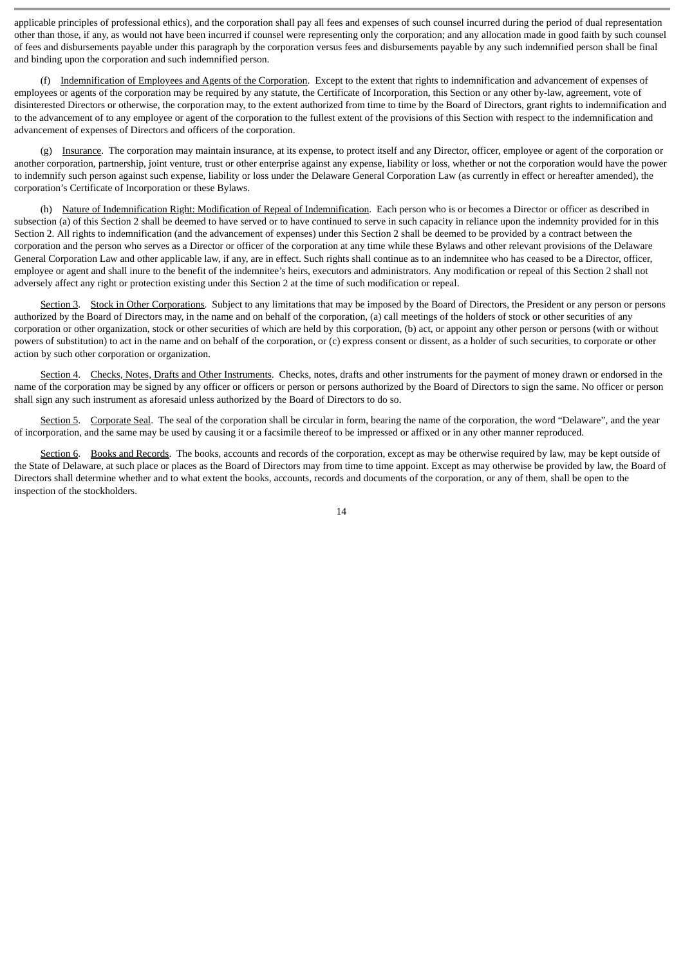applicable principles of professional ethics), and the corporation shall pay all fees and expenses of such counsel incurred during the period of dual representation other than those, if any, as would not have been incurred if counsel were representing only the corporation; and any allocation made in good faith by such counsel of fees and disbursements payable under this paragraph by the corporation versus fees and disbursements payable by any such indemnified person shall be final and binding upon the corporation and such indemnified person.

(f) Indemnification of Employees and Agents of the Corporation. Except to the extent that rights to indemnification and advancement of expenses of employees or agents of the corporation may be required by any statute, the Certificate of Incorporation, this Section or any other by-law, agreement, vote of disinterested Directors or otherwise, the corporation may, to the extent authorized from time to time by the Board of Directors, grant rights to indemnification and to the advancement of to any employee or agent of the corporation to the fullest extent of the provisions of this Section with respect to the indemnification and advancement of expenses of Directors and officers of the corporation.

(g) Insurance. The corporation may maintain insurance, at its expense, to protect itself and any Director, officer, employee or agent of the corporation or another corporation, partnership, joint venture, trust or other enterprise against any expense, liability or loss, whether or not the corporation would have the power to indemnify such person against such expense, liability or loss under the Delaware General Corporation Law (as currently in effect or hereafter amended), the corporation's Certificate of Incorporation or these Bylaws.

(h) Nature of Indemnification Right: Modification of Repeal of Indemnification. Each person who is or becomes a Director or officer as described in subsection (a) of this Section 2 shall be deemed to have served or to have continued to serve in such capacity in reliance upon the indemnity provided for in this Section 2. All rights to indemnification (and the advancement of expenses) under this Section 2 shall be deemed to be provided by a contract between the corporation and the person who serves as a Director or officer of the corporation at any time while these Bylaws and other relevant provisions of the Delaware General Corporation Law and other applicable law, if any, are in effect. Such rights shall continue as to an indemnitee who has ceased to be a Director, officer, employee or agent and shall inure to the benefit of the indemnitee's heirs, executors and administrators. Any modification or repeal of this Section 2 shall not adversely affect any right or protection existing under this Section 2 at the time of such modification or repeal.

Section 3. Stock in Other Corporations. Subject to any limitations that may be imposed by the Board of Directors, the President or any person or persons authorized by the Board of Directors may, in the name and on behalf of the corporation, (a) call meetings of the holders of stock or other securities of any corporation or other organization, stock or other securities of which are held by this corporation, (b) act, or appoint any other person or persons (with or without powers of substitution) to act in the name and on behalf of the corporation, or (c) express consent or dissent, as a holder of such securities, to corporate or other action by such other corporation or organization.

Section 4. Checks, Notes, Drafts and Other Instruments. Checks, notes, drafts and other instruments for the payment of money drawn or endorsed in the name of the corporation may be signed by any officer or officers or person or persons authorized by the Board of Directors to sign the same. No officer or person shall sign any such instrument as aforesaid unless authorized by the Board of Directors to do so.

Section 5. Corporate Seal. The seal of the corporation shall be circular in form, bearing the name of the corporation, the word "Delaware", and the year of incorporation, and the same may be used by causing it or a facsimile thereof to be impressed or affixed or in any other manner reproduced.

Section 6. Books and Records. The books, accounts and records of the corporation, except as may be otherwise required by law, may be kept outside of the State of Delaware, at such place or places as the Board of Directors may from time to time appoint. Except as may otherwise be provided by law, the Board of Directors shall determine whether and to what extent the books, accounts, records and documents of the corporation, or any of them, shall be open to the inspection of the stockholders.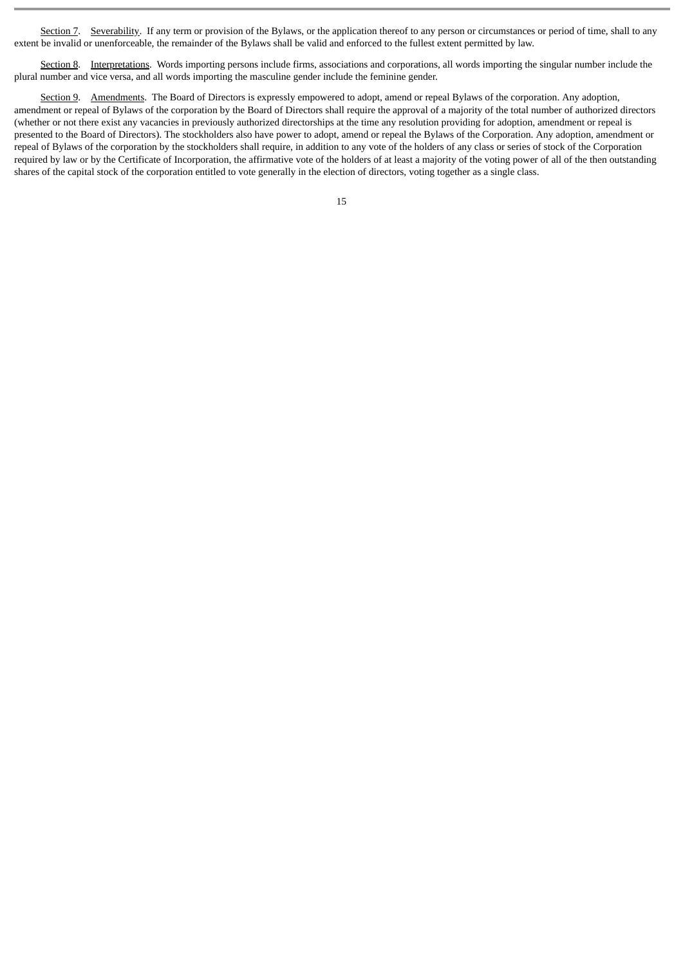Section 7. Severability. If any term or provision of the Bylaws, or the application thereof to any person or circumstances or period of time, shall to any extent be invalid or unenforceable, the remainder of the Bylaws shall be valid and enforced to the fullest extent permitted by law.

Section 8. Interpretations. Words importing persons include firms, associations and corporations, all words importing the singular number include the plural number and vice versa, and all words importing the masculine gender include the feminine gender.

Section 9. Amendments. The Board of Directors is expressly empowered to adopt, amend or repeal Bylaws of the corporation. Any adoption, amendment or repeal of Bylaws of the corporation by the Board of Directors shall require the approval of a majority of the total number of authorized directors (whether or not there exist any vacancies in previously authorized directorships at the time any resolution providing for adoption, amendment or repeal is presented to the Board of Directors). The stockholders also have power to adopt, amend or repeal the Bylaws of the Corporation. Any adoption, amendment or repeal of Bylaws of the corporation by the stockholders shall require, in addition to any vote of the holders of any class or series of stock of the Corporation required by law or by the Certificate of Incorporation, the affirmative vote of the holders of at least a majority of the voting power of all of the then outstanding shares of the capital stock of the corporation entitled to vote generally in the election of directors, voting together as a single class.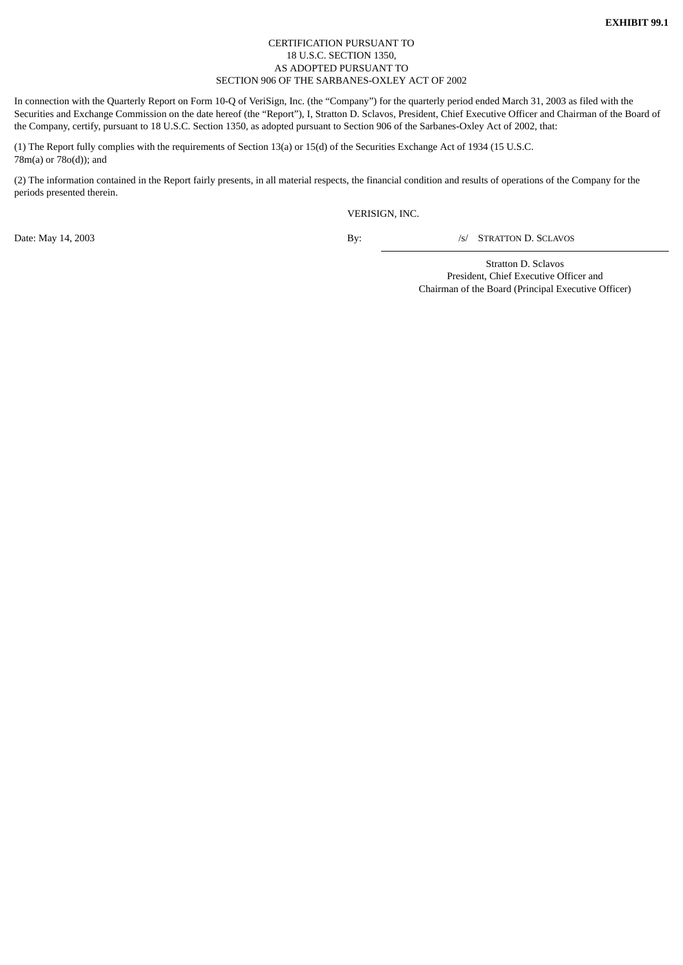## CERTIFICATION PURSUANT TO 18 U.S.C. SECTION 1350, AS ADOPTED PURSUANT TO SECTION 906 OF THE SARBANES-OXLEY ACT OF 2002

In connection with the Quarterly Report on Form 10-Q of VeriSign, Inc. (the "Company") for the quarterly period ended March 31, 2003 as filed with the Securities and Exchange Commission on the date hereof (the "Report"), I, Stratton D. Sclavos, President, Chief Executive Officer and Chairman of the Board of the Company, certify, pursuant to 18 U.S.C. Section 1350, as adopted pursuant to Section 906 of the Sarbanes-Oxley Act of 2002, that:

(1) The Report fully complies with the requirements of Section 13(a) or 15(d) of the Securities Exchange Act of 1934 (15 U.S.C. 78m(a) or 78o(d)); and

(2) The information contained in the Report fairly presents, in all material respects, the financial condition and results of operations of the Company for the periods presented therein.

VERISIGN, INC.

Date: May 14, 2003 By: /s/ STRATTON D. SCLAVOS

Stratton D. Sclavos President, Chief Executive Officer and Chairman of the Board (Principal Executive Officer)